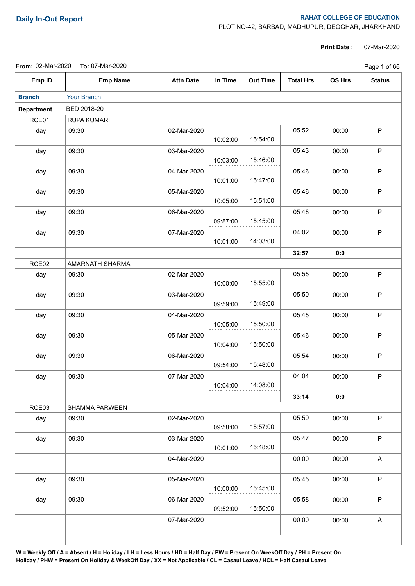## **Daily In-Out Report RAHAT COLLEGE OF EDUCATION**

PLOT NO-42, BARBAD, MADHUPUR, DEOGHAR, JHARKHAND

**Print Date :** 07-Mar-2020

| <b>From: 02-Mar-2020</b><br><b>To:</b> 07-Mar-2020 |
|----------------------------------------------------|
|----------------------------------------------------|

|                   | From: 02-Mar-2020  To: 07-Mar-2020 |                  |          |                 |                  |               |               |  |
|-------------------|------------------------------------|------------------|----------|-----------------|------------------|---------------|---------------|--|
| Emp ID            | <b>Emp Name</b>                    | <b>Attn Date</b> | In Time  | <b>Out Time</b> | <b>Total Hrs</b> | <b>OS Hrs</b> | <b>Status</b> |  |
| <b>Branch</b>     | Your Branch                        |                  |          |                 |                  |               |               |  |
| <b>Department</b> | BED 2018-20                        |                  |          |                 |                  |               |               |  |
| RCE01             | RUPA KUMARI                        |                  |          |                 |                  |               |               |  |
| day               | 09:30                              | 02-Mar-2020      | 10:02:00 | 15:54:00        | 05:52            | 00:00         | P             |  |
| day               | 09:30                              | 03-Mar-2020      | 10:03:00 | 15:46:00        | 05:43            | 00:00         | P             |  |
| day               | 09:30                              | 04-Mar-2020      | 10:01:00 | 15:47:00        | 05:46            | 00:00         | $\mathsf P$   |  |
| day               | 09:30                              | 05-Mar-2020      | 10:05:00 | 15:51:00        | 05:46            | 00:00         | $\mathsf P$   |  |
| day               | 09:30                              | 06-Mar-2020      | 09:57:00 | 15:45:00        | 05:48            | 00:00         | $\mathsf P$   |  |
| day               | 09:30                              | 07-Mar-2020      | 10:01:00 | 14:03:00        | 04:02            | 00:00         | $\mathsf P$   |  |
|                   |                                    |                  |          |                 | 32:57            | 0:0           |               |  |
| RCE <sub>02</sub> | AMARNATH SHARMA                    |                  |          |                 |                  |               |               |  |
| day               | 09:30                              | 02-Mar-2020      | 10:00:00 | 15:55:00        | 05:55            | 00:00         | $\mathsf P$   |  |
| day               | 09:30                              | 03-Mar-2020      | 09:59:00 | 15:49:00        | 05:50            | 00:00         | $\mathsf P$   |  |
| day               | 09:30                              | 04-Mar-2020      | 10:05:00 | 15:50:00        | 05:45            | 00:00         | $\mathsf P$   |  |
| day               | 09:30                              | 05-Mar-2020      | 10:04:00 | 15:50:00        | 05:46            | 00:00         | P             |  |
| day               | 09:30                              | 06-Mar-2020      | 09:54:00 | 15:48:00        | 05:54            | 00:00         | $\mathsf P$   |  |
| day               | 09:30                              | 07-Mar-2020      | 10:04:00 | 14:08:00        | 04:04            | 00:00         | P             |  |
|                   |                                    |                  |          |                 | 33:14            | 0:0           |               |  |
| RCE03             | SHAMMA PARWEEN                     |                  |          |                 |                  |               |               |  |
| day               | 09:30                              | 02-Mar-2020      | 09:58:00 | 15:57:00        | 05:59            | 00:00         | $\mathsf P$   |  |
| day               | 09:30                              | 03-Mar-2020      | 10:01:00 | 15:48:00        | 05:47            | 00:00         | $\mathsf P$   |  |
|                   |                                    | 04-Mar-2020      |          |                 | 00:00            | 00:00         | A             |  |
| day               | 09:30                              | 05-Mar-2020      | 10:00:00 | 15:45:00        | 05:45            | 00:00         | $\mathsf P$   |  |
| day               | 09:30                              | 06-Mar-2020      | 09:52:00 | 15:50:00        | 05:58            | 00:00         | $\mathsf P$   |  |
|                   |                                    | 07-Mar-2020      |          |                 | 00:00            | 00:00         | A             |  |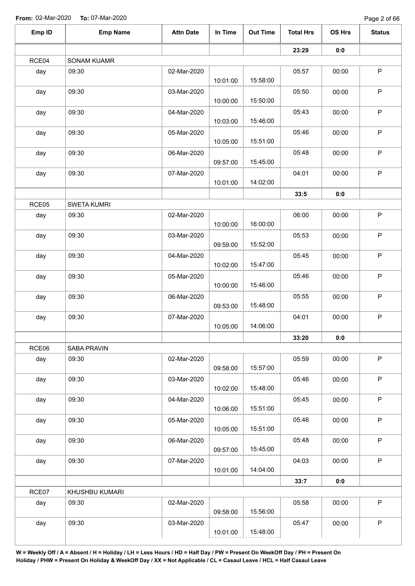Page 2 of 66

| Emp ID | <b>Emp Name</b>    | <b>Attn Date</b> | In Time  | <b>Out Time</b> | <b>Total Hrs</b> | OS Hrs | <b>Status</b> |
|--------|--------------------|------------------|----------|-----------------|------------------|--------|---------------|
|        |                    |                  |          |                 | 23:29            | 0:0    |               |
| RCE04  | <b>SONAM KUAMR</b> |                  |          |                 |                  |        |               |
| day    | 09:30              | 02-Mar-2020      |          |                 | 05:57            | 00:00  | $\mathsf P$   |
|        |                    |                  | 10:01:00 | 15:58:00        |                  |        |               |
| day    | 09:30              | 03-Mar-2020      |          |                 | 05:50            | 00:00  | $\sf P$       |
|        |                    |                  | 10:00:00 | 15:50:00        |                  |        |               |
| day    | 09:30              | 04-Mar-2020      |          |                 | 05:43            | 00:00  | $\mathsf P$   |
|        |                    |                  | 10:03:00 | 15:46:00        |                  |        |               |
| day    | 09:30              | 05-Mar-2020      |          | 15:51:00        | 05:46            | 00:00  | $\sf P$       |
|        |                    |                  | 10:05:00 |                 |                  |        |               |
| day    | 09:30              | 06-Mar-2020      | 09:57:00 | 15:45:00        | 05:48            | 00:00  | $\mathsf P$   |
|        | 09:30              | 07-Mar-2020      |          |                 | 04:01            |        | $\sf P$       |
| day    |                    |                  | 10:01:00 | 14:02:00        |                  | 00:00  |               |
|        |                    |                  |          |                 |                  | 0:0    |               |
| RCE05  | <b>SWETA KUMRI</b> |                  |          |                 | 33:5             |        |               |
|        | 09:30              | 02-Mar-2020      |          |                 | 06:00            | 00:00  | $\mathsf P$   |
| day    |                    |                  | 10:00:00 | 16:00:00        |                  |        |               |
| day    | 09:30              | 03-Mar-2020      |          |                 | 05:53            | 00:00  | $\sf P$       |
|        |                    |                  | 09:59:00 | 15:52:00        |                  |        |               |
| day    | 09:30              | 04-Mar-2020      |          |                 | 05:45            | 00:00  | $\sf P$       |
|        |                    |                  | 10:02:00 | 15:47:00        |                  |        |               |
| day    | 09:30              | 05-Mar-2020      |          |                 | 05:46            | 00:00  | $\mathsf P$   |
|        |                    |                  | 10:00:00 | 15:46:00        |                  |        |               |
| day    | 09:30              | 06-Mar-2020      |          |                 | 05:55            | 00:00  | $\sf P$       |
|        |                    |                  | 09:53:00 | 15:48:00        |                  |        |               |
| day    | 09:30              | 07-Mar-2020      |          |                 | 04:01            | 00:00  | $\sf P$       |
|        |                    |                  | 10:05:00 | 14:06:00        |                  |        |               |
|        |                    |                  |          |                 | 33:20            | 0:0    |               |
| RCE06  | SABA PRAVIN        |                  |          |                 |                  |        |               |
| day    | 09:30              | 02-Mar-2020      |          |                 | 05:59            | 00:00  | $\mathsf P$   |
|        |                    |                  | 09:58:00 | 15:57:00        |                  |        |               |
| day    | 09:30              | 03-Mar-2020      |          |                 | 05:46            | 00:00  | $\mathsf P$   |
|        |                    |                  | 10:02:00 | 15:48:00        |                  |        |               |
| day    | 09:30              | 04-Mar-2020      |          |                 | 05:45            | 00:00  | $\mathsf P$   |
|        |                    |                  | 10:06:00 | 15:51:00        |                  |        |               |
| day    | 09:30              | 05-Mar-2020      |          |                 | 05:46            | 00:00  | $\sf P$       |
|        |                    |                  | 10:05:00 | 15:51:00        |                  |        |               |
| day    | 09:30              | 06-Mar-2020      |          |                 | 05:48            | 00:00  | $\sf P$       |
|        |                    |                  | 09:57:00 | 15:45:00        |                  |        |               |
| day    | 09:30              | 07-Mar-2020      |          |                 | 04:03            | 00:00  | $\mathsf P$   |
|        |                    |                  | 10:01:00 | 14:04:00        |                  |        |               |
|        |                    |                  |          |                 | 33:7             | 0:0    |               |
| RCE07  | KHUSHBU KUMARI     |                  |          |                 |                  |        |               |
| day    | 09:30              | 02-Mar-2020      |          |                 | 05:58            | 00:00  | $\mathsf P$   |
|        |                    |                  | 09:58:00 | 15:56:00        |                  |        |               |
| day    | 09:30              | 03-Mar-2020      |          |                 | 05:47            | 00:00  | $\mathsf P$   |
|        |                    |                  | 10:01:00 | 15:48:00        |                  |        |               |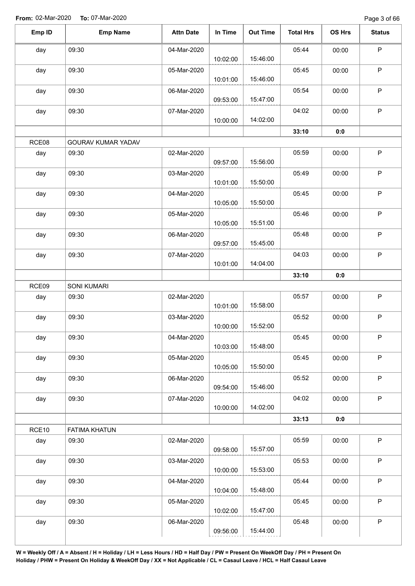| Emp ID | <b>Emp Name</b>      | <b>Attn Date</b> | In Time  | <b>Out Time</b> | <b>Total Hrs</b> | OS Hrs | <b>Status</b> |
|--------|----------------------|------------------|----------|-----------------|------------------|--------|---------------|
| day    | 09:30                | 04-Mar-2020      | 10:02:00 | 15:46:00        | 05:44            | 00:00  | $\mathsf P$   |
| day    | 09:30                | 05-Mar-2020      | 10:01:00 | 15:46:00        | 05:45            | 00:00  | $\sf P$       |
| day    | 09:30                | 06-Mar-2020      | 09:53:00 | 15:47:00        | 05:54            | 00:00  | $\mathsf P$   |
| day    | 09:30                | 07-Mar-2020      | 10:00:00 | 14:02:00        | 04:02            | 00:00  | $\mathsf P$   |
|        |                      |                  |          |                 | 33:10            | 0:0    |               |
| RCE08  | GOURAV KUMAR YADAV   |                  |          |                 |                  |        |               |
| day    | 09:30                | 02-Mar-2020      | 09:57:00 | 15:56:00        | 05:59            | 00:00  | $\mathsf P$   |
| day    | 09:30                | 03-Mar-2020      | 10:01:00 | 15:50:00        | 05:49            | 00:00  | P             |
| day    | 09:30                | 04-Mar-2020      | 10:05:00 | 15:50:00        | 05:45            | 00:00  | $\sf P$       |
| day    | 09:30                | 05-Mar-2020      | 10:05:00 | 15:51:00        | 05:46            | 00:00  | $\mathsf P$   |
| day    | 09:30                | 06-Mar-2020      | 09:57:00 | 15:45:00        | 05:48            | 00:00  | $\sf P$       |
| day    | 09:30                | 07-Mar-2020      | 10:01:00 | 14:04:00        | 04:03            | 00:00  | $\mathsf P$   |
|        |                      |                  |          |                 | 33:10            | 0:0    |               |
| RCE09  | <b>SONI KUMARI</b>   |                  |          |                 |                  |        |               |
| day    | 09:30                | 02-Mar-2020      | 10:01:00 | 15:58:00        | 05:57            | 00:00  | $\mathsf P$   |
| day    | 09:30                | 03-Mar-2020      | 10:00:00 | 15:52:00        | 05:52            | 00:00  | $\mathsf P$   |
| day    | 09:30                | 04-Mar-2020      | 10:03:00 | 15:48:00        | 05:45            | 00:00  | P             |
| day    | 09:30                | 05-Mar-2020      | 10:05:00 | 15:50:00        | 05:45            | 00:00  | $\mathsf P$   |
| day    | 09:30                | 06-Mar-2020      | 09:54:00 | 15:46:00        | 05:52            | 00:00  | $\mathsf P$   |
| day    | 09:30                | 07-Mar-2020      | 10:00:00 | 14:02:00        | 04:02            | 00:00  | ${\sf P}$     |
|        |                      |                  |          |                 | 33:13            | 0:0    |               |
| RCE10  | <b>FATIMA KHATUN</b> |                  |          |                 |                  |        |               |
| day    | 09:30                | 02-Mar-2020      | 09:58:00 | 15:57:00        | 05:59            | 00:00  | $\sf P$       |
| day    | 09:30                | 03-Mar-2020      | 10:00:00 | 15:53:00        | 05:53            | 00:00  | $\mathsf P$   |
| day    | 09:30                | 04-Mar-2020      | 10:04:00 | 15:48:00        | 05:44            | 00:00  | ${\sf P}$     |
| day    | 09:30                | 05-Mar-2020      | 10:02:00 | 15:47:00        | 05:45            | 00:00  | $\mathsf P$   |
| day    | 09:30                | 06-Mar-2020      | 09:56:00 | 15:44:00        | 05:48            | 00:00  | $\sf P$       |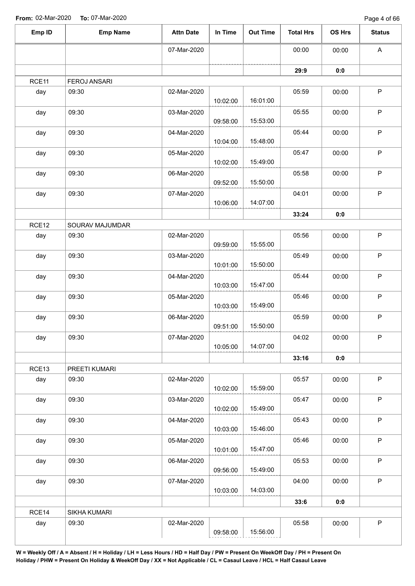| Emp ID | <b>Emp Name</b>     | <b>Attn Date</b> | In Time  | <b>Out Time</b> | <b>Total Hrs</b> | OS Hrs | <b>Status</b> |
|--------|---------------------|------------------|----------|-----------------|------------------|--------|---------------|
|        |                     | 07-Mar-2020      |          |                 | 00:00            | 00:00  | A             |
|        |                     |                  |          |                 | 29:9             | 0:0    |               |
| RCE11  | <b>FEROJ ANSARI</b> |                  |          |                 |                  |        |               |
| day    | 09:30               | 02-Mar-2020      | 10:02:00 | 16:01:00        | 05:59            | 00:00  | $\mathsf P$   |
| day    | 09:30               | 03-Mar-2020      | 09:58:00 | 15:53:00        | 05:55            | 00:00  | $\mathsf P$   |
| day    | 09:30               | 04-Mar-2020      | 10:04:00 | 15:48:00        | 05:44            | 00:00  | $\mathsf P$   |
| day    | 09:30               | 05-Mar-2020      | 10:02:00 | 15:49:00        | 05:47            | 00:00  | $\sf P$       |
| day    | 09:30               | 06-Mar-2020      | 09:52:00 | 15:50:00        | 05:58            | 00:00  | $\mathsf P$   |
| day    | 09:30               | 07-Mar-2020      | 10:06:00 | 14:07:00        | 04:01            | 00:00  | $\mathsf P$   |
|        |                     |                  |          |                 | 33:24            | 0:0    |               |
| RCE12  | SOURAV MAJUMDAR     |                  |          |                 |                  |        |               |
| day    | 09:30               | 02-Mar-2020      | 09:59:00 | 15:55:00        | 05:56            | 00:00  | $\mathsf P$   |
| day    | 09:30               | 03-Mar-2020      | 10:01:00 | 15:50:00        | 05:49            | 00:00  | $\mathsf P$   |
| day    | 09:30               | 04-Mar-2020      | 10:03:00 | 15:47:00        | 05:44            | 00:00  | $\sf P$       |
| day    | 09:30               | 05-Mar-2020      | 10:03:00 | 15:49:00        | 05:46            | 00:00  | $\mathsf P$   |
| day    | 09:30               | 06-Mar-2020      | 09:51:00 | 15:50:00        | 05:59            | 00:00  | $\mathsf P$   |
| day    | 09:30               | 07-Mar-2020      | 10:05:00 | 14:07:00        | 04:02            | 00:00  | $\sf P$       |
|        |                     |                  |          |                 | 33:16            | 0:0    |               |
| RCE13  | PREETI KUMARI       |                  |          |                 |                  |        |               |
| day    | 09:30               | 02-Mar-2020      | 10:02:00 | 15:59:00        | 05:57            | 00:00  | $\mathsf P$   |
| day    | 09:30               | 03-Mar-2020      | 10:02:00 | 15:49:00        | 05:47            | 00:00  | $\mathsf P$   |
| day    | 09:30               | 04-Mar-2020      | 10:03:00 | 15:46:00        | 05:43            | 00:00  | $\mathsf P$   |
| day    | 09:30               | 05-Mar-2020      | 10:01:00 | 15:47:00        | 05:46            | 00:00  | $\mathsf P$   |
| day    | 09:30               | 06-Mar-2020      | 09:56:00 | 15:49:00        | 05:53            | 00:00  | $\sf P$       |
| day    | 09:30               | 07-Mar-2020      | 10:03:00 | 14:03:00        | 04:00            | 00:00  | $\mathsf P$   |
|        |                     |                  |          |                 | 33:6             | 0:0    |               |
| RCE14  | SIKHA KUMARI        |                  |          |                 |                  |        |               |
| day    | 09:30               | 02-Mar-2020      | 09:58:00 | 15:56:00        | 05:58            | 00:00  | $\sf P$       |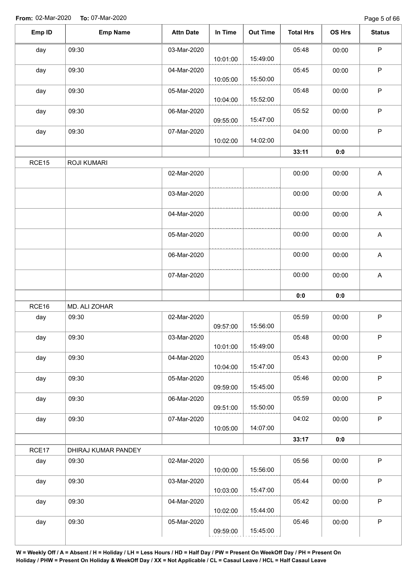| Emp ID | <b>Emp Name</b>     | <b>Attn Date</b> | In Time  | <b>Out Time</b> | <b>Total Hrs</b> | OS Hrs | <b>Status</b>             |
|--------|---------------------|------------------|----------|-----------------|------------------|--------|---------------------------|
| day    | 09:30               | 03-Mar-2020      | 10:01:00 | 15:49:00        | 05:48            | 00:00  | $\mathsf P$               |
| day    | 09:30               | 04-Mar-2020      | 10:05:00 | 15:50:00        | 05:45            | 00:00  | $\mathsf P$               |
| day    | 09:30               | 05-Mar-2020      | 10:04:00 | 15:52:00        | 05:48            | 00:00  | $\mathsf P$               |
| day    | 09:30               | 06-Mar-2020      | 09:55:00 | 15:47:00        | 05:52            | 00:00  | $\mathsf P$               |
| day    | 09:30               | 07-Mar-2020      | 10:02:00 | 14:02:00        | 04:00            | 00:00  | $\sf P$                   |
|        |                     |                  |          |                 | 33:11            | 0:0    |                           |
| RCE15  | ROJI KUMARI         |                  |          |                 |                  |        |                           |
|        |                     | 02-Mar-2020      |          |                 | 00:00            | 00:00  | $\boldsymbol{\mathsf{A}}$ |
|        |                     | 03-Mar-2020      |          |                 | 00:00            | 00:00  | $\mathsf A$               |
|        |                     | 04-Mar-2020      |          |                 | 00:00            | 00:00  | $\boldsymbol{\mathsf{A}}$ |
|        |                     | 05-Mar-2020      |          |                 | 00:00            | 00:00  | $\mathsf A$               |
|        |                     | 06-Mar-2020      |          |                 | 00:00            | 00:00  | $\mathsf A$               |
|        |                     | 07-Mar-2020      |          |                 | 00:00            | 00:00  | A                         |
|        |                     |                  |          |                 | 0:0              | 0:0    |                           |
| RCE16  | MD. ALI ZOHAR       |                  |          |                 |                  |        |                           |
| day    | 09:30               | 02-Mar-2020      | 09:57:00 | 15:56:00        | 05:59            | 00:00  | $\mathsf P$               |
| day    | 09:30               | 03-Mar-2020      | 10:01:00 | 15:49:00        | 05:48            | 00:00  | P                         |
| day    | 09:30               | 04-Mar-2020      | 10:04:00 | 15:47:00        | 05:43            | 00:00  | $\mathsf P$               |
| day    | 09:30               | 05-Mar-2020      | 09:59:00 | 15:45:00        | 05:46            | 00:00  | $\mathsf P$               |
| day    | 09:30               | 06-Mar-2020      | 09:51:00 | 15:50:00        | 05:59            | 00:00  | $\mathsf P$               |
| day    | 09:30               | 07-Mar-2020      | 10:05:00 | 14:07:00        | 04:02            | 00:00  | $\mathsf P$               |
|        |                     |                  |          |                 | 33:17            | 0:0    |                           |
| RCE17  | DHIRAJ KUMAR PANDEY |                  |          |                 |                  |        |                           |
| day    | 09:30               | 02-Mar-2020      | 10:00:00 | 15:56:00        | 05:56            | 00:00  | $\mathsf P$               |
| day    | 09:30               | 03-Mar-2020      | 10:03:00 | 15:47:00        | 05:44            | 00:00  | $\mathsf{P}$              |
| day    | 09:30               | 04-Mar-2020      | 10:02:00 | 15:44:00        | 05:42            | 00:00  | $\mathsf P$               |
| day    | 09:30               | 05-Mar-2020      |          |                 | 05:46            | 00:00  | $\mathsf P$               |
|        |                     |                  | 09:59:00 | 15:45:00        |                  |        |                           |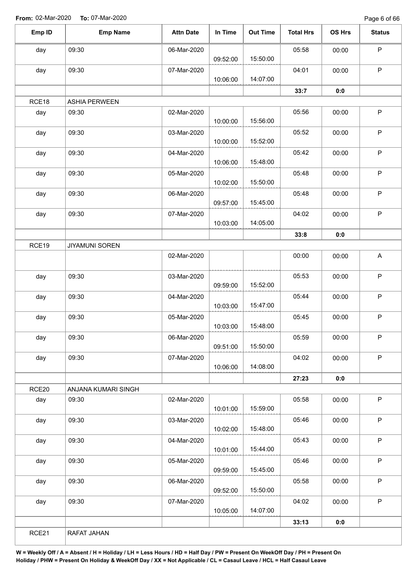Page 6 of 66

| Emp ID | <b>Emp Name</b>       | <b>Attn Date</b> | In Time  | <b>Out Time</b> | <b>Total Hrs</b> | OS Hrs | <b>Status</b> |
|--------|-----------------------|------------------|----------|-----------------|------------------|--------|---------------|
| day    | 09:30                 | 06-Mar-2020      |          |                 | 05:58            | 00:00  | P             |
|        |                       |                  | 09:52:00 | 15:50:00        |                  |        |               |
| day    | 09:30                 | 07-Mar-2020      |          |                 | 04:01            | 00:00  | $\mathsf P$   |
|        |                       |                  | 10:06:00 | 14:07:00        |                  |        |               |
|        |                       |                  |          |                 | 33:7             | 0:0    |               |
| RCE18  | <b>ASHIA PERWEEN</b>  |                  |          |                 |                  |        |               |
| day    | 09:30                 | 02-Mar-2020      | 10:00:00 | 15:56:00        | 05:56            | 00:00  | $\mathsf P$   |
| day    | 09:30                 | 03-Mar-2020      | 10:00:00 | 15:52:00        | 05:52            | 00:00  | $\sf P$       |
| day    | 09:30                 | 04-Mar-2020      | 10:06:00 | 15:48:00        | 05:42            | 00:00  | $\mathsf P$   |
| day    | 09:30                 | 05-Mar-2020      |          |                 | 05:48            | 00:00  | $\sf P$       |
|        |                       |                  | 10:02:00 | 15:50:00        |                  |        |               |
| day    | 09:30                 | 06-Mar-2020      |          |                 | 05:48            | 00:00  | $\mathsf P$   |
|        |                       |                  | 09:57:00 | 15:45:00        |                  |        |               |
| day    | 09:30                 | 07-Mar-2020      |          |                 | 04:02            | 00:00  | $\sf P$       |
|        |                       |                  | 10:03:00 | 14:05:00        |                  |        |               |
|        |                       |                  |          |                 | 33:8             | 0:0    |               |
| RCE19  | <b>JIYAMUNI SOREN</b> |                  |          |                 |                  |        |               |
|        |                       | 02-Mar-2020      |          |                 | 00:00            | 00:00  | A             |
| day    | 09:30                 | 03-Mar-2020      |          |                 | 05:53            | 00:00  | $\mathsf P$   |
|        |                       |                  | 09:59:00 | 15:52:00        |                  |        |               |
| day    | 09:30                 | 04-Mar-2020      |          |                 | 05:44            | 00:00  | $\mathsf P$   |
|        |                       |                  | 10:03:00 | 15:47:00        |                  |        |               |
| day    | 09:30                 | 05-Mar-2020      |          |                 | 05:45            | 00:00  | $\mathsf P$   |
|        |                       |                  | 10:03:00 | 15:48:00        |                  |        |               |
| day    | 09:30                 | 06-Mar-2020      | 09:51:00 | 15:50:00        | 05:59            | 00:00  | $\mathsf{P}$  |
| day    | 09:30                 | 07-Mar-2020      |          |                 | 04:02            | 00:00  | $\mathsf P$   |
|        |                       |                  | 10:06:00 | 14:08:00        |                  |        |               |
|        |                       |                  |          |                 | 27:23            | 0:0    |               |
| RCE20  | ANJANA KUMARI SINGH   |                  |          |                 |                  |        |               |
| day    | 09:30                 | 02-Mar-2020      |          |                 | 05:58            | 00:00  | $\sf P$       |
|        |                       |                  | 10:01:00 | 15:59:00        |                  |        |               |
| day    | 09:30                 | 03-Mar-2020      |          |                 | 05:46            | 00:00  | $\mathsf P$   |
|        |                       |                  | 10:02:00 | 15:48:00        |                  |        |               |
| day    | 09:30                 | 04-Mar-2020      |          |                 | 05:43            | 00:00  | $\mathsf P$   |
|        |                       |                  | 10:01:00 | 15:44:00        |                  |        |               |
| day    | 09:30                 | 05-Mar-2020      | 09:59:00 | 15:45:00        | 05:46            | 00:00  | P             |
|        | 09:30                 |                  |          |                 | 05:58            |        | $\sf P$       |
| day    |                       | 06-Mar-2020      | 09:52:00 | 15:50:00        |                  | 00:00  |               |
| day    | 09:30                 | 07-Mar-2020      |          |                 | 04:02            | 00:00  | $\mathsf P$   |
|        |                       |                  | 10:05:00 | 14:07:00        |                  |        |               |
|        |                       |                  |          |                 | 33:13            | 0:0    |               |
| RCE21  | RAFAT JAHAN           |                  |          |                 |                  |        |               |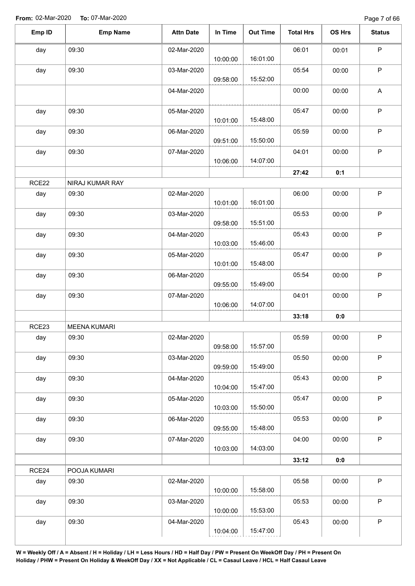| Emp ID | <b>Emp Name</b>     | <b>Attn Date</b> | In Time  | <b>Out Time</b> | <b>Total Hrs</b> | OS Hrs | <b>Status</b> |
|--------|---------------------|------------------|----------|-----------------|------------------|--------|---------------|
| day    | 09:30               | 02-Mar-2020      | 10:00:00 | 16:01:00        | 06:01            | 00:01  | $\sf P$       |
| day    | 09:30               | 03-Mar-2020      | 09:58:00 | 15:52:00        | 05:54            | 00:00  | $\mathsf P$   |
|        |                     | 04-Mar-2020      |          |                 | 00:00            | 00:00  | $\mathsf A$   |
| day    | 09:30               | 05-Mar-2020      | 10:01:00 | 15:48:00        | 05:47            | 00:00  | $\sf P$       |
| day    | 09:30               | 06-Mar-2020      | 09:51:00 | 15:50:00        | 05:59            | 00:00  | $\sf P$       |
| day    | 09:30               | 07-Mar-2020      | 10:06:00 | 14:07:00        | 04:01            | 00:00  | $\mathsf P$   |
|        |                     |                  |          |                 | 27:42            | 0:1    |               |
| RCE22  | NIRAJ KUMAR RAY     |                  |          |                 |                  |        |               |
| day    | 09:30               | 02-Mar-2020      | 10:01:00 | 16:01:00        | 06:00            | 00:00  | $\mathsf P$   |
| day    | 09:30               | 03-Mar-2020      | 09:58:00 | 15:51:00        | 05:53            | 00:00  | $\sf P$       |
| day    | 09:30               | 04-Mar-2020      | 10:03:00 | 15:46:00        | 05:43            | 00:00  | $\mathsf P$   |
| day    | 09:30               | 05-Mar-2020      | 10:01:00 | 15:48:00        | 05:47            | 00:00  | $\mathsf P$   |
| day    | 09:30               | 06-Mar-2020      | 09:55:00 | 15:49:00        | 05:54            | 00:00  | $\sf P$       |
| day    | 09:30               | 07-Mar-2020      | 10:06:00 | 14:07:00        | 04:01            | 00:00  | $\mathsf P$   |
|        |                     |                  |          |                 | 33:18            | 0:0    |               |
| RCE23  | <b>MEENA KUMARI</b> |                  |          |                 |                  |        |               |
| day    | 09:30               | 02-Mar-2020      | 09:58:00 | 15:57:00        | 05:59            | 00:00  | P             |
| day    | 09:30               | 03-Mar-2020      | 09:59:00 | 15:49:00        | 05:50            | 00:00  | $\sf P$       |
| day    | 09:30               | 04-Mar-2020      | 10:04:00 | 15:47:00        | 05:43            | 00:00  | P             |
| day    | 09:30               | 05-Mar-2020      | 10:03:00 | 15:50:00        | 05:47            | 00:00  | $\mathsf P$   |
| day    | 09:30               | 06-Mar-2020      | 09:55:00 | 15:48:00        | 05:53            | 00:00  | $\sf P$       |
| day    | 09:30               | 07-Mar-2020      | 10:03:00 | 14:03:00        | 04:00            | 00:00  | $\mathsf P$   |
|        |                     |                  |          |                 | 33:12            | 0:0    |               |
| RCE24  | POOJA KUMARI        |                  |          |                 |                  |        |               |
| day    | 09:30               | 02-Mar-2020      | 10:00:00 | 15:58:00        | 05:58            | 00:00  | $\sf P$       |
| day    | 09:30               | 03-Mar-2020      | 10:00:00 | 15:53:00        | 05:53            | 00:00  | $\mathsf{P}$  |
| day    | 09:30               | 04-Mar-2020      | 10:04:00 | 15:47:00        | 05:43            | 00:00  | $\sf P$       |
|        |                     |                  |          |                 |                  |        |               |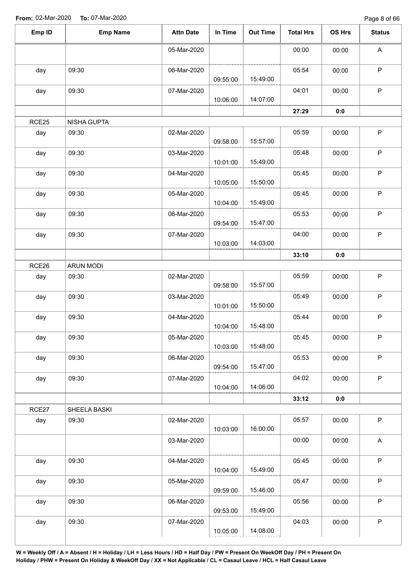Page 8 of 66

| Emp ID | <b>Emp Name</b>  | <b>Attn Date</b> | In Time  | <b>Out Time</b> | <b>Total Hrs</b> | OS Hrs | <b>Status</b> |
|--------|------------------|------------------|----------|-----------------|------------------|--------|---------------|
|        |                  | 05-Mar-2020      |          |                 | 00:00            | 00:00  | A             |
| day    | 09:30            | 06-Mar-2020      | 09:55:00 | 15:49:00        | 05:54            | 00:00  | $\sf P$       |
| day    | 09:30            | 07-Mar-2020      | 10:06:00 | 14:07:00        | 04:01            | 00:00  | $\mathsf P$   |
|        |                  |                  |          |                 | 27:29            | 0:0    |               |
| RCE25  | NISHA GUPTA      |                  |          |                 |                  |        |               |
| day    | 09:30            | 02-Mar-2020      | 09:58:00 | 15:57:00        | 05:59            | 00:00  | $\mathsf P$   |
| day    | 09:30            | 03-Mar-2020      | 10:01:00 | 15:49:00        | 05:48            | 00:00  | $\sf P$       |
| day    | 09:30            | 04-Mar-2020      | 10:05:00 | 15:50:00        | 05:45            | 00:00  | $\sf P$       |
| day    | 09:30            | 05-Mar-2020      | 10:04:00 | 15:49:00        | 05:45            | 00:00  | $\sf P$       |
| day    | 09:30            | 06-Mar-2020      | 09:54:00 | 15:47:00        | 05:53            | 00:00  | $\mathsf P$   |
| day    | 09:30            | 07-Mar-2020      | 10:03:00 | 14:03:00        | 04:00            | 00:00  | $\sf P$       |
|        |                  |                  |          |                 | 33:10            | 0:0    |               |
| RCE26  | <b>ARUN MODI</b> |                  |          |                 |                  |        |               |
| day    | 09:30            | 02-Mar-2020      | 09:58:00 | 15:57:00        | 05:59            | 00:00  | $\sf P$       |
| day    | 09:30            | 03-Mar-2020      | 10:01:00 | 15:50:00        | 05:49            | 00:00  | $\sf P$       |
| day    | 09:30            | 04-Mar-2020      | 10:04:00 | 15:48:00        | 05:44            | 00:00  | $\sf P$       |
| day    | 09:30            | 05-Mar-2020      | 10:03:00 | 15:48:00        | 05:45            | 00:00  | $\mathsf P$   |
| day    | 09:30            | 06-Mar-2020      | 09:54:00 | 15:47:00        | 05:53            | 00:00  | $\mathsf P$   |
| day    | 09:30            | 07-Mar-2020      | 10:04:00 | 14:06:00        | 04:02            | 00:00  | $\mathsf P$   |
|        |                  |                  |          |                 | 33:12            | 0:0    |               |
| RCE27  | SHEELA BASKI     |                  |          |                 |                  |        |               |
| day    | 09:30            | 02-Mar-2020      | 10:03:00 | 16:00:00        | 05:57            | 00:00  | $\mathsf P$   |
|        |                  | 03-Mar-2020      |          |                 | 00:00            | 00:00  | A             |
| day    | 09:30            | 04-Mar-2020      | 10:04:00 | 15:49:00        | 05:45            | 00:00  | $\mathsf P$   |
| day    | 09:30            | 05-Mar-2020      | 09:59:00 | 15:46:00        | 05:47            | 00:00  | $\sf P$       |
| day    | 09:30            | 06-Mar-2020      | 09:53:00 | 15:49:00        | 05:56            | 00:00  | $\mathsf P$   |
| day    | 09:30            | 07-Mar-2020      | 10:05:00 | 14:08:00        | 04:03            | 00:00  | $\mathsf P$   |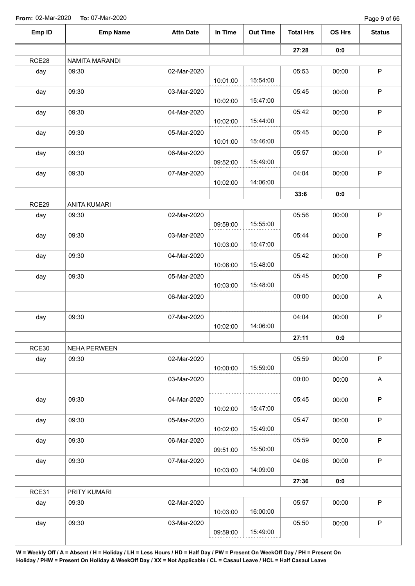Page 9 of 66

| Emp ID | <b>Emp Name</b>     | <b>Attn Date</b> | In Time  | <b>Out Time</b> | <b>Total Hrs</b> | OS Hrs | <b>Status</b> |
|--------|---------------------|------------------|----------|-----------------|------------------|--------|---------------|
|        |                     |                  |          |                 | 27:28            | 0:0    |               |
| RCE28  | NAMITA MARANDI      |                  |          |                 |                  |        |               |
| day    | 09:30               | 02-Mar-2020      | 10:01:00 | 15:54:00        | 05:53            | 00:00  | $\mathsf P$   |
| day    | 09:30               | 03-Mar-2020      |          |                 | 05:45            | 00:00  | P             |
| day    | 09:30               | 04-Mar-2020      | 10:02:00 | 15:47:00        | 05:42            | 00:00  | P             |
|        |                     |                  | 10:02:00 | 15:44:00        |                  |        |               |
| day    | 09:30               | 05-Mar-2020      | 10:01:00 | 15:46:00        | 05:45            | 00:00  | P             |
| day    | 09:30               | 06-Mar-2020      | 09:52:00 | 15:49:00        | 05:57            | 00:00  | $\sf P$       |
| day    | 09:30               | 07-Mar-2020      | 10:02:00 | 14:06:00        | 04:04            | 00:00  | $\mathsf P$   |
|        |                     |                  |          |                 | 33:6             | 0:0    |               |
| RCE29  | <b>ANITA KUMARI</b> |                  |          |                 |                  |        |               |
| day    | 09:30               | 02-Mar-2020      | 09:59:00 | 15:55:00        | 05:56            | 00:00  | $\sf P$       |
| day    | 09:30               | 03-Mar-2020      | 10:03:00 | 15:47:00        | 05:44            | 00:00  | $\sf P$       |
| day    | 09:30               | 04-Mar-2020      | 10:06:00 | 15:48:00        | 05:42            | 00:00  | P             |
| day    | 09:30               | 05-Mar-2020      |          |                 | 05:45            | 00:00  | P             |
|        |                     |                  | 10:03:00 | 15:48:00        |                  |        |               |
|        |                     | 06-Mar-2020      |          |                 | 00:00            | 00:00  | A             |
| day    | 09:30               | 07-Mar-2020      | 10:02:00 | 14:06:00        | 04:04            | 00:00  | P             |
|        |                     |                  |          |                 | 27:11            | 0:0    |               |
| RCE30  | <b>NEHA PERWEEN</b> |                  |          |                 |                  |        |               |
| day    | 09:30               | 02-Mar-2020      | 10:00:00 | 15:59:00        | 05:59            | 00:00  | $\sf P$       |
|        |                     | 03-Mar-2020      |          |                 | 00:00            | 00:00  | A             |
| day    | 09:30               | 04-Mar-2020      | 10:02:00 | 15:47:00        | 05:45            | 00:00  | $\mathsf P$   |
| day    | 09:30               | 05-Mar-2020      |          |                 | 05:47            | 00:00  | $\mathsf P$   |
| day    | 09:30               | 06-Mar-2020      | 10:02:00 | 15:49:00        | 05:59            | 00:00  | $\sf P$       |
|        |                     |                  | 09:51:00 | 15:50:00        |                  |        |               |
| day    | 09:30               | 07-Mar-2020      | 10:03:00 | 14:09:00        | 04:06            | 00:00  | $\mathsf P$   |
|        |                     |                  |          |                 | 27:36            | 0:0    |               |
| RCE31  | PRITY KUMARI        |                  |          |                 |                  |        |               |
| day    | 09:30               | 02-Mar-2020      | 10:03:00 | 16:00:00        | 05:57            | 00:00  | $\mathsf P$   |
| day    | 09:30               | 03-Mar-2020      | 09:59:00 | 15:49:00        | 05:50            | 00:00  | $\mathsf P$   |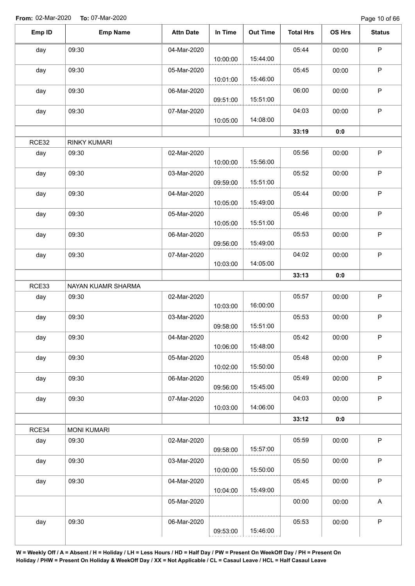Page 10 of 66

| Emp ID | <b>Emp Name</b>     | <b>Attn Date</b> | In Time  | <b>Out Time</b> | <b>Total Hrs</b> | OS Hrs | <b>Status</b> |
|--------|---------------------|------------------|----------|-----------------|------------------|--------|---------------|
| day    | 09:30               | 04-Mar-2020      |          |                 | 05:44            | 00:00  | $\mathsf P$   |
|        |                     |                  | 10:00:00 | 15:44:00        |                  |        |               |
| day    | 09:30               | 05-Mar-2020      | 10:01:00 | 15:46:00        | 05:45            | 00:00  | $\mathsf P$   |
| day    | 09:30               | 06-Mar-2020      |          |                 | 06:00            | 00:00  | $\sf P$       |
|        |                     |                  | 09:51:00 | 15:51:00        |                  |        |               |
| day    | 09:30               | 07-Mar-2020      | 10:05:00 | 14:08:00        | 04:03            | 00:00  | $\sf P$       |
|        |                     |                  |          |                 | 33:19            | 0:0    |               |
| RCE32  | <b>RINKY KUMARI</b> |                  |          |                 |                  |        |               |
| day    | 09:30               | 02-Mar-2020      | 10:00:00 | 15:56:00        | 05:56            | 00:00  | $\mathsf P$   |
| day    | 09:30               | 03-Mar-2020      |          | 15:51:00        | 05:52            | 00:00  | $\sf P$       |
|        |                     |                  | 09:59:00 |                 |                  |        |               |
| day    | 09:30               | 04-Mar-2020      | 10:05:00 | 15:49:00        | 05:44            | 00:00  | $\sf P$       |
| day    | 09:30               | 05-Mar-2020      | 10:05:00 | 15:51:00        | 05:46            | 00:00  | $\mathsf P$   |
| day    | 09:30               | 06-Mar-2020      | 09:56:00 | 15:49:00        | 05:53            | 00:00  | $\sf P$       |
|        |                     |                  |          |                 |                  |        |               |
| day    | 09:30               | 07-Mar-2020      | 10:03:00 | 14:05:00        | 04:02            | 00:00  | $\mathsf P$   |
|        |                     |                  |          |                 | 33:13            | 0:0    |               |
| RCE33  | NAYAN KUAMR SHARMA  |                  |          |                 |                  |        |               |
| day    | 09:30               | 02-Mar-2020      | 10:03:00 | 16:00:00        | 05:57            | 00:00  | $\sf P$       |
| day    | 09:30               | 03-Mar-2020      | 09:58:00 | 15:51:00        | 05:53            | 00:00  | $\sf P$       |
| day    | 09:30               | 04-Mar-2020      |          |                 | 05:42            | 00:00  | P             |
|        |                     |                  | 10:06:00 | 15:48:00        |                  |        |               |
| day    | 09:30               | 05-Mar-2020      | 10:02:00 | 15:50:00        | 05:48            | 00:00  | $\sf P$       |
| day    | 09:30               | 06-Mar-2020      | 09:56:00 | 15:45:00        | 05:49            | 00:00  | $\mathsf P$   |
| day    | 09:30               | 07-Mar-2020      |          |                 | 04:03            | 00:00  | $\mathsf P$   |
|        |                     |                  | 10:03:00 | 14:06:00        |                  |        |               |
|        |                     |                  |          |                 | 33:12            | 0:0    |               |
| RCE34  | <b>MONI KUMARI</b>  |                  |          |                 |                  |        |               |
| day    | 09:30               | 02-Mar-2020      | 09:58:00 | 15:57:00        | 05:59            | 00:00  | $\sf P$       |
| day    | 09:30               | 03-Mar-2020      | 10:00:00 | 15:50:00        | 05:50            | 00:00  | $\mathsf P$   |
| day    | 09:30               | 04-Mar-2020      |          |                 | 05:45            | 00:00  | $\sf P$       |
|        |                     |                  | 10:04:00 | 15:49:00        |                  |        |               |
|        |                     | 05-Mar-2020      |          |                 | 00:00            | 00:00  | $\mathsf{A}$  |
| day    | 09:30               | 06-Mar-2020      | 09:53:00 | 15:46:00        | 05:53            | 00:00  | $\sf P$       |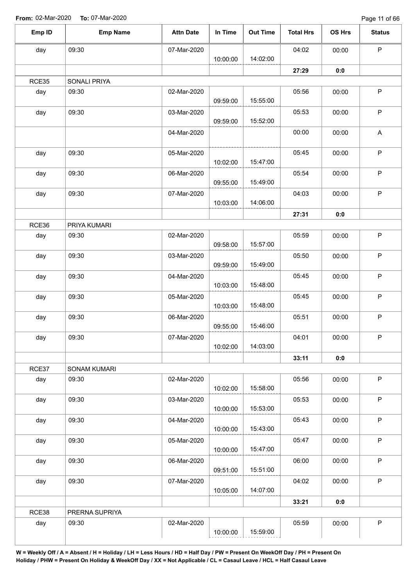Page 11 of 66

| Emp ID | <b>Emp Name</b> | <b>Attn Date</b> | In Time  | <b>Out Time</b> | <b>Total Hrs</b> | OS Hrs | <b>Status</b> |
|--------|-----------------|------------------|----------|-----------------|------------------|--------|---------------|
| day    | 09:30           | 07-Mar-2020      |          |                 | 04:02            | 00:00  | $\mathsf P$   |
|        |                 |                  | 10:00:00 | 14:02:00        |                  |        |               |
|        |                 |                  |          |                 | 27:29            | 0:0    |               |
| RCE35  | SONALI PRIYA    |                  |          |                 |                  |        |               |
| day    | 09:30           | 02-Mar-2020      |          |                 | 05:56            | 00:00  | $\sf P$       |
|        |                 |                  | 09:59:00 | 15:55:00        |                  |        |               |
| day    | 09:30           | 03-Mar-2020      | 09:59:00 | 15:52:00        | 05:53            | 00:00  | $\sf P$       |
|        |                 | 04-Mar-2020      |          |                 | 00:00            | 00:00  | A             |
|        |                 |                  |          |                 |                  |        |               |
| day    | 09:30           | 05-Mar-2020      | 10:02:00 | 15:47:00        | 05:45            | 00:00  | $\mathsf P$   |
| day    | 09:30           | 06-Mar-2020      |          |                 | 05:54            | 00:00  | P             |
|        |                 |                  | 09:55:00 | 15:49:00        |                  |        |               |
| day    | 09:30           | 07-Mar-2020      |          |                 | 04:03            | 00:00  | $\sf P$       |
|        |                 |                  | 10:03:00 | 14:06:00        |                  |        |               |
|        |                 |                  |          |                 | 27:31            | 0:0    |               |
| RCE36  | PRIYA KUMARI    |                  |          |                 |                  |        |               |
| day    | 09:30           | 02-Mar-2020      |          |                 | 05:59            | 00:00  | P             |
|        |                 |                  | 09:58:00 | 15:57:00        |                  |        |               |
| day    | 09:30           | 03-Mar-2020      |          |                 | 05:50            | 00:00  | P             |
|        |                 |                  | 09:59:00 | 15:49:00        |                  |        |               |
| day    | 09:30           | 04-Mar-2020      |          |                 | 05:45            | 00:00  | $\sf P$       |
|        |                 |                  | 10:03:00 | 15:48:00        |                  |        |               |
| day    | 09:30           | 05-Mar-2020      | 10:03:00 | 15:48:00        | 05:45            | 00:00  | $\mathsf P$   |
| day    | 09:30           | 06-Mar-2020      |          |                 | 05:51            | 00:00  | $\sf P$       |
|        |                 |                  | 09:55:00 | 15:46:00        |                  |        |               |
| day    | 09:30           | 07-Mar-2020      |          |                 | 04:01            | 00:00  | P             |
|        |                 |                  | 10:02:00 | 14:03:00        |                  |        |               |
|        |                 |                  |          |                 | 33:11            | 0:0    |               |
| RCE37  | SONAM KUMARI    |                  |          |                 |                  |        |               |
| day    | 09:30           | 02-Mar-2020      |          |                 | 05:56            | 00:00  | $\mathsf P$   |
|        |                 |                  | 10:02:00 | 15:58:00        |                  |        |               |
| day    | 09:30           | 03-Mar-2020      |          |                 | 05:53            | 00:00  | $\mathsf P$   |
|        |                 |                  | 10:00:00 | 15:53:00        |                  |        |               |
| day    | 09:30           | 04-Mar-2020      |          |                 | 05:43            | 00:00  | $\mathsf P$   |
|        |                 |                  | 10:00:00 | 15:43:00        |                  |        |               |
| day    | 09:30           | 05-Mar-2020      |          |                 | 05:47            | 00:00  | P             |
|        |                 |                  | 10:00:00 | 15:47:00        |                  |        |               |
| day    | 09:30           | 06-Mar-2020      | 09:51:00 | 15:51:00        | 06:00            | 00:00  | P             |
|        | 09:30           | 07-Mar-2020      |          |                 | 04:02            | 00:00  | $\sf P$       |
| day    |                 |                  | 10:05:00 | 14:07:00        |                  |        |               |
|        |                 |                  |          |                 | 33:21            | 0:0    |               |
| RCE38  | PRERNA SUPRIYA  |                  |          |                 |                  |        |               |
| day    | 09:30           | 02-Mar-2020      |          |                 | 05:59            | 00:00  | $\mathsf P$   |
|        |                 |                  | 10:00:00 | 15:59:00        |                  |        |               |
|        |                 |                  |          |                 |                  |        |               |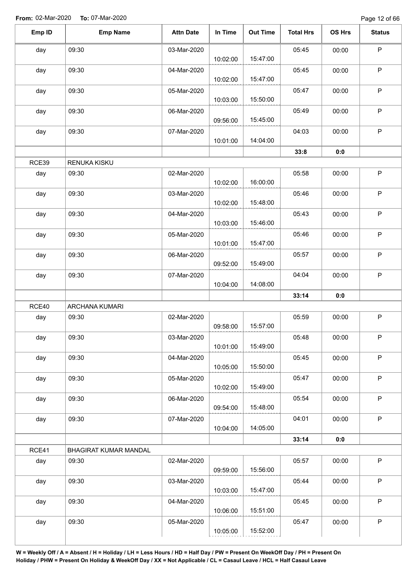| Emp ID | <b>Emp Name</b>       | <b>Attn Date</b> | In Time  | <b>Out Time</b> | <b>Total Hrs</b> | OS Hrs | <b>Status</b> |
|--------|-----------------------|------------------|----------|-----------------|------------------|--------|---------------|
| day    | 09:30                 | 03-Mar-2020      | 10:02:00 | 15:47:00        | 05:45            | 00:00  | $\mathsf P$   |
| day    | 09:30                 | 04-Mar-2020      | 10:02:00 | 15:47:00        | 05:45            | 00:00  | $\mathsf P$   |
| day    | 09:30                 | 05-Mar-2020      | 10:03:00 | 15:50:00        | 05:47            | 00:00  | $\mathsf P$   |
| day    | 09:30                 | 06-Mar-2020      | 09:56:00 | 15:45:00        | 05:49            | 00:00  | $\sf P$       |
| day    | 09:30                 | 07-Mar-2020      | 10:01:00 | 14:04:00        | 04:03            | 00:00  | $\mathsf P$   |
|        |                       |                  |          |                 | 33:8             | 0:0    |               |
| RCE39  | RENUKA KISKU          |                  |          |                 |                  |        |               |
| day    | 09:30                 | 02-Mar-2020      | 10:02:00 | 16:00:00        | 05:58            | 00:00  | P             |
| day    | 09:30                 | 03-Mar-2020      | 10:02:00 | 15:48:00        | 05:46            | 00:00  | $\mathsf P$   |
| day    | 09:30                 | 04-Mar-2020      | 10:03:00 | 15:46:00        | 05:43            | 00:00  | $\mathsf P$   |
| day    | 09:30                 | 05-Mar-2020      | 10:01:00 | 15:47:00        | 05:46            | 00:00  | $\mathsf P$   |
| day    | 09:30                 | 06-Mar-2020      | 09:52:00 | 15:49:00        | 05:57            | 00:00  | $\mathsf P$   |
| day    | 09:30                 | 07-Mar-2020      | 10:04:00 | 14:08:00        | 04:04            | 00:00  | $\mathsf P$   |
|        |                       |                  |          |                 | 33:14            | 0:0    |               |
| RCE40  | ARCHANA KUMARI        |                  |          |                 |                  |        |               |
| day    | 09:30                 | 02-Mar-2020      | 09:58:00 | 15:57:00        | 05:59            | 00:00  | $\sf P$       |
| day    | 09:30                 | 03-Mar-2020      | 10:01:00 | 15:49:00        | 05:48            | 00:00  | $\mathsf P$   |
| day    | 09:30                 | 04-Mar-2020      | 10:05:00 | 15:50:00        | 05:45            | 00:00  | $\mathsf P$   |
| day    | 09:30                 | 05-Mar-2020      | 10:02:00 | 15:49:00        | 05:47            | 00:00  | P             |
| day    | 09:30                 | 06-Mar-2020      | 09:54:00 | 15:48:00        | 05:54            | 00:00  | $\sf P$       |
| day    | 09:30                 | 07-Mar-2020      | 10:04:00 | 14:05:00        | 04:01            | 00:00  | $\mathsf P$   |
|        |                       |                  |          |                 | 33:14            | 0:0    |               |
| RCE41  | BHAGIRAT KUMAR MANDAL |                  |          |                 |                  |        |               |
| day    | 09:30                 | 02-Mar-2020      | 09:59:00 | 15:56:00        | 05:57            | 00:00  | $\mathsf P$   |
| day    | 09:30                 | 03-Mar-2020      | 10:03:00 | 15:47:00        | 05:44            | 00:00  | $\mathsf P$   |
| day    | 09:30                 | 04-Mar-2020      | 10:06:00 | 15:51:00        | 05:45            | 00:00  | $\sf P$       |
| day    | 09:30                 | 05-Mar-2020      | 10:05:00 | 15:52:00        | 05:47            | 00:00  | $\mathsf P$   |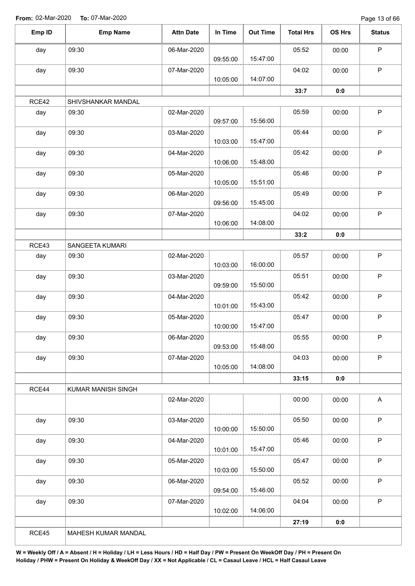Page 13 of 66

| Emp ID | <b>Emp Name</b>    | <b>Attn Date</b> | In Time  | <b>Out Time</b> | <b>Total Hrs</b> | OS Hrs | <b>Status</b>             |
|--------|--------------------|------------------|----------|-----------------|------------------|--------|---------------------------|
| day    | 09:30              | 06-Mar-2020      |          |                 | 05:52            | 00:00  | $\sf P$                   |
|        |                    |                  | 09:55:00 | 15:47:00        |                  |        |                           |
| day    | 09:30              | 07-Mar-2020      |          |                 | 04:02            | 00:00  | $\sf P$                   |
|        |                    |                  | 10:05:00 | 14:07:00        |                  |        |                           |
|        |                    |                  |          |                 | 33:7             | 0:0    |                           |
| RCE42  | SHIVSHANKAR MANDAL |                  |          |                 |                  |        |                           |
| day    | 09:30              | 02-Mar-2020      | 09:57:00 | 15:56:00        | 05:59            | 00:00  | $\sf P$                   |
| day    | 09:30              | 03-Mar-2020      | 10:03:00 | 15:47:00        | 05:44            | 00:00  | $\mathsf P$               |
| day    | 09:30              | 04-Mar-2020      | 10:06:00 | 15:48:00        | 05:42            | 00:00  | $\mathsf P$               |
| day    | 09:30              | 05-Mar-2020      |          |                 | 05:46            | 00:00  | $\mathsf P$               |
|        |                    |                  | 10:05:00 | 15:51:00        |                  |        |                           |
| day    | 09:30              | 06-Mar-2020      |          |                 | 05:49            | 00:00  | $\sf P$                   |
|        |                    |                  | 09:56:00 | 15:45:00        |                  |        |                           |
| day    | 09:30              | 07-Mar-2020      |          |                 | 04:02            | 00:00  | $\mathsf P$               |
|        |                    |                  | 10:06:00 | 14:08:00        |                  |        |                           |
|        |                    |                  |          |                 | 33:2             | 0:0    |                           |
| RCE43  | SANGEETA KUMARI    |                  |          |                 |                  |        |                           |
| day    | 09:30              | 02-Mar-2020      | 10:03:00 | 16:00:00        | 05:57            | 00:00  | $\sf P$                   |
|        |                    |                  |          |                 |                  |        | $\sf P$                   |
| day    | 09:30              | 03-Mar-2020      | 09:59:00 | 15:50:00        | 05:51            | 00:00  |                           |
| day    | 09:30              | 04-Mar-2020      |          |                 | 05:42            | 00:00  | $\mathsf P$               |
|        |                    |                  | 10:01:00 | 15:43:00        |                  |        |                           |
| day    | 09:30              | 05-Mar-2020      |          |                 | 05:47            | 00:00  | $\mathsf P$               |
|        |                    |                  | 10:00:00 | 15:47:00        |                  |        |                           |
| day    | 09:30              | 06-Mar-2020      |          |                 | 05:55            | 00:00  | $\mathsf P$               |
|        |                    |                  | 09:53:00 | 15:48:00        |                  |        |                           |
| day    | 09:30              | 07-Mar-2020      |          | 14:08:00        | 04:03            | 00:00  | $\sf P$                   |
|        |                    |                  | 10:05:00 |                 | 33:15            | 0:0    |                           |
| RCE44  | KUMAR MANISH SINGH |                  |          |                 |                  |        |                           |
|        |                    | 02-Mar-2020      |          |                 | 00:00            | 00:00  | $\boldsymbol{\mathsf{A}}$ |
|        |                    |                  |          |                 |                  |        |                           |
| day    | 09:30              | 03-Mar-2020      |          |                 | 05:50            | 00:00  | $\mathsf P$               |
|        |                    |                  | 10:00:00 | 15:50:00        |                  |        |                           |
| day    | 09:30              | 04-Mar-2020      |          |                 | 05:46            | 00:00  | $\sf P$                   |
|        |                    |                  | 10:01:00 | 15:47:00        |                  |        |                           |
| day    | 09:30              | 05-Mar-2020      |          |                 | 05:47            | 00:00  | $\mathsf P$               |
|        |                    |                  | 10:03:00 | 15:50:00        |                  |        |                           |
| day    | 09:30              | 06-Mar-2020      |          |                 | 05:52            | 00:00  | $\sf P$                   |
|        |                    |                  | 09:54:00 | 15:46:00        |                  |        |                           |
| day    | 09:30              | 07-Mar-2020      |          |                 | 04:04            | 00:00  | $\sf P$                   |
|        |                    |                  | 10:02:00 | 14:06:00        |                  |        |                           |
|        |                    |                  |          |                 | 27:19            | 0:0    |                           |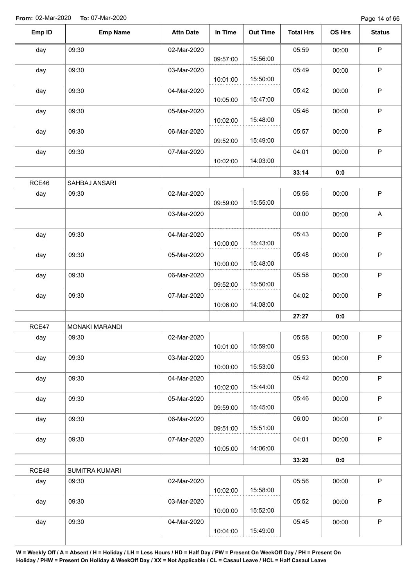Page 14 of 66

| Emp ID | <b>Emp Name</b>       | <b>Attn Date</b> | In Time  | <b>Out Time</b> | <b>Total Hrs</b> | OS Hrs | <b>Status</b> |
|--------|-----------------------|------------------|----------|-----------------|------------------|--------|---------------|
| day    | 09:30                 | 02-Mar-2020      | 09:57:00 | 15:56:00        | 05:59            | 00:00  | $\sf P$       |
| day    | 09:30                 | 03-Mar-2020      | 10:01:00 | 15:50:00        | 05:49            | 00:00  | $\sf P$       |
| day    | 09:30                 | 04-Mar-2020      | 10:05:00 | 15:47:00        | 05:42            | 00:00  | P             |
| day    | 09:30                 | 05-Mar-2020      | 10:02:00 | 15:48:00        | 05:46            | 00:00  | P             |
| day    | 09:30                 | 06-Mar-2020      | 09:52:00 | 15:49:00        | 05:57            | 00:00  | $\mathsf P$   |
| day    | 09:30                 | 07-Mar-2020      | 10:02:00 | 14:03:00        | 04:01            | 00:00  | $\mathsf P$   |
|        |                       |                  |          |                 | 33:14            | 0:0    |               |
| RCE46  | SAHBAJ ANSARI         |                  |          |                 |                  |        |               |
| day    | 09:30                 | 02-Mar-2020      | 09:59:00 | 15:55:00        | 05:56            | 00:00  | $\mathsf P$   |
|        |                       | 03-Mar-2020      |          |                 | 00:00            | 00:00  | A             |
| day    | 09:30                 | 04-Mar-2020      | 10:00:00 | 15:43:00        | 05:43            | 00:00  | $\sf P$       |
| day    | 09:30                 | 05-Mar-2020      | 10:00:00 | 15:48:00        | 05:48            | 00:00  | $\mathsf P$   |
| day    | 09:30                 | 06-Mar-2020      | 09:52:00 | 15:50:00        | 05:58            | 00:00  | $\mathsf P$   |
| day    | 09:30                 | 07-Mar-2020      | 10:06:00 | 14:08:00        | 04:02            | 00:00  | $\mathsf P$   |
|        |                       |                  |          |                 | 27:27            | 0:0    |               |
| RCE47  | <b>MONAKI MARANDI</b> |                  |          |                 |                  |        |               |
| day    | 09:30                 | 02-Mar-2020      | 10:01:00 | 15:59:00        | 05:58            | 00:00  | P             |
| day    | 09:30                 | 03-Mar-2020      | 10:00:00 | 15:53:00        | 05:53            | 00:00  | $\mathsf P$   |
| day    | 09:30                 | 04-Mar-2020      | 10:02:00 | 15:44:00        | 05:42            | 00:00  | $\mathsf P$   |
| day    | 09:30                 | 05-Mar-2020      | 09:59:00 | 15:45:00        | 05:46            | 00:00  | $\mathsf P$   |
| day    | 09:30                 | 06-Mar-2020      | 09:51:00 | 15:51:00        | 06:00            | 00:00  | $\mathsf P$   |
| day    | 09:30                 | 07-Mar-2020      | 10:05:00 | 14:06:00        | 04:01            | 00:00  | $\sf P$       |
|        |                       |                  |          |                 | 33:20            | 0:0    |               |
| RCE48  | SUMITRA KUMARI        |                  |          |                 |                  |        |               |
| day    | 09:30                 | 02-Mar-2020      | 10:02:00 | 15:58:00        | 05:56            | 00:00  | $\mathsf P$   |
| day    | 09:30                 | 03-Mar-2020      | 10:00:00 | 15:52:00        | 05:52            | 00:00  | $\sf P$       |
| day    | 09:30                 | 04-Mar-2020      | 10:04:00 | 15:49:00        | 05:45            | 00:00  | $\mathsf P$   |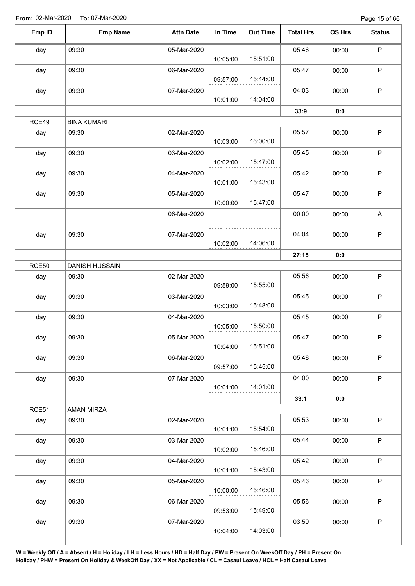Page 15 of 66

| Emp ID       | <b>Emp Name</b>    | <b>Attn Date</b> | In Time  | <b>Out Time</b> | <b>Total Hrs</b> | OS Hrs | <b>Status</b> |
|--------------|--------------------|------------------|----------|-----------------|------------------|--------|---------------|
| day          | 09:30              | 05-Mar-2020      |          |                 | 05:46            | 00:00  | $\sf P$       |
|              |                    |                  | 10:05:00 | 15:51:00        |                  |        |               |
| day          | 09:30              | 06-Mar-2020      | 09:57:00 | 15:44:00        | 05:47            | 00:00  | $\mathsf P$   |
| day          | 09:30              | 07-Mar-2020      |          | 14:04:00        | 04:03            | 00:00  | $\mathsf P$   |
|              |                    |                  | 10:01:00 |                 |                  |        |               |
|              |                    |                  |          |                 | 33:9             | 0:0    |               |
| RCE49        | <b>BINA KUMARI</b> |                  |          |                 |                  |        |               |
| day          | 09:30              | 02-Mar-2020      | 10:03:00 | 16:00:00        | 05:57            | 00:00  | $\mathsf P$   |
| day          | 09:30              | 03-Mar-2020      | 10:02:00 | 15:47:00        | 05:45            | 00:00  | P             |
| day          | 09:30              | 04-Mar-2020      |          |                 | 05:42            | 00:00  | $\mathsf P$   |
|              |                    |                  | 10:01:00 | 15:43:00        |                  |        |               |
| day          | 09:30              | 05-Mar-2020      | 10:00:00 | 15:47:00        | 05:47            | 00:00  | $\mathsf P$   |
|              |                    | 06-Mar-2020      |          |                 | 00:00            | 00:00  | A             |
| day          | 09:30              | 07-Mar-2020      |          |                 | 04:04            | 00:00  | $\mathsf P$   |
|              |                    |                  | 10:02:00 | 14:06:00        |                  |        |               |
|              |                    |                  |          |                 | 27:15            | 0:0    |               |
| <b>RCE50</b> | DANISH HUSSAIN     |                  |          |                 |                  |        |               |
| day          | 09:30              | 02-Mar-2020      |          |                 | 05:56            | 00:00  | ${\sf P}$     |
|              |                    |                  | 09:59:00 | 15:55:00        |                  |        |               |
| day          | 09:30              | 03-Mar-2020      | 10:03:00 | 15:48:00        | 05:45            | 00:00  | $\mathsf P$   |
| day          | 09:30              | 04-Mar-2020      |          |                 | 05:45            | 00:00  | P             |
|              |                    |                  | 10:05:00 | 15:50:00        |                  |        |               |
| day          | 09:30              | 05-Mar-2020      |          |                 | 05:47            | 00:00  | P             |
|              |                    |                  | 10:04:00 | 15:51:00        |                  |        |               |
| day          | 09:30              | 06-Mar-2020      |          |                 | 05:48            | 00:00  | $\mathsf P$   |
|              |                    |                  | 09:57:00 | 15:45:00        |                  |        |               |
| day          | 09:30              | 07-Mar-2020      |          |                 | 04:00            | 00:00  | $\mathsf P$   |
|              |                    |                  | 10:01:00 | 14:01:00        |                  |        |               |
|              |                    |                  |          |                 | 33:1             | 0:0    |               |
| RCE51        | <b>AMAN MIRZA</b>  |                  |          |                 |                  |        |               |
| day          | 09:30              | 02-Mar-2020      | 10:01:00 | 15:54:00        | 05:53            | 00:00  | $\sf P$       |
| day          | 09:30              | 03-Mar-2020      |          |                 | 05:44            | 00:00  | $\mathsf P$   |
|              |                    |                  | 10:02:00 | 15:46:00        |                  |        |               |
| day          | 09:30              | 04-Mar-2020      |          |                 | 05:42            | 00:00  | $\sf P$       |
|              |                    |                  | 10:01:00 | 15:43:00        |                  |        |               |
| day          | 09:30              | 05-Mar-2020      |          |                 | 05:46            | 00:00  | $\mathsf P$   |
|              |                    |                  | 10:00:00 | 15:46:00        |                  |        |               |
| day          | 09:30              | 06-Mar-2020      |          |                 | 05:56            | 00:00  | $\mathsf P$   |
|              |                    |                  | 09:53:00 | 15:49:00        |                  |        |               |
| day          | 09:30              | 07-Mar-2020      |          |                 | 03:59            | 00:00  | $\sf P$       |
|              |                    |                  | 10:04:00 | 14:03:00        |                  |        |               |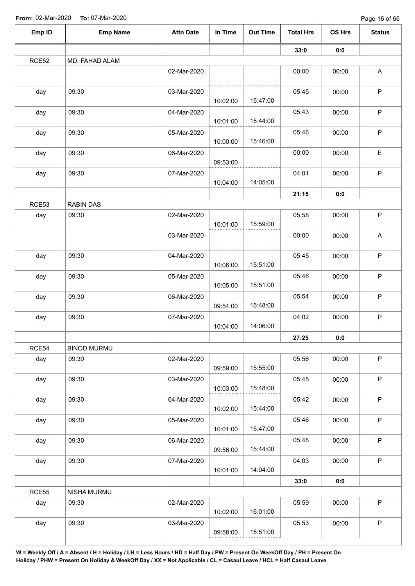| Emp ID | <b>Emp Name</b>    | <b>Attn Date</b> | In Time  | <b>Out Time</b> | <b>Total Hrs</b> | OS Hrs | <b>Status</b>             |
|--------|--------------------|------------------|----------|-----------------|------------------|--------|---------------------------|
|        |                    |                  |          |                 | 33:0             | 0:0    |                           |
| RCE52  | MD. FAHAD ALAM     |                  |          |                 |                  |        |                           |
|        |                    | 02-Mar-2020      |          |                 | 00:00            | 00:00  | A                         |
| day    | 09:30              | 03-Mar-2020      | 10:02:00 | 15:47:00        | 05:45            | 00:00  | $\mathsf P$               |
| day    | 09:30              | 04-Mar-2020      | 10:01:00 | 15:44:00        | 05:43            | 00:00  | $\sf P$                   |
| day    | 09:30              | 05-Mar-2020      | 10:00:00 | 15:46:00        | 05:46            | 00:00  | $\sf P$                   |
| day    | 09:30              | 06-Mar-2020      | 09:53:00 |                 | 00:00            | 00:00  | E                         |
| day    | 09:30              | 07-Mar-2020      | 10:04:00 | 14:05:00        | 04:01            | 00:00  | $\mathsf P$               |
|        |                    |                  |          |                 | 21:15            | 0:0    |                           |
| RCE53  | <b>RABIN DAS</b>   |                  |          |                 |                  |        |                           |
| day    | 09:30              | 02-Mar-2020      | 10:01:00 | 15:59:00        | 05:58            | 00:00  | $\mathsf P$               |
|        |                    | 03-Mar-2020      |          |                 | 00:00            | 00:00  | $\boldsymbol{\mathsf{A}}$ |
| day    | 09:30              | 04-Mar-2020      | 10:06:00 | 15:51:00        | 05:45            | 00:00  | $\mathsf P$               |
| day    | 09:30              | 05-Mar-2020      | 10:05:00 | 15:51:00        | 05:46            | 00:00  | $\sf P$                   |
| day    | 09:30              | 06-Mar-2020      | 09:54:00 | 15:48:00        | 05:54            | 00:00  | $\mathsf P$               |
| day    | 09:30              | 07-Mar-2020      | 10:04:00 | 14:06:00        | 04:02            | 00:00  | $\sf P$                   |
|        |                    |                  |          |                 | 27:25            | 0:0    |                           |
| RCE54  | <b>BINOD MURMU</b> |                  |          |                 |                  |        |                           |
| day    | 09:30              | 02-Mar-2020      | 09:59:00 | 15:55:00        | 05:56            | 00:00  | $\sf P$                   |
| day    | 09:30              | 03-Mar-2020      | 10:03:00 | 15:48:00        | 05:45            | 00:00  | $\mathsf P$               |
| day    | 09:30              | 04-Mar-2020      | 10:02:00 | 15:44:00        | 05:42            | 00:00  | $\mathsf P$               |
| day    | 09:30              | 05-Mar-2020      | 10:01:00 | 15:47:00        | 05:46            | 00:00  | $\mathsf P$               |
| day    | 09:30              | 06-Mar-2020      | 09:56:00 | 15:44:00        | 05:48            | 00:00  | $\sf P$                   |
| day    | 09:30              | 07-Mar-2020      | 10:01:00 | 14:04:00        | 04:03            | 00:00  | $\mathsf P$               |
|        |                    |                  |          |                 | 33:0             | 0:0    |                           |
| RCE55  | NISHA MURMU        |                  |          |                 |                  |        |                           |
| day    | 09:30              | 02-Mar-2020      | 10:02:00 | 16:01:00        | 05:59            | 00:00  | P                         |
| day    | 09:30              | 03-Mar-2020      | 09:58:00 | 15:51:00        | 05:53            | 00:00  | $\sf P$                   |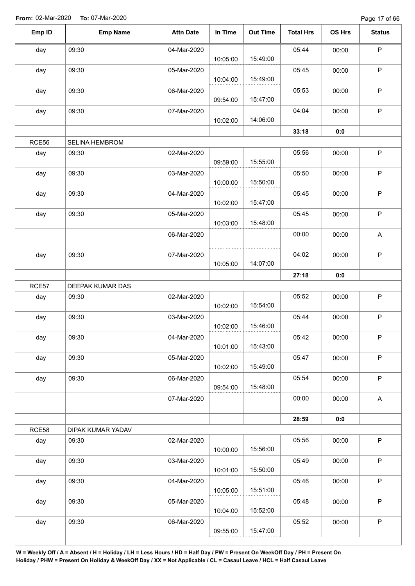Page 17 of 66

| Emp ID | <b>Emp Name</b>   | <b>Attn Date</b> | In Time  | <b>Out Time</b> | <b>Total Hrs</b> | OS Hrs | <b>Status</b>             |
|--------|-------------------|------------------|----------|-----------------|------------------|--------|---------------------------|
| day    | 09:30             | 04-Mar-2020      |          | 15:49:00        | 05:44            | 00:00  | $\sf P$                   |
| day    | 09:30             | 05-Mar-2020      | 10:05:00 |                 | 05:45            | 00:00  | $\sf P$                   |
|        |                   |                  | 10:04:00 | 15:49:00        |                  |        |                           |
| day    | 09:30             | 06-Mar-2020      |          |                 | 05:53            | 00:00  | $\sf P$                   |
|        |                   |                  | 09:54:00 | 15:47:00        |                  |        |                           |
| day    | 09:30             | 07-Mar-2020      |          |                 | 04:04            | 00:00  | $\mathsf P$               |
|        |                   |                  | 10:02:00 | 14:06:00        |                  |        |                           |
|        |                   |                  |          |                 | 33:18            | 0:0    |                           |
| RCE56  | SELINA HEMBROM    |                  |          |                 |                  |        |                           |
| day    | 09:30             | 02-Mar-2020      | 09:59:00 | 15:55:00        | 05:56            | 00:00  | $\mathsf P$               |
| day    | 09:30             | 03-Mar-2020      | 10:00:00 | 15:50:00        | 05:50            | 00:00  | $\sf P$                   |
| day    | 09:30             | 04-Mar-2020      |          |                 | 05:45            | 00:00  | P                         |
|        |                   |                  | 10:02:00 | 15:47:00        |                  |        |                           |
| day    | 09:30             | 05-Mar-2020      | 10:03:00 | 15:48:00        | 05:45            | 00:00  | $\mathsf P$               |
|        |                   | 06-Mar-2020      |          |                 | 00:00            | 00:00  | A                         |
| day    | 09:30             | 07-Mar-2020      |          |                 | 04:02            | 00:00  | $\mathsf P$               |
|        |                   |                  | 10:05:00 | 14:07:00        |                  |        |                           |
|        |                   |                  |          |                 | 27:18            | 0:0    |                           |
| RCE57  | DEEPAK KUMAR DAS  |                  |          |                 |                  |        |                           |
| day    | 09:30             | 02-Mar-2020      |          |                 | 05:52            | 00:00  | $\sf P$                   |
|        |                   |                  | 10:02:00 | 15:54:00        |                  |        |                           |
| day    | 09:30             | 03-Mar-2020      | 10:02:00 | 15:46:00        | 05:44            | 00:00  | $\sf P$                   |
| day    | 09:30             | 04-Mar-2020      | 10:01:00 | 15:43:00        | 05:42            | 00:00  | P                         |
| day    | 09:30             | 05-Mar-2020      | 10:02:00 | 15:49:00        | 05:47            | 00:00  | $\sf P$                   |
| day    | 09:30             | 06-Mar-2020      |          | 15:48:00        | 05:54            | 00:00  | $\mathsf P$               |
|        |                   | 07-Mar-2020      | 09:54:00 |                 | 00:00            | 00:00  | $\boldsymbol{\mathsf{A}}$ |
|        |                   |                  |          |                 | 28:59            | 0:0    |                           |
| RCE58  | DIPAK KUMAR YADAV |                  |          |                 |                  |        |                           |
| day    | 09:30             | 02-Mar-2020      | 10:00:00 | 15:56:00        | 05:56            | 00:00  | $\mathsf P$               |
| day    | 09:30             | 03-Mar-2020      | 10:01:00 | 15:50:00        | 05:49            | 00:00  | $\mathsf P$               |
|        | 09:30             | 04-Mar-2020      |          |                 | 05:46            | 00:00  | $\mathsf P$               |
| day    |                   |                  | 10:05:00 | 15:51:00        |                  |        |                           |
| day    | 09:30             | 05-Mar-2020      |          |                 | 05:48            | 00:00  | $\mathsf P$               |
|        |                   |                  | 10:04:00 | 15:52:00        |                  |        |                           |
|        |                   |                  |          |                 |                  |        |                           |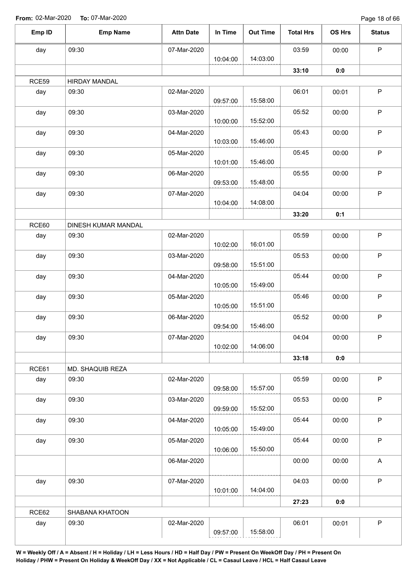Page 18 of 66

| Emp ID | <b>Emp Name</b>              | <b>Attn Date</b> | In Time  | <b>Out Time</b> | <b>Total Hrs</b> | OS Hrs | <b>Status</b> |
|--------|------------------------------|------------------|----------|-----------------|------------------|--------|---------------|
| day    | 09:30                        | 07-Mar-2020      |          |                 | 03:59            | 00:00  | $\sf P$       |
|        |                              |                  | 10:04:00 | 14:03:00        |                  |        |               |
|        |                              |                  |          |                 | 33:10            | 0:0    |               |
| RCE59  | HIRDAY MANDAL                |                  |          |                 |                  |        |               |
| day    | 09:30                        | 02-Mar-2020      | 09:57:00 | 15:58:00        | 06:01            | 00:01  | $\sf P$       |
| day    | 09:30                        | 03-Mar-2020      |          |                 | 05:52            | 00:00  | $\sf P$       |
|        |                              |                  | 10:00:00 | 15:52:00        |                  |        |               |
| day    | 09:30                        | 04-Mar-2020      | 10:03:00 | 15:46:00        | 05:43            | 00:00  | $\sf P$       |
| day    | 09:30                        | 05-Mar-2020      | 10:01:00 | 15:46:00        | 05:45            | 00:00  | $\mathsf P$   |
| day    | 09:30                        | 06-Mar-2020      | 09:53:00 | 15:48:00        | 05:55            | 00:00  | $\sf P$       |
| day    | 09:30                        | 07-Mar-2020      |          |                 | 04:04            | 00:00  | $\sf P$       |
|        |                              |                  | 10:04:00 | 14:08:00        | 33:20            |        |               |
|        |                              |                  |          |                 |                  | 0:1    |               |
| RCE60  | DINESH KUMAR MANDAL<br>09:30 | 02-Mar-2020      |          |                 | 05:59            | 00:00  | $\sf P$       |
| day    |                              |                  | 10:02:00 | 16:01:00        |                  |        |               |
| day    | 09:30                        | 03-Mar-2020      | 09:58:00 | 15:51:00        | 05:53            | 00:00  | $\sf P$       |
| day    | 09:30                        | 04-Mar-2020      |          |                 | 05:44            | 00:00  | $\sf P$       |
|        |                              |                  | 10:05:00 | 15:49:00        |                  |        |               |
| day    | 09:30                        | 05-Mar-2020      | 10:05:00 | 15:51:00        | 05:46            | 00:00  | $\mathsf P$   |
| day    | 09:30                        | 06-Mar-2020      | 09:54:00 | 15:46:00        | 05:52            | 00:00  | $\mathsf P$   |
| day    | 09:30                        | 07-Mar-2020      | 10:02:00 | 14:06:00        | 04:04            | 00:00  | P             |
|        |                              |                  |          |                 | 33:18            | 0:0    |               |
| RCE61  | MD. SHAQUIB REZA             |                  |          |                 |                  |        |               |
| day    | 09:30                        | 02-Mar-2020      |          |                 | 05:59            | 00:00  | $\mathsf P$   |
| day    | 09:30                        | 03-Mar-2020      | 09:58:00 | 15:57:00        | 05:53            | 00:00  | $\mathsf P$   |
|        |                              |                  | 09:59:00 | 15:52:00        |                  |        |               |
| day    | 09:30                        | 04-Mar-2020      | 10:05:00 | 15:49:00        | 05:44            | 00:00  | $\mathsf P$   |
| day    | 09:30                        | 05-Mar-2020      | 10:06:00 | 15:50:00        | 05:44            | 00:00  | $\mathsf P$   |
|        |                              | 06-Mar-2020      |          |                 | 00:00            | 00:00  | $\mathsf A$   |
| day    | 09:30                        | 07-Mar-2020      |          |                 | 04:03            | 00:00  | $\mathsf P$   |
|        |                              |                  | 10:01:00 | 14:04:00        |                  |        |               |
|        |                              |                  |          |                 | 27:23            | 0:0    |               |
| RCE62  | SHABANA KHATOON              |                  |          |                 |                  |        | P             |
| day    | 09:30                        | 02-Mar-2020      |          |                 | 06:01            | 00:01  |               |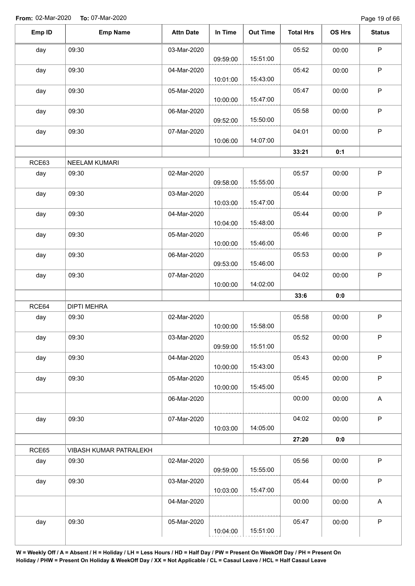| Emp ID | <b>Emp Name</b>        | <b>Attn Date</b> | In Time  | <b>Out Time</b> | <b>Total Hrs</b> | OS Hrs | <b>Status</b>             |
|--------|------------------------|------------------|----------|-----------------|------------------|--------|---------------------------|
| day    | 09:30                  | 03-Mar-2020      | 09:59:00 | 15:51:00        | 05:52            | 00:00  | $\mathsf P$               |
| day    | 09:30                  | 04-Mar-2020      | 10:01:00 | 15:43:00        | 05:42            | 00:00  | $\mathsf P$               |
| day    | 09:30                  | 05-Mar-2020      | 10:00:00 | 15:47:00        | 05:47            | 00:00  | $\mathsf P$               |
| day    | 09:30                  | 06-Mar-2020      | 09:52:00 | 15:50:00        | 05:58            | 00:00  | $\mathsf P$               |
| day    | 09:30                  | 07-Mar-2020      | 10:06:00 | 14:07:00        | 04:01            | 00:00  | $\mathsf{P}$              |
|        |                        |                  |          |                 | 33:21            | 0:1    |                           |
| RCE63  | NEELAM KUMARI          |                  |          |                 |                  |        |                           |
| day    | 09:30                  | 02-Mar-2020      | 09:58:00 | 15:55:00        | 05:57            | 00:00  | $\mathsf P$               |
| day    | 09:30                  | 03-Mar-2020      | 10:03:00 | 15:47:00        | 05:44            | 00:00  | $\mathsf P$               |
| day    | 09:30                  | 04-Mar-2020      | 10:04:00 | 15:48:00        | 05:44            | 00:00  | $\mathsf P$               |
| day    | 09:30                  | 05-Mar-2020      | 10:00:00 | 15:46:00        | 05:46            | 00:00  | $\mathsf P$               |
| day    | 09:30                  | 06-Mar-2020      | 09:53:00 | 15:46:00        | 05:53            | 00:00  | $\mathsf P$               |
| day    | 09:30                  | 07-Mar-2020      | 10:00:00 | 14:02:00        | 04:02            | 00:00  | $\mathsf P$               |
|        |                        |                  |          |                 | 33:6             | 0:0    |                           |
| RCE64  | <b>DIPTI MEHRA</b>     |                  |          |                 |                  |        |                           |
| day    | 09:30                  | 02-Mar-2020      | 10:00:00 | 15:58:00        | 05:58            | 00:00  | $\mathsf P$               |
| day    | 09:30                  | 03-Mar-2020      | 09:59:00 | 15:51:00        | 05:52            | 00:00  | P                         |
| day    | 09:30                  | 04-Mar-2020      | 10:00:00 | 15:43:00        | 05:43            | 00:00  | $\sf P$                   |
| day    | 09:30                  | 05-Mar-2020      | 10:00:00 | 15:45:00        | 05:45            | 00:00  | $\mathsf P$               |
|        |                        | 06-Mar-2020      |          |                 | 00:00            | 00:00  | A                         |
| day    | 09:30                  | 07-Mar-2020      | 10:03:00 | 14:05:00        | 04:02            | 00:00  | $\mathsf P$               |
|        |                        |                  |          |                 | 27:20            | 0:0    |                           |
| RCE65  | VIBASH KUMAR PATRALEKH |                  |          |                 |                  |        |                           |
| day    | 09:30                  | 02-Mar-2020      | 09:59:00 | 15:55:00        | 05:56            | 00:00  | $\mathsf P$               |
| day    | 09:30                  | 03-Mar-2020      | 10:03:00 | 15:47:00        | 05:44            | 00:00  | $\mathsf P$               |
|        |                        | 04-Mar-2020      |          |                 | 00:00            | 00:00  | $\boldsymbol{\mathsf{A}}$ |
| day    | 09:30                  | 05-Mar-2020      | 10:04:00 | 15:51:00        | 05:47            | 00:00  | $\sf P$                   |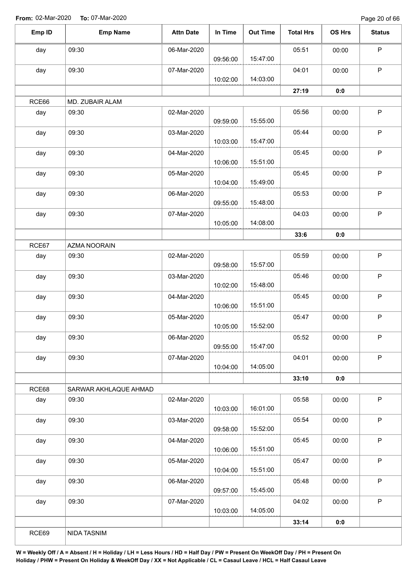Page 20 of 66

| Emp ID       | <b>Emp Name</b>          | <b>Attn Date</b> | In Time  | <b>Out Time</b> | <b>Total Hrs</b> | OS Hrs | <b>Status</b> |
|--------------|--------------------------|------------------|----------|-----------------|------------------|--------|---------------|
| day          | 09:30                    | 06-Mar-2020      | 09:56:00 | 15:47:00        | 05:51            | 00:00  | P             |
| day          | 09:30                    | 07-Mar-2020      |          |                 | 04:01            | 00:00  | $\mathsf P$   |
|              |                          |                  | 10:02:00 | 14:03:00        |                  |        |               |
|              |                          |                  |          |                 | 27:19            | 0:0    |               |
| RCE66<br>day | MD. ZUBAIR ALAM<br>09:30 | 02-Mar-2020      |          |                 | 05:56            | 00:00  | $\mathsf P$   |
|              |                          |                  | 09:59:00 | 15:55:00        |                  |        |               |
| day          | 09:30                    | 03-Mar-2020      |          |                 | 05:44            | 00:00  | P             |
|              |                          |                  | 10:03:00 | 15:47:00        |                  |        |               |
| day          | 09:30                    | 04-Mar-2020      |          |                 | 05:45            | 00:00  | $\mathsf P$   |
|              |                          |                  | 10:06:00 | 15:51:00        |                  |        |               |
| day          | 09:30                    | 05-Mar-2020      | 10:04:00 | 15:49:00        | 05:45            | 00:00  | $\mathsf P$   |
| day          | 09:30                    | 06-Mar-2020      |          |                 | 05:53            | 00:00  | $\sf P$       |
|              |                          |                  | 09:55:00 | 15:48:00        |                  |        |               |
| day          | 09:30                    | 07-Mar-2020      |          |                 | 04:03            | 00:00  | $\mathsf P$   |
|              |                          |                  | 10:05:00 | 14:08:00        |                  |        |               |
|              |                          |                  |          |                 | 33:6             | 0:0    |               |
| RCE67        | AZMA NOORAIN             |                  |          |                 |                  |        |               |
| day          | 09:30                    | 02-Mar-2020      |          | 15:57:00        | 05:59            | 00:00  | $\mathsf P$   |
| day          | 09:30                    | 03-Mar-2020      | 09:58:00 |                 | 05:46            | 00:00  | $\mathsf P$   |
|              |                          |                  | 10:02:00 | 15:48:00        |                  |        |               |
| day          | 09:30                    | 04-Mar-2020      |          |                 | 05:45            | 00:00  | $\mathsf P$   |
|              |                          |                  | 10:06:00 | 15:51:00        |                  |        |               |
| day          | 09:30                    | 05-Mar-2020      | 10:05:00 | 15:52:00        | 05:47            | 00:00  | $\mathsf P$   |
| day          | 09:30                    | 06-Mar-2020      |          |                 | 05:52            | 00:00  | $\sf P$       |
|              |                          |                  | 09:55:00 | 15:47:00        |                  |        |               |
| day          | 09:30                    | 07-Mar-2020      |          |                 | 04:01            | 00:00  | $\mathsf P$   |
|              |                          |                  | 10:04:00 | 14:05:00        |                  |        |               |
|              |                          |                  |          |                 | 33:10            | 0:0    |               |
| RCE68        | SARWAR AKHLAQUE AHMAD    |                  |          |                 |                  |        |               |
| day          | 09:30                    | 02-Mar-2020      | 10:03:00 | 16:01:00        | 05:58            | 00:00  | $\sf P$       |
| day          | 09:30                    | 03-Mar-2020      |          |                 | 05:54            | 00:00  | $\mathsf P$   |
|              |                          |                  | 09:58:00 | 15:52:00        |                  |        |               |
| day          | 09:30                    | 04-Mar-2020      |          |                 | 05:45            | 00:00  | $\sf P$       |
|              |                          |                  | 10:06:00 | 15:51:00        |                  |        |               |
| day          | 09:30                    | 05-Mar-2020      | 10:04:00 | 15:51:00        | 05:47            | 00:00  | $\mathsf P$   |
| day          | 09:30                    | 06-Mar-2020      |          |                 | 05:48            | 00:00  | $\sf P$       |
|              |                          |                  | 09:57:00 | 15:45:00        |                  |        |               |
| day          | 09:30                    | 07-Mar-2020      |          |                 | 04:02            | 00:00  | $\mathsf P$   |
|              |                          |                  | 10:03:00 | 14:05:00        |                  |        |               |
|              |                          |                  |          |                 | 33:14            | 0:0    |               |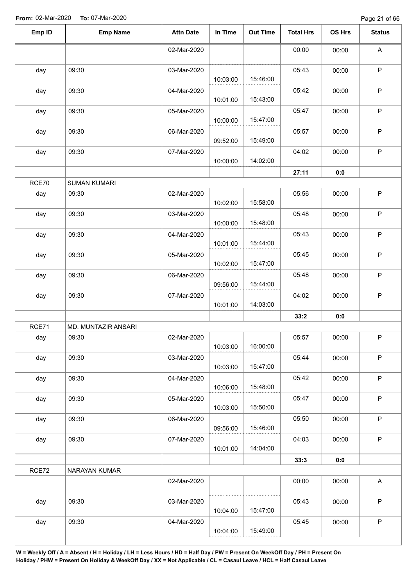| Emp ID | <b>Emp Name</b>     | <b>Attn Date</b> | In Time              | Out Time | <b>Total Hrs</b> | OS Hrs | <b>Status</b> |
|--------|---------------------|------------------|----------------------|----------|------------------|--------|---------------|
|        |                     | 02-Mar-2020      |                      |          | 00:00            | 00:00  | A             |
| day    | 09:30               | 03-Mar-2020      | 10:03:00             | 15:46:00 | 05:43            | 00:00  | $\mathsf P$   |
| day    | 09:30               | 04-Mar-2020      | 10:01:00             | 15:43:00 | 05:42            | 00:00  | $\mathsf P$   |
| day    | 09:30               | 05-Mar-2020      | 10:00:00             | 15:47:00 | 05:47            | 00:00  | $\sf P$       |
| day    | 09:30               | 06-Mar-2020      |                      | 15:49:00 | 05:57            | 00:00  | $\sf P$       |
| day    | 09:30               | 07-Mar-2020      | 09:52:00<br>10:00:00 | 14:02:00 | 04:02            | 00:00  | $\mathsf P$   |
|        |                     |                  |                      |          | 27:11            | 0:0    |               |
| RCE70  | <b>SUMAN KUMARI</b> |                  |                      |          |                  |        |               |
| day    | 09:30               | 02-Mar-2020      | 10:02:00             | 15:58:00 | 05:56            | 00:00  | $\sf P$       |
| day    | 09:30               | 03-Mar-2020      | 10:00:00             | 15:48:00 | 05:48            | 00:00  | $\sf P$       |
| day    | 09:30               | 04-Mar-2020      | 10:01:00             | 15:44:00 | 05:43            | 00:00  | $\mathsf P$   |
| day    | 09:30               | 05-Mar-2020      | 10:02:00             | 15:47:00 | 05:45            | 00:00  | $\mathsf P$   |
| day    | 09:30               | 06-Mar-2020      | 09:56:00             | 15:44:00 | 05:48            | 00:00  | P             |
| day    | 09:30               | 07-Mar-2020      | 10:01:00             | 14:03:00 | 04:02            | 00:00  | $\mathsf P$   |
|        |                     |                  |                      |          | 33:2             | 0:0    |               |
| RCE71  | MD. MUNTAZIR ANSARI |                  |                      |          |                  |        |               |
| day    | 09:30               | 02-Mar-2020      | 10:03:00             | 16:00:00 | 05:57            | 00:00  | P             |
| day    | 09:30               | 03-Mar-2020      | 10:03:00             | 15:47:00 | 05:44            | 00:00  | $\sf P$       |
| day    | 09:30               | 04-Mar-2020      | 10:06:00             | 15:48:00 | 05:42            | 00:00  | $\sf P$       |
| day    | 09:30               | 05-Mar-2020      | 10:03:00             | 15:50:00 | 05:47            | 00:00  | $\mathsf P$   |
| day    | 09:30               | 06-Mar-2020      | 09:56:00             | 15:46:00 | 05:50            | 00:00  | $\mathsf P$   |
| day    | 09:30               | 07-Mar-2020      | 10:01:00             | 14:04:00 | 04:03            | 00:00  | $\mathsf P$   |
|        |                     |                  |                      |          | 33:3             | 0:0    |               |
| RCE72  | NARAYAN KUMAR       |                  |                      |          |                  |        |               |
|        |                     | 02-Mar-2020      |                      |          | 00:00            | 00:00  | $\mathsf{A}$  |
| day    | 09:30               | 03-Mar-2020      | 10:04:00             | 15:47:00 | 05:43            | 00:00  | $\sf P$       |
| day    | 09:30               | 04-Mar-2020      | 10:04:00             | 15:49:00 | 05:45            | 00:00  | $\mathsf P$   |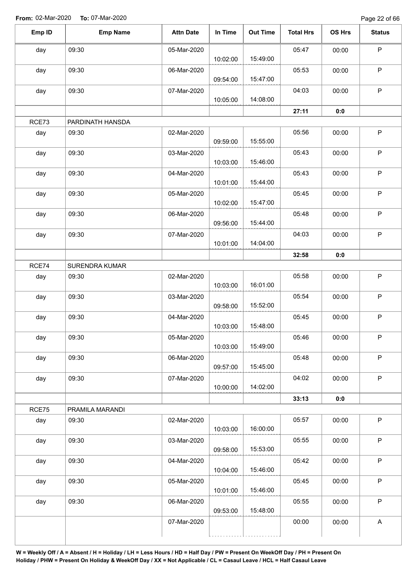Page 22 of 66

| Emp ID | <b>Emp Name</b>  | <b>Attn Date</b> | In Time  | <b>Out Time</b> | <b>Total Hrs</b> | OS Hrs | <b>Status</b>             |
|--------|------------------|------------------|----------|-----------------|------------------|--------|---------------------------|
| day    | 09:30            | 05-Mar-2020      |          |                 | 05:47            | 00:00  | $\mathsf P$               |
|        |                  |                  | 10:02:00 | 15:49:00        |                  |        |                           |
| day    | 09:30            | 06-Mar-2020      | 09:54:00 | 15:47:00        | 05:53            | 00:00  | P                         |
| day    | 09:30            | 07-Mar-2020      |          | 14:08:00        | 04:03            | 00:00  | P                         |
|        |                  |                  | 10:05:00 |                 |                  |        |                           |
|        |                  |                  |          |                 | 27:11            | 0:0    |                           |
| RCE73  | PARDINATH HANSDA |                  |          |                 |                  |        |                           |
| day    | 09:30            | 02-Mar-2020      | 09:59:00 | 15:55:00        | 05:56            | 00:00  | P                         |
| day    | 09:30            | 03-Mar-2020      | 10:03:00 | 15:46:00        | 05:43            | 00:00  | P                         |
| day    | 09:30            | 04-Mar-2020      |          |                 | 05:43            | 00:00  | $\mathsf P$               |
|        |                  |                  | 10:01:00 | 15:44:00        |                  |        |                           |
| day    | 09:30            | 05-Mar-2020      | 10:02:00 | 15:47:00        | 05:45            | 00:00  | $\mathsf P$               |
| day    | 09:30            | 06-Mar-2020      |          |                 | 05:48            | 00:00  | $\mathsf P$               |
|        |                  |                  | 09:56:00 | 15:44:00        |                  |        |                           |
| day    | 09:30            | 07-Mar-2020      |          |                 | 04:03            | 00:00  | $\mathsf P$               |
|        |                  |                  | 10:01:00 | 14:04:00        |                  |        |                           |
|        |                  |                  |          |                 | 32:58            | 0:0    |                           |
| RCE74  | SURENDRA KUMAR   |                  |          |                 |                  |        |                           |
| day    | 09:30            | 02-Mar-2020      | 10:03:00 | 16:01:00        | 05:58            | 00:00  | $\mathsf P$               |
| day    | 09:30            | 03-Mar-2020      |          |                 | 05:54            | 00:00  | $\mathsf P$               |
|        |                  |                  | 09:58:00 | 15:52:00        |                  |        |                           |
| day    | 09:30            | 04-Mar-2020      |          |                 | 05:45            | 00:00  | $\sf P$                   |
|        |                  |                  | 10:03:00 | 15:48:00        |                  |        |                           |
| day    | 09:30            | 05-Mar-2020      |          |                 | 05:46            | 00:00  | $\mathsf P$               |
|        |                  |                  | 10:03:00 | 15:49:00        |                  |        |                           |
| day    | 09:30            | 06-Mar-2020      |          |                 | 05:48            | 00:00  | $\mathsf P$               |
|        |                  |                  | 09:57:00 | 15:45:00        |                  |        |                           |
| day    | 09:30            | 07-Mar-2020      | 10:00:00 | 14:02:00        | 04:02            | 00:00  | $\mathsf P$               |
|        |                  |                  |          |                 | 33:13            | 0:0    |                           |
| RCE75  | PRAMILA MARANDI  |                  |          |                 |                  |        |                           |
| day    | 09:30            | 02-Mar-2020      | 10:03:00 | 16:00:00        | 05:57            | 00:00  | $\mathsf P$               |
| day    | 09:30            | 03-Mar-2020      |          |                 | 05:55            | 00:00  | $\sf P$                   |
|        |                  |                  | 09:58:00 | 15:53:00        |                  |        |                           |
| day    | 09:30            | 04-Mar-2020      |          |                 | 05:42            | 00:00  | $\mathsf P$               |
|        |                  |                  | 10:04:00 | 15:46:00        |                  |        |                           |
| day    | 09:30            | 05-Mar-2020      |          |                 | 05:45            | 00:00  | $\sf P$                   |
|        |                  |                  | 10:01:00 | 15:46:00        |                  |        |                           |
| day    | 09:30            | 06-Mar-2020      |          |                 | 05:55            | 00:00  | $\mathsf P$               |
|        |                  |                  |          |                 |                  |        |                           |
|        |                  |                  | 09:53:00 | 15:48:00        |                  |        | $\boldsymbol{\mathsf{A}}$ |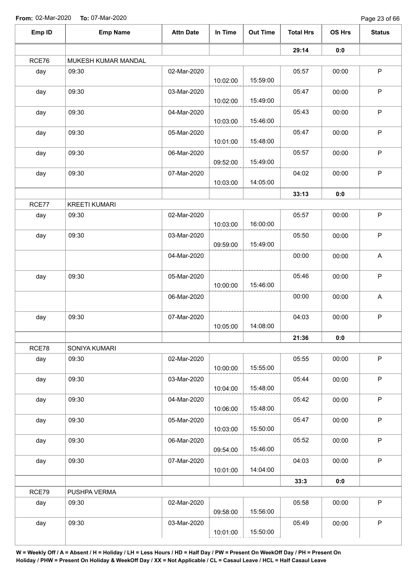Page 23 of 66

|        |                      |                  |          |                 |                  |        | Page 23 UP 00             |
|--------|----------------------|------------------|----------|-----------------|------------------|--------|---------------------------|
| Emp ID | <b>Emp Name</b>      | <b>Attn Date</b> | In Time  | <b>Out Time</b> | <b>Total Hrs</b> | OS Hrs | <b>Status</b>             |
|        |                      |                  |          |                 | 29:14            | 0:0    |                           |
| RCE76  | MUKESH KUMAR MANDAL  |                  |          |                 |                  |        |                           |
| day    | 09:30                | 02-Mar-2020      | 10:02:00 | 15:59:00        | 05:57            | 00:00  | $\sf P$                   |
| day    | 09:30                | 03-Mar-2020      | 10:02:00 | 15:49:00        | 05:47            | 00:00  | $\mathsf P$               |
| day    | 09:30                | 04-Mar-2020      | 10:03:00 | 15:46:00        | 05:43            | 00:00  | $\sf P$                   |
| day    | 09:30                | 05-Mar-2020      | 10:01:00 | 15:48:00        | 05:47            | 00:00  | $\mathsf P$               |
| day    | 09:30                | 06-Mar-2020      | 09:52:00 | 15:49:00        | 05:57            | 00:00  | $\sf P$                   |
| day    | 09:30                | 07-Mar-2020      | 10:03:00 | 14:05:00        | 04:02            | 00:00  | $\mathsf P$               |
|        |                      |                  |          |                 | 33:13            | 0:0    |                           |
| RCE77  | <b>KREETI KUMARI</b> |                  |          |                 |                  |        |                           |
| day    | 09:30                | 02-Mar-2020      | 10:03:00 | 16:00:00        | 05:57            | 00:00  | $\mathsf P$               |
| day    | 09:30                | 03-Mar-2020      | 09:59:00 | 15:49:00        | 05:50            | 00:00  | $\mathsf P$               |
|        |                      | 04-Mar-2020      |          |                 | 00:00            | 00:00  | $\boldsymbol{\mathsf{A}}$ |
| day    | 09:30                | 05-Mar-2020      | 10:00:00 | 15:46:00        | 05:46            | 00:00  | $\mathsf P$               |
|        |                      | 06-Mar-2020      |          |                 | 00:00            | 00:00  | A                         |
| day    | 09:30                | 07-Mar-2020      | 10:05:00 | 14:08:00        | 04:03            | 00:00  | $\mathsf P$               |
|        |                      |                  |          |                 | 21:36            | 0:0    |                           |
| RCE78  | SONIYA KUMARI        |                  |          |                 |                  |        |                           |
| day    | 09:30                | 02-Mar-2020      | 10:00:00 | 15:55:00        | 05:55            | 00:00  | $\mathsf P$               |
| day    | 09:30                | 03-Mar-2020      | 10:04:00 | 15:48:00        | 05:44            | 00:00  | P                         |
| day    | 09:30                | 04-Mar-2020      | 10:06:00 | 15:48:00        | 05:42            | 00:00  | $\sf P$                   |
| day    | 09:30                | 05-Mar-2020      | 10:03:00 | 15:50:00        | 05:47            | 00:00  | $\mathsf P$               |
| day    | 09:30                | 06-Mar-2020      | 09:54:00 | 15:46:00        | 05:52            | 00:00  | $\mathsf P$               |
| day    | 09:30                | 07-Mar-2020      | 10:01:00 | 14:04:00        | 04:03            | 00:00  | $\mathsf P$               |
|        |                      |                  |          |                 | 33:3             | 0:0    |                           |
| RCE79  | PUSHPA VERMA         |                  |          |                 |                  |        |                           |
| day    | 09:30                | 02-Mar-2020      | 09:58:00 | 15:56:00        | 05:58            | 00:00  | $\sf P$                   |
| day    | 09:30                | 03-Mar-2020      | 10:01:00 | 15:50:00        | 05:49            | 00:00  | $\mathsf P$               |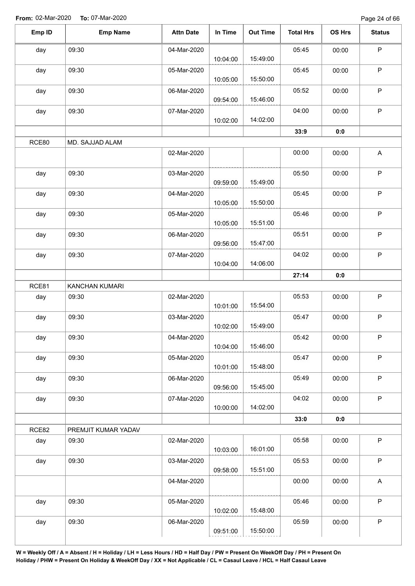Page 24 of 66

| Emp ID       | <b>Emp Name</b>         | <b>Attn Date</b> | In Time  | <b>Out Time</b> | <b>Total Hrs</b> | OS Hrs | <b>Status</b> |
|--------------|-------------------------|------------------|----------|-----------------|------------------|--------|---------------|
| day          | 09:30                   | 04-Mar-2020      | 10:04:00 | 15:49:00        | 05:45            | 00:00  | $\mathsf P$   |
| day          | 09:30                   | 05-Mar-2020      |          |                 | 05:45            | 00:00  | $\mathsf P$   |
|              |                         |                  | 10:05:00 | 15:50:00        | 05:52            |        | $\sf P$       |
| day          | 09:30                   | 06-Mar-2020      | 09:54:00 | 15:46:00        |                  | 00:00  |               |
| day          | 09:30                   | 07-Mar-2020      | 10:02:00 | 14:02:00        | 04:00            | 00:00  | $\mathsf P$   |
|              |                         |                  |          |                 | 33:9             | 0:0    |               |
| RCE80        | MD. SAJJAD ALAM         |                  |          |                 |                  |        |               |
|              |                         | 02-Mar-2020      |          |                 | 00:00            | 00:00  | A             |
| day          | 09:30                   | 03-Mar-2020      | 09:59:00 | 15:49:00        | 05:50            | 00:00  | $\sf P$       |
| day          | 09:30                   | 04-Mar-2020      | 10:05:00 | 15:50:00        | 05:45            | 00:00  | $\mathsf P$   |
| day          | 09:30                   | 05-Mar-2020      | 10:05:00 | 15:51:00        | 05:46            | 00:00  | $\mathsf P$   |
| day          | 09:30                   | 06-Mar-2020      | 09:56:00 | 15:47:00        | 05:51            | 00:00  | $\sf P$       |
| day          | 09:30                   | 07-Mar-2020      |          |                 | 04:02            | 00:00  | $\mathsf P$   |
|              |                         |                  | 10:04:00 | 14:06:00        |                  |        |               |
|              |                         |                  |          |                 | 27:14            | 0:0    |               |
| RCE81<br>day | KANCHAN KUMARI<br>09:30 | 02-Mar-2020      |          |                 | 05:53            | 00:00  | $\sf P$       |
|              |                         |                  | 10:01:00 | 15:54:00        |                  |        |               |
| day          | 09:30                   | 03-Mar-2020      | 10:02:00 | 15:49:00        | 05:47            | 00:00  | $\sf P$       |
| day          | 09:30                   | 04-Mar-2020      | 10:04:00 | 15:46:00        | 05:42            | 00:00  | P             |
| day          | 09:30                   | 05-Mar-2020      | 10:01:00 | 15:48:00        | 05:47            | 00:00  | $\mathsf P$   |
| day          | 09:30                   | 06-Mar-2020      | 09:56:00 | 15:45:00        | 05:49            | 00:00  | $\sf P$       |
| day          | 09:30                   | 07-Mar-2020      | 10:00:00 | 14:02:00        | 04:02            | 00:00  | $\mathsf P$   |
|              |                         |                  |          |                 | 33:0             | 0:0    |               |
| RCE82        | PREMJIT KUMAR YADAV     |                  |          |                 |                  |        |               |
| day          | 09:30                   | 02-Mar-2020      | 10:03:00 | 16:01:00        | 05:58            | 00:00  | $\mathsf P$   |
| day          | 09:30                   | 03-Mar-2020      | 09:58:00 | 15:51:00        | 05:53            | 00:00  | $\mathsf P$   |
|              |                         | 04-Mar-2020      |          |                 | 00:00            | 00:00  | $\mathsf A$   |
| day          | 09:30                   | 05-Mar-2020      | 10:02:00 | 15:48:00        | 05:46            | 00:00  | $\mathsf P$   |
| day          | 09:30                   | 06-Mar-2020      | 09:51:00 | 15:50:00        | 05:59            | 00:00  | $\sf P$       |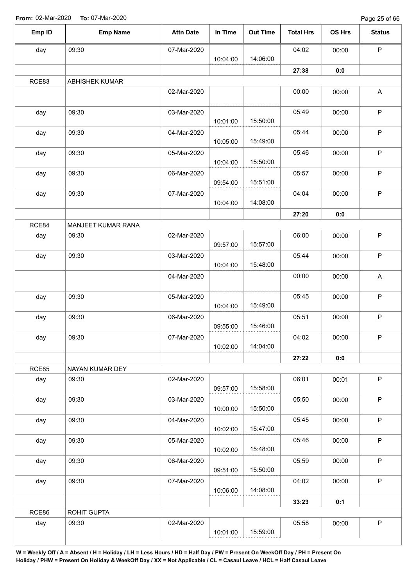Page 25 of 66

| day<br>RCE83 | 09:30              | 07-Mar-2020 |          |          |       |       |                           |
|--------------|--------------------|-------------|----------|----------|-------|-------|---------------------------|
|              |                    |             |          |          | 04:02 | 00:00 | $\mathsf P$               |
|              |                    |             | 10:04:00 | 14:06:00 |       |       |                           |
|              |                    |             |          |          | 27:38 | 0:0   |                           |
|              | ABHISHEK KUMAR     |             |          |          |       |       |                           |
|              |                    | 02-Mar-2020 |          |          | 00:00 | 00:00 | A                         |
| day          | 09:30              | 03-Mar-2020 |          |          | 05:49 | 00:00 | $\mathsf P$               |
|              |                    |             | 10:01:00 | 15:50:00 |       |       |                           |
| day          | 09:30              | 04-Mar-2020 |          |          | 05:44 | 00:00 | $\mathsf P$               |
|              |                    |             | 10:05:00 | 15:49:00 |       |       |                           |
| day          | 09:30              | 05-Mar-2020 |          |          | 05:46 | 00:00 | $\mathsf P$               |
|              |                    |             | 10:04:00 | 15:50:00 |       |       |                           |
| day          | 09:30              | 06-Mar-2020 |          |          | 05:57 | 00:00 | $\mathsf P$               |
|              |                    |             | 09:54:00 | 15:51:00 |       |       |                           |
| day          | 09:30              | 07-Mar-2020 | 10:04:00 | 14:08:00 | 04:04 | 00:00 | $\mathsf P$               |
|              |                    |             |          |          | 27:20 |       |                           |
| RCE84        | MANJEET KUMAR RANA |             |          |          |       | 0:0   |                           |
|              | 09:30              | 02-Mar-2020 |          |          | 06:00 |       | $\mathsf P$               |
| day          |                    |             | 09:57:00 | 15:57:00 |       | 00:00 |                           |
| day          | 09:30              | 03-Mar-2020 |          |          | 05:44 | 00:00 | $\mathsf P$               |
|              |                    |             | 10:04:00 | 15:48:00 |       |       |                           |
|              |                    | 04-Mar-2020 |          |          | 00:00 | 00:00 | $\boldsymbol{\mathsf{A}}$ |
|              |                    |             |          |          |       |       |                           |
| day          | 09:30              | 05-Mar-2020 |          |          | 05:45 | 00:00 | $\mathsf P$               |
|              |                    |             | 10:04:00 | 15:49:00 |       |       |                           |
| day          | 09:30              | 06-Mar-2020 |          |          | 05:51 | 00:00 | $\sf P$                   |
|              |                    |             | 09:55:00 | 15:46:00 |       |       |                           |
| day          | 09:30              | 07-Mar-2020 |          |          | 04:02 | 00:00 | P                         |
|              |                    |             | 10:02:00 | 14:04:00 |       |       |                           |
|              |                    |             |          |          | 27:22 | 0:0   |                           |
| RCE85        | NAYAN KUMAR DEY    |             |          |          |       |       |                           |
| day          | 09:30              | 02-Mar-2020 |          |          | 06:01 | 00:01 | $\mathsf P$               |
|              |                    |             | 09:57:00 | 15:58:00 |       |       |                           |
| day          | 09:30              | 03-Mar-2020 |          |          | 05:50 | 00:00 | $\mathsf P$               |
|              |                    |             | 10:00:00 | 15:50:00 |       |       |                           |
| day          | 09:30              | 04-Mar-2020 |          | 15:47:00 | 05:45 | 00:00 | $\mathsf P$               |
|              |                    |             | 10:02:00 |          |       |       |                           |
| day          | 09:30              | 05-Mar-2020 | 10:02:00 | 15:48:00 | 05:46 | 00:00 | $\mathsf P$               |
|              | 09:30              | 06-Mar-2020 |          |          | 05:59 | 00:00 | $\mathsf P$               |
| day          |                    |             | 09:51:00 | 15:50:00 |       |       |                           |
| day          | 09:30              | 07-Mar-2020 |          |          | 04:02 | 00:00 | $\sf P$                   |
|              |                    |             | 10:06:00 | 14:08:00 |       |       |                           |
|              |                    |             |          |          | 33:23 | 0:1   |                           |
| RCE86        | ROHIT GUPTA        |             |          |          |       |       |                           |
| day          | 09:30              | 02-Mar-2020 |          |          | 05:58 | 00:00 | $\mathsf P$               |
|              |                    |             | 10:01:00 | 15:59:00 |       |       |                           |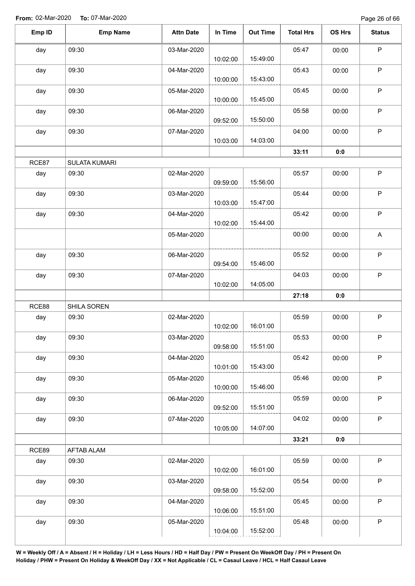| Emp ID | <b>Emp Name</b>      | <b>Attn Date</b> | In Time  | <b>Out Time</b> | <b>Total Hrs</b> | OS Hrs | <b>Status</b>             |
|--------|----------------------|------------------|----------|-----------------|------------------|--------|---------------------------|
| day    | 09:30                | 03-Mar-2020      | 10:02:00 | 15:49:00        | 05:47            | 00:00  | $\mathsf P$               |
| day    | 09:30                | 04-Mar-2020      | 10:00:00 | 15:43:00        | 05:43            | 00:00  | $\mathsf P$               |
| day    | 09:30                | 05-Mar-2020      | 10:00:00 | 15:45:00        | 05:45            | 00:00  | $\mathsf P$               |
| day    | 09:30                | 06-Mar-2020      | 09:52:00 | 15:50:00        | 05:58            | 00:00  | $\mathsf P$               |
| day    | 09:30                | 07-Mar-2020      | 10:03:00 | 14:03:00        | 04:00            | 00:00  | $\mathsf P$               |
|        |                      |                  |          |                 | 33:11            | 0:0    |                           |
| RCE87  | <b>SULATA KUMARI</b> |                  |          |                 |                  |        |                           |
| day    | 09:30                | 02-Mar-2020      | 09:59:00 | 15:56:00        | 05:57            | 00:00  | $\mathsf P$               |
| day    | 09:30                | 03-Mar-2020      | 10:03:00 | 15:47:00        | 05:44            | 00:00  | $\sf P$                   |
| day    | 09:30                | 04-Mar-2020      | 10:02:00 | 15:44:00        | 05:42            | 00:00  | $\mathsf P$               |
|        |                      | 05-Mar-2020      |          |                 | 00:00            | 00:00  | $\boldsymbol{\mathsf{A}}$ |
| day    | 09:30                | 06-Mar-2020      | 09:54:00 | 15:46:00        | 05:52            | 00:00  | $\sf P$                   |
| day    | 09:30                | 07-Mar-2020      | 10:02:00 | 14:05:00        | 04:03            | 00:00  | $\mathsf P$               |
|        |                      |                  |          |                 | 27:18            | 0:0    |                           |
| RCE88  | SHILA SOREN          |                  |          |                 |                  |        |                           |
| day    | 09:30                | 02-Mar-2020      | 10:02:00 | 16:01:00        | 05:59            | 00:00  | $\mathsf P$               |
| day    | 09:30                | 03-Mar-2020      | 09:58:00 | 15:51:00        | 05:53            | 00:00  | $\mathsf P$               |
| day    | 09:30                | 04-Mar-2020      | 10:01:00 | 15:43:00        | 05:42            | 00:00  | $\mathsf P$               |
| day    | 09:30                | 05-Mar-2020      | 10:00:00 | 15:46:00        | 05:46            | 00:00  | $\mathsf P$               |
| day    | 09:30                | 06-Mar-2020      | 09:52:00 | 15:51:00        | 05:59            | 00:00  | $\sf P$                   |
| day    | 09:30                | 07-Mar-2020      | 10:05:00 | 14:07:00        | 04:02            | 00:00  | $\sf P$                   |
|        |                      |                  |          |                 | 33:21            | 0:0    |                           |
| RCE89  | AFTAB ALAM           |                  |          |                 |                  |        |                           |
| day    | 09:30                | 02-Mar-2020      | 10:02:00 | 16:01:00        | 05:59            | 00:00  | $\mathsf P$               |
| day    | 09:30                | 03-Mar-2020      | 09:58:00 | 15:52:00        | 05:54            | 00:00  | $\sf P$                   |
| day    | 09:30                | 04-Mar-2020      | 10:06:00 | 15:51:00        | 05:45            | 00:00  | $\sf P$                   |
| day    | 09:30                | 05-Mar-2020      | 10:04:00 | 15:52:00        | 05:48            | 00:00  | P                         |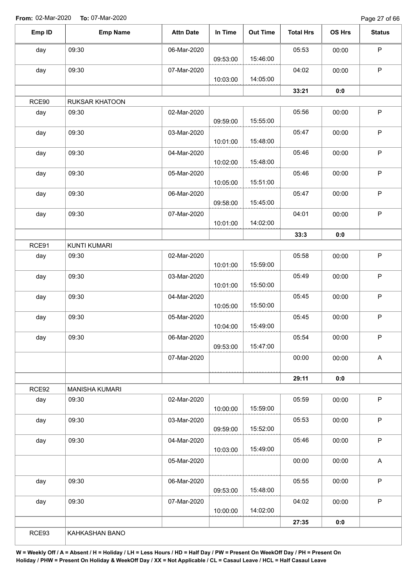Page 27 of 66

| Emp ID | <b>Emp Name</b>       | <b>Attn Date</b> | In Time  | <b>Out Time</b> | <b>Total Hrs</b> | OS Hrs | <b>Status</b> |
|--------|-----------------------|------------------|----------|-----------------|------------------|--------|---------------|
| day    | 09:30                 | 06-Mar-2020      |          |                 | 05:53            | 00:00  | $\mathsf P$   |
|        |                       |                  | 09:53:00 | 15:46:00        |                  |        |               |
| day    | 09:30                 | 07-Mar-2020      |          |                 | 04:02            | 00:00  | $\mathsf P$   |
|        |                       |                  | 10:03:00 | 14:05:00        |                  |        |               |
|        |                       |                  |          |                 | 33:21            | 0:0    |               |
| RCE90  | RUKSAR KHATOON        |                  |          |                 |                  |        |               |
| day    | 09:30                 | 02-Mar-2020      | 09:59:00 | 15:55:00        | 05:56            | 00:00  | $\mathsf P$   |
| day    | 09:30                 | 03-Mar-2020      | 10:01:00 | 15:48:00        | 05:47            | 00:00  | $\mathsf P$   |
|        | 09:30                 | 04-Mar-2020      |          |                 |                  |        | $\mathsf P$   |
| day    |                       |                  | 10:02:00 | 15:48:00        | 05:46            | 00:00  |               |
| day    | 09:30                 | 05-Mar-2020      |          |                 | 05:46            | 00:00  | $\sf P$       |
|        |                       |                  | 10:05:00 | 15:51:00        |                  |        |               |
| day    | 09:30                 | 06-Mar-2020      |          |                 | 05:47            | 00:00  | $\sf P$       |
|        |                       |                  | 09:58:00 | 15:45:00        |                  |        |               |
| day    | 09:30                 | 07-Mar-2020      |          |                 | 04:01            | 00:00  | $\mathsf P$   |
|        |                       |                  | 10:01:00 | 14:02:00        |                  |        |               |
|        |                       |                  |          |                 | 33:3             | 0:0    |               |
| RCE91  | <b>KUNTI KUMARI</b>   |                  |          |                 |                  |        |               |
| day    | 09:30                 | 02-Mar-2020      | 10:01:00 | 15:59:00        | 05:58            | 00:00  | $\sf P$       |
| day    | 09:30                 | 03-Mar-2020      |          |                 | 05:49            | 00:00  | $\mathsf P$   |
|        |                       |                  | 10:01:00 | 15:50:00        |                  |        |               |
| day    | 09:30                 | 04-Mar-2020      |          |                 | 05:45            | 00:00  | $\mathsf P$   |
|        |                       |                  | 10:05:00 | 15:50:00        |                  |        |               |
| day    | 09:30                 | 05-Mar-2020      |          |                 | 05:45            | 00:00  | $\mathsf P$   |
|        |                       |                  | 10:04:00 | 15:49:00        |                  |        |               |
| day    | 09:30                 | 06-Mar-2020      |          |                 | 05:54            | 00:00  | $\mathsf P$   |
|        |                       |                  | 09:53:00 | 15:47:00        |                  |        |               |
|        |                       | 07-Mar-2020      |          |                 | 00:00            | 00:00  | $\mathsf A$   |
|        |                       |                  |          |                 | 29:11            | 0:0    |               |
| RCE92  | <b>MANISHA KUMARI</b> |                  |          |                 |                  |        |               |
| day    | 09:30                 | 02-Mar-2020      | 10:00:00 | 15:59:00        | 05:59            | 00:00  | $\sf P$       |
| day    | 09:30                 | 03-Mar-2020      |          |                 | 05:53            | 00:00  | $\mathsf P$   |
|        |                       |                  | 09:59:00 | 15:52:00        |                  |        |               |
| day    | 09:30                 | 04-Mar-2020      |          |                 | 05:46            | 00:00  | $\sf P$       |
|        |                       |                  | 10:03:00 | 15:49:00        |                  |        |               |
|        |                       | 05-Mar-2020      |          |                 | 00:00            | 00:00  | A             |
| day    | 09:30                 | 06-Mar-2020      |          |                 | 05:55            | 00:00  | $\sf P$       |
|        |                       |                  | 09:53:00 | 15:48:00        |                  |        |               |
| day    | 09:30                 | 07-Mar-2020      |          |                 | 04:02            | 00:00  | $\mathsf P$   |
|        |                       |                  | 10:00:00 | 14:02:00        |                  |        |               |
|        |                       |                  |          |                 | 27:35            | 0:0    |               |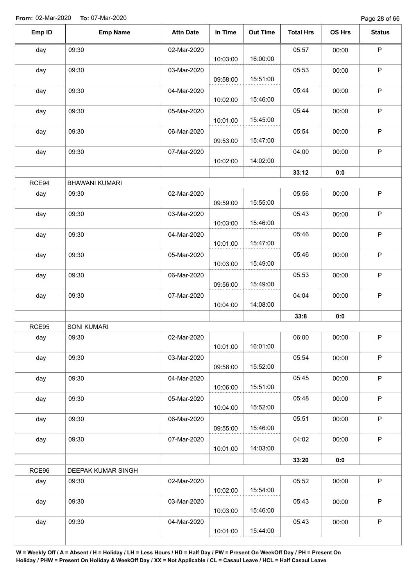Page 28 of 66

| Emp ID | <b>Emp Name</b>       | <b>Attn Date</b> | In Time  | <b>Out Time</b> | <b>Total Hrs</b> | OS Hrs | <b>Status</b> |
|--------|-----------------------|------------------|----------|-----------------|------------------|--------|---------------|
| day    | 09:30                 | 02-Mar-2020      | 10:03:00 | 16:00:00        | 05:57            | 00:00  | $\mathsf P$   |
| day    | 09:30                 | 03-Mar-2020      |          |                 | 05:53            | 00:00  | P             |
| day    | 09:30                 | 04-Mar-2020      | 09:58:00 | 15:51:00        | 05:44            | 00:00  | P             |
| day    | 09:30                 | 05-Mar-2020      | 10:02:00 | 15:46:00        | 05:44            | 00:00  | P             |
| day    | 09:30                 | 06-Mar-2020      | 10:01:00 | 15:45:00        | 05:54            | 00:00  | P             |
| day    | 09:30                 | 07-Mar-2020      | 09:53:00 | 15:47:00        | 04:00            | 00:00  | $\mathsf P$   |
|        |                       |                  | 10:02:00 | 14:02:00        |                  |        |               |
|        |                       |                  |          |                 | 33:12            | 0:0    |               |
| RCE94  | <b>BHAWANI KUMARI</b> |                  |          |                 |                  |        |               |
| day    | 09:30                 | 02-Mar-2020      | 09:59:00 | 15:55:00        | 05:56            | 00:00  | $\sf P$       |
| day    | 09:30                 | 03-Mar-2020      | 10:03:00 | 15:46:00        | 05:43            | 00:00  | $\sf P$       |
| day    | 09:30                 | 04-Mar-2020      | 10:01:00 | 15:47:00        | 05:46            | 00:00  | $\mathsf P$   |
| day    | 09:30                 | 05-Mar-2020      | 10:03:00 | 15:49:00        | 05:46            | 00:00  | P             |
| day    | 09:30                 | 06-Mar-2020      | 09:56:00 | 15:49:00        | 05:53            | 00:00  | P             |
| day    | 09:30                 | 07-Mar-2020      |          |                 | 04:04            | 00:00  | P             |
|        |                       |                  | 10:04:00 | 14:08:00        |                  |        |               |
| RCE95  | <b>SONI KUMARI</b>    |                  |          |                 | 33:8             | 0:0    |               |
| aay    | 09:30                 | 02-Mar-2020      | 10:01:00 | 16:01:00        | 06:00            | 00:00  | P             |
| day    | 09:30                 | 03-Mar-2020      |          |                 | 05:54            | 00:00  | $\mathsf P$   |
| day    | 09:30                 | 04-Mar-2020      | 09:58:00 | 15:52:00        | 05:45            | 00:00  | $\mathsf P$   |
| day    | 09:30                 | 05-Mar-2020      | 10:06:00 | 15:51:00        | 05:48            | 00:00  | $\mathsf P$   |
|        |                       |                  | 10:04:00 | 15:52:00        |                  |        |               |
| day    | 09:30                 | 06-Mar-2020      | 09:55:00 | 15:46:00        | 05:51            | 00:00  | $\sf P$       |
| day    | 09:30                 | 07-Mar-2020      | 10:01:00 | 14:03:00        | 04:02            | 00:00  | $\mathsf P$   |
|        |                       |                  |          |                 | 33:20            | 0:0    |               |
| RCE96  | DEEPAK KUMAR SINGH    |                  |          |                 |                  |        |               |
| day    | 09:30                 | 02-Mar-2020      | 10:02:00 | 15:54:00        | 05:52            | 00:00  | $\sf P$       |
| day    | 09:30                 | 03-Mar-2020      | 10:03:00 | 15:46:00        | 05:43            | 00:00  | P             |
| day    | 09:30                 | 04-Mar-2020      |          |                 | 05:43            | 00:00  | $\sf P$       |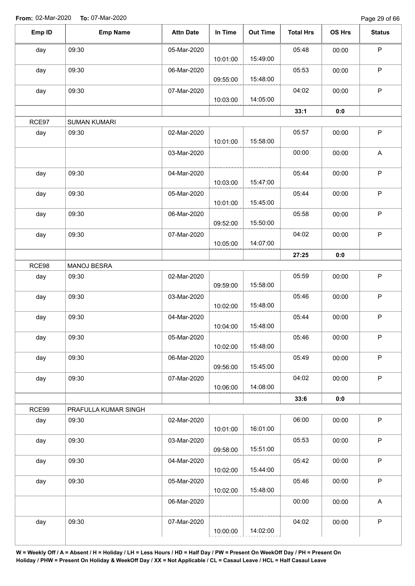Page 29 of 66

| Emp ID | <b>Emp Name</b>      | <b>Attn Date</b> | In Time  | <b>Out Time</b> | <b>Total Hrs</b> | OS Hrs | <b>Status</b>             |
|--------|----------------------|------------------|----------|-----------------|------------------|--------|---------------------------|
| day    | 09:30                | 05-Mar-2020      |          |                 | 05:48            | 00:00  | P                         |
|        |                      |                  | 10:01:00 | 15:49:00        |                  |        |                           |
| day    | 09:30                | 06-Mar-2020      |          |                 | 05:53            | 00:00  | $\mathsf P$               |
|        |                      |                  | 09:55:00 | 15:48:00        |                  |        |                           |
| day    | 09:30                | 07-Mar-2020      |          |                 | 04:02            | 00:00  | P                         |
|        |                      |                  | 10:03:00 | 14:05:00        |                  |        |                           |
|        |                      |                  |          |                 | 33:1             | 0:0    |                           |
| RCE97  | <b>SUMAN KUMARI</b>  |                  |          |                 |                  |        |                           |
| day    | 09:30                | 02-Mar-2020      |          |                 | 05:57            | 00:00  | $\sf P$                   |
|        |                      |                  | 10:01:00 | 15:58:00        |                  |        |                           |
|        |                      | 03-Mar-2020      |          |                 | 00:00            | 00:00  | $\boldsymbol{\mathsf{A}}$ |
|        |                      |                  |          |                 |                  |        |                           |
| day    | 09:30                | 04-Mar-2020      |          |                 | 05:44            | 00:00  | $\sf P$                   |
|        |                      |                  | 10:03:00 | 15:47:00        |                  |        |                           |
| day    | 09:30                | 05-Mar-2020      |          | 15:45:00        | 05:44            | 00:00  | $\sf P$                   |
|        |                      |                  | 10:01:00 |                 |                  |        |                           |
| day    | 09:30                | 06-Mar-2020      | 09:52:00 | 15:50:00        | 05:58            | 00:00  | P                         |
|        |                      |                  |          |                 |                  |        | $\sf P$                   |
| day    | 09:30                | 07-Mar-2020      | 10:05:00 | 14:07:00        | 04:02            | 00:00  |                           |
|        |                      |                  |          |                 | 27:25            | 0:0    |                           |
| RCE98  | MANOJ BESRA          |                  |          |                 |                  |        |                           |
| day    | 09:30                | 02-Mar-2020      |          |                 | 05:59            | 00:00  | $\mathsf P$               |
|        |                      |                  | 09:59:00 | 15:58:00        |                  |        |                           |
| day    | 09:30                | 03-Mar-2020      |          |                 | 05:46            | 00:00  | P                         |
|        |                      |                  | 10:02:00 | 15:48:00        |                  |        |                           |
| day    | 09:30                | 04-Mar-2020      |          |                 | 05:44            | 00:00  | $\mathsf P$               |
|        |                      |                  | 10:04:00 | 15:48:00        |                  |        |                           |
| day    | 09:30                | 05-Mar-2020      |          |                 | 05:46            | 00:00  | $\mathsf P$               |
|        |                      |                  | 10:02:00 | 15:48:00        |                  |        |                           |
| day    | 09:30                | 06-Mar-2020      |          |                 | 05:49            | 00:00  | $\sf P$                   |
|        |                      |                  | 09:56:00 | 15:45:00        |                  |        |                           |
| day    | 09:30                | 07-Mar-2020      |          |                 | 04:02            | 00:00  | $\mathsf P$               |
|        |                      |                  | 10:06:00 | 14:08:00        |                  |        |                           |
|        |                      |                  |          |                 | 33:6             | 0:0    |                           |
| RCE99  | PRAFULLA KUMAR SINGH |                  |          |                 |                  |        |                           |
| day    | 09:30                | 02-Mar-2020      |          |                 | 06:00            | 00:00  | $\mathsf P$               |
|        |                      |                  | 10:01:00 | 16:01:00        |                  |        |                           |
| day    | 09:30                | 03-Mar-2020      |          |                 | 05:53            | 00:00  | $\sf P$                   |
|        |                      |                  | 09:58:00 | 15:51:00        |                  |        |                           |
| day    | 09:30                | 04-Mar-2020      |          |                 | 05:42            | 00:00  | $\mathsf P$               |
|        |                      |                  | 10:02:00 | 15:44:00        |                  |        |                           |
| day    | 09:30                | 05-Mar-2020      |          |                 | 05:46            | 00:00  | $\sf P$                   |
|        |                      |                  | 10:02:00 | 15:48:00        |                  |        |                           |
|        |                      | 06-Mar-2020      |          |                 | 00:00            | 00:00  | A                         |
|        |                      |                  |          |                 |                  |        |                           |
| day    | 09:30                | 07-Mar-2020      |          |                 | 04:02            | 00:00  | $\mathsf P$               |
|        |                      |                  | 10:00:00 | 14:02:00        |                  |        |                           |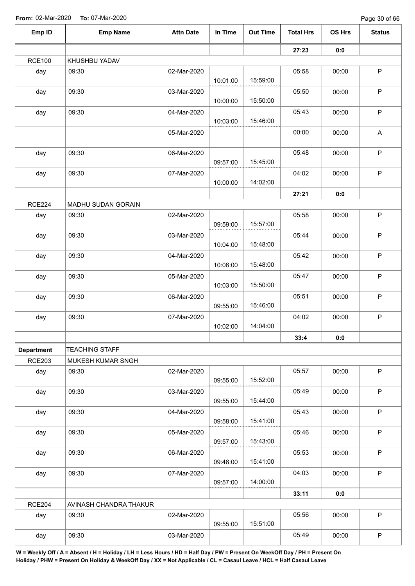Page 30 of 66

| Emp ID            | <b>Emp Name</b>        | <b>Attn Date</b> | In Time  | <b>Out Time</b> | <b>Total Hrs</b> | OS Hrs | <b>Status</b> |
|-------------------|------------------------|------------------|----------|-----------------|------------------|--------|---------------|
|                   |                        |                  |          |                 | 27:23            | 0:0    |               |
| <b>RCE100</b>     | KHUSHBU YADAV          |                  |          |                 |                  |        |               |
| day               | 09:30                  | 02-Mar-2020      | 10:01:00 | 15:59:00        | 05:58            | 00:00  | $\sf P$       |
| day               | 09:30                  | 03-Mar-2020      | 10:00:00 | 15:50:00        | 05:50            | 00:00  | $\mathsf P$   |
| day               | 09:30                  | 04-Mar-2020      | 10:03:00 | 15:46:00        | 05:43            | 00:00  | $\sf P$       |
|                   |                        | 05-Mar-2020      |          |                 | 00:00            | 00:00  | A             |
| day               | 09:30                  | 06-Mar-2020      | 09:57:00 | 15:45:00        | 05:48            | 00:00  | $\sf P$       |
| day               | 09:30                  | 07-Mar-2020      | 10:00:00 | 14:02:00        | 04:02            | 00:00  | $\sf P$       |
|                   |                        |                  |          |                 | 27:21            | 0:0    |               |
| <b>RCE224</b>     | MADHU SUDAN GORAIN     |                  |          |                 |                  |        |               |
| day               | 09:30                  | 02-Mar-2020      | 09:59:00 | 15:57:00        | 05:58            | 00:00  | $\mathsf P$   |
| day               | 09:30                  | 03-Mar-2020      | 10:04:00 | 15:48:00        | 05:44            | 00:00  | $\mathsf P$   |
| day               | 09:30                  | 04-Mar-2020      | 10:06:00 | 15:48:00        | 05:42            | 00:00  | $\mathsf P$   |
| day               | 09:30                  | 05-Mar-2020      | 10:03:00 | 15:50:00        | 05:47            | 00:00  | $\mathsf P$   |
| day               | 09:30                  | 06-Mar-2020      | 09:55:00 | 15:46:00        | 05:51            | 00:00  | $\mathsf P$   |
| day               | 09:30                  | 07-Mar-2020      | 10:02:00 | 14:04:00        | 04:02            | 00:00  | $\mathsf P$   |
|                   |                        |                  |          |                 | 33:4             | 0:0    |               |
| <b>Department</b> | <b>TEACHING STAFF</b>  |                  |          |                 |                  |        |               |
| <b>RCE203</b>     | MUKESH KUMAR SNGH      |                  |          |                 |                  |        |               |
| day               | 09:30                  | 02-Mar-2020      | 09:55:00 | 15:52:00        | 05:57            | 00:00  | $\mathsf P$   |
| day               | 09:30                  | 03-Mar-2020      | 09:55:00 | 15:44:00        | 05:49            | 00:00  | $\sf P$       |
| day               | 09:30                  | 04-Mar-2020      | 09:58:00 | 15:41:00        | 05:43            | 00:00  | $\sf P$       |
| day               | 09:30                  | 05-Mar-2020      | 09:57:00 | 15:43:00        | 05:46            | 00:00  | $\sf P$       |
| day               | 09:30                  | 06-Mar-2020      | 09:48:00 | 15:41:00        | 05:53            | 00:00  | $\mathsf P$   |
| day               | 09:30                  | 07-Mar-2020      | 09:57:00 | 14:00:00        | 04:03            | 00:00  | $\mathsf P$   |
|                   |                        |                  |          |                 | 33:11            | 0:0    |               |
| <b>RCE204</b>     | AVINASH CHANDRA THAKUR |                  |          |                 |                  |        |               |
| day               | 09:30                  | 02-Mar-2020      | 09:55:00 | 15:51:00        | 05:56            | 00:00  | $\mathsf P$   |
| day               | 09:30                  | 03-Mar-2020      |          |                 | 05:49            | 00:00  | $\mathsf P$   |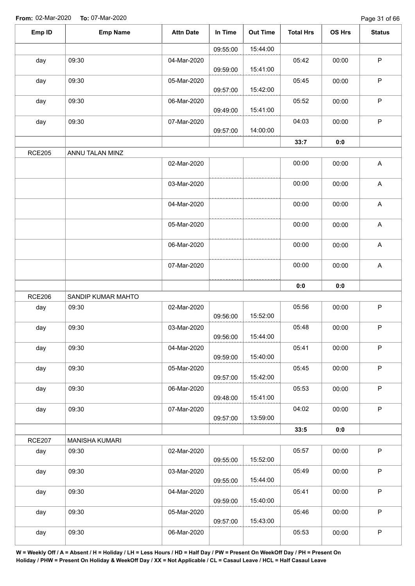| Emp ID        | <b>Emp Name</b>       | <b>Attn Date</b> | In Time  | <b>Out Time</b> | <b>Total Hrs</b> | OS Hrs | <b>Status</b>             |
|---------------|-----------------------|------------------|----------|-----------------|------------------|--------|---------------------------|
|               |                       |                  | 09:55:00 | 15:44:00        |                  |        |                           |
| day           | 09:30                 | 04-Mar-2020      | 09:59:00 | 15:41:00        | 05:42            | 00:00  | $\sf P$                   |
| day           | 09:30                 | 05-Mar-2020      | 09:57:00 | 15:42:00        | 05:45            | 00:00  | $\mathsf P$               |
| day           | 09:30                 | 06-Mar-2020      | 09:49:00 | 15:41:00        | 05:52            | 00:00  | $\sf P$                   |
| day           | 09:30                 | 07-Mar-2020      | 09:57:00 | 14:00:00        | 04:03            | 00:00  | $\sf P$                   |
|               |                       |                  |          |                 | 33:7             | 0:0    |                           |
| <b>RCE205</b> | ANNU TALAN MINZ       |                  |          |                 |                  |        |                           |
|               |                       | 02-Mar-2020      |          |                 | 00:00            | 00:00  | A                         |
|               |                       | 03-Mar-2020      |          |                 | 00:00            | 00:00  | $\mathsf A$               |
|               |                       | 04-Mar-2020      |          |                 | 00:00            | 00:00  | $\boldsymbol{\mathsf{A}}$ |
|               |                       | 05-Mar-2020      |          |                 | 00:00            | 00:00  | $\mathsf A$               |
|               |                       | 06-Mar-2020      |          |                 | 00:00            | 00:00  | $\mathsf A$               |
|               |                       | 07-Mar-2020      |          |                 | 00:00            | 00:00  | A                         |
|               |                       |                  |          |                 | 0:0              | 0:0    |                           |
| <b>RCE206</b> | SANDIP KUMAR MAHTO    |                  |          |                 |                  |        |                           |
| day           | 09:30                 | 02-Mar-2020      | 09:56:00 | 15:52:00        | 05:56            | 00:00  | $\sf P$                   |
| day           | 09:30                 | 03-Mar-2020      | 09:56:00 | 15:44:00        | 05:48            | 00:00  | ${\sf P}$                 |
| day           | 09:30                 | 04-Mar-2020      | 09:59:00 | 15:40:00        | 05:41            | 00:00  | $\mathsf P$               |
| day           | 09:30                 | 05-Mar-2020      | 09:57:00 | 15:42:00        | 05:45            | 00:00  | $\mathsf P$               |
| day           | 09:30                 | 06-Mar-2020      | 09:48:00 | 15:41:00        | 05:53            | 00:00  | $\mathsf P$               |
| day           | 09:30                 | 07-Mar-2020      | 09:57:00 | 13:59:00        | 04:02            | 00:00  | $\sf P$                   |
|               |                       |                  |          |                 | 33:5             | 0:0    |                           |
| <b>RCE207</b> | <b>MANISHA KUMARI</b> |                  |          |                 |                  |        |                           |
| day           | 09:30                 | 02-Mar-2020      | 09:55:00 | 15:52:00        | 05:57            | 00:00  | $\mathsf P$               |
| day           | 09:30                 | 03-Mar-2020      | 09:55:00 | 15:44:00        | 05:49            | 00:00  | $\mathsf P$               |
| day           | 09:30                 | 04-Mar-2020      | 09:59:00 | 15:40:00        | 05:41            | 00:00  | $\mathsf P$               |
| day           | 09:30                 | 05-Mar-2020      | 09:57:00 | 15:43:00        | 05:46            | 00:00  | $\mathsf P$               |
| day           | 09:30                 | 06-Mar-2020      |          |                 | 05:53            | 00:00  | $\sf P$                   |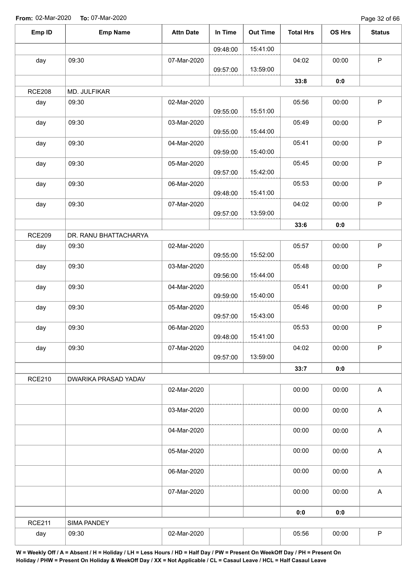Page 32 of 66

| Emp ID        | <b>Emp Name</b>       | <b>Attn Date</b> | In Time  | <b>Out Time</b> | <b>Total Hrs</b> | OS Hrs | <b>Status</b>             |
|---------------|-----------------------|------------------|----------|-----------------|------------------|--------|---------------------------|
|               |                       |                  | 09:48:00 | 15:41:00        |                  |        |                           |
| day           | 09:30                 | 07-Mar-2020      | 09:57:00 | 13:59:00        | 04:02            | 00:00  | P                         |
|               |                       |                  |          |                 | 33:8             | 0:0    |                           |
| <b>RCE208</b> | MD. JULFIKAR          |                  |          |                 |                  |        |                           |
| day           | 09:30                 | 02-Mar-2020      |          |                 | 05:56            | 00:00  | $\mathsf P$               |
|               |                       |                  | 09:55:00 | 15:51:00        |                  |        |                           |
| day           | 09:30                 | 03-Mar-2020      | 09:55:00 | 15:44:00        | 05:49            | 00:00  | P                         |
| day           | 09:30                 | 04-Mar-2020      | 09:59:00 | 15:40:00        | 05:41            | 00:00  | P                         |
| day           | 09:30                 | 05-Mar-2020      | 09:57:00 | 15:42:00        | 05:45            | 00:00  | P                         |
| day           | 09:30                 | 06-Mar-2020      |          |                 | 05:53            | 00:00  | $\sf P$                   |
|               |                       |                  | 09:48:00 | 15:41:00        |                  |        |                           |
| day           | 09:30                 | 07-Mar-2020      |          |                 | 04:02            | 00:00  | $\mathsf P$               |
|               |                       |                  | 09:57:00 | 13:59:00        |                  |        |                           |
|               |                       |                  |          |                 | 33:6             | 0:0    |                           |
| <b>RCE209</b> | DR. RANU BHATTACHARYA |                  |          |                 |                  |        |                           |
| day           | 09:30                 | 02-Mar-2020      | 09:55:00 | 15:52:00        | 05:57            | 00:00  | $\sf P$                   |
| day           | 09:30                 | 03-Mar-2020      | 09:56:00 | 15:44:00        | 05:48            | 00:00  | $\sf P$                   |
| day           | 09:30                 | 04-Mar-2020      | 09:59:00 | 15:40:00        | 05:41            | 00:00  | $\mathsf P$               |
| day           | 09:30                 | 05-Mar-2020      | 09:57:00 | 15:43:00        | 05:46            | 00:00  | $\sf P$                   |
| day           | 09:30                 | 06-Mar-2020      | 09:48:00 | 15:41:00        | 05:53            | 00:00  | P                         |
| day           | 09:30                 | 07-Mar-2020      | 09:57:00 | 13:59:00        | 04:02            | 00:00  | P                         |
|               |                       |                  |          |                 | 33:7             | 0:0    |                           |
| <b>RCE210</b> | DWARIKA PRASAD YADAV  |                  |          |                 |                  |        |                           |
|               |                       | 02-Mar-2020      |          |                 | 00:00            | 00:00  | $\boldsymbol{\mathsf{A}}$ |
|               |                       | 03-Mar-2020      |          |                 | 00:00            | 00:00  | A                         |
|               |                       | 04-Mar-2020      |          |                 | 00:00            | 00:00  | $\boldsymbol{\mathsf{A}}$ |
|               |                       | 05-Mar-2020      |          |                 | 00:00            | 00:00  | $\boldsymbol{\mathsf{A}}$ |
|               |                       | 06-Mar-2020      |          |                 | 00:00            | 00:00  | $\boldsymbol{\mathsf{A}}$ |
|               |                       | 07-Mar-2020      |          |                 | 00:00            | 00:00  | $\boldsymbol{\mathsf{A}}$ |
|               |                       |                  |          |                 | 0:0              | 0:0    |                           |
| <b>RCE211</b> | <b>SIMA PANDEY</b>    |                  |          |                 |                  |        |                           |
| day           | 09:30                 | 02-Mar-2020      |          |                 | 05:56            | 00:00  | $\mathsf P$               |
|               |                       |                  |          |                 |                  |        |                           |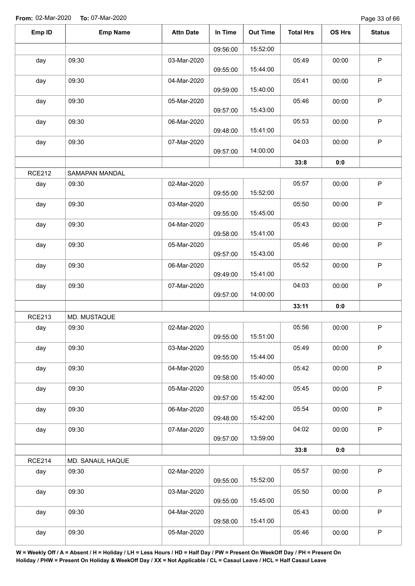Page 33 of 66

| Emp ID        | <b>Emp Name</b>  | <b>Attn Date</b> | In Time  | <b>Out Time</b> | <b>Total Hrs</b> | OS Hrs | <b>Status</b> |
|---------------|------------------|------------------|----------|-----------------|------------------|--------|---------------|
|               |                  |                  | 09:56:00 | 15:52:00        |                  |        |               |
| day           | 09:30            | 03-Mar-2020      | 09:55:00 | 15:44:00        | 05:49            | 00:00  | $\mathsf P$   |
| day           | 09:30            | 04-Mar-2020      | 09:59:00 | 15:40:00        | 05:41            | 00:00  | $\mathsf P$   |
| day           | 09:30            | 05-Mar-2020      | 09:57:00 | 15:43:00        | 05:46            | 00:00  | $\sf P$       |
| day           | 09:30            | 06-Mar-2020      | 09:48:00 | 15:41:00        | 05:53            | 00:00  | $\mathsf P$   |
| day           | 09:30            | 07-Mar-2020      | 09:57:00 | 14:00:00        | 04:03            | 00:00  | $\sf P$       |
|               |                  |                  |          |                 | 33:8             | 0:0    |               |
| <b>RCE212</b> | SAMAPAN MANDAL   |                  |          |                 |                  |        |               |
| day           | 09:30            | 02-Mar-2020      | 09:55:00 | 15:52:00        | 05:57            | 00:00  | $\sf P$       |
| day           | 09:30            | 03-Mar-2020      | 09:55:00 | 15:45:00        | 05:50            | 00:00  | $\mathsf P$   |
| day           | 09:30            | 04-Mar-2020      | 09:58:00 | 15:41:00        | 05:43            | 00:00  | $\mathsf P$   |
| day           | 09:30            | 05-Mar-2020      | 09:57:00 | 15:43:00        | 05:46            | 00:00  | $\mathsf P$   |
| day           | 09:30            | 06-Mar-2020      | 09:49:00 | 15:41:00        | 05:52            | 00:00  | $\mathsf P$   |
| day           | 09:30            | 07-Mar-2020      | 09:57:00 | 14:00:00        | 04:03            | 00:00  | P             |
|               |                  |                  |          |                 | 33:11            | 0:0    |               |
| <b>RCE213</b> | MD. MUSTAQUE     |                  |          |                 |                  |        |               |
| day           | 09:30            | 02-Mar-2020      | 09:55:00 | 15:51:00        | 05:56            | 00:00  | P             |
| day           | 09:30            | 03-Mar-2020      | 09:55:00 | 15:44:00        | 05:49            | 00:00  | $\mathsf P$   |
| day           | 09:30            | 04-Mar-2020      | 09:58:00 | 15:40:00        | 05:42            | 00:00  | $\mathsf P$   |
| day           | 09:30            | 05-Mar-2020      | 09:57:00 | 15:42:00        | 05:45            | 00:00  | $\sf P$       |
| day           | 09:30            | 06-Mar-2020      | 09:48:00 | 15:42:00        | 05:54            | 00:00  | P             |
| day           | 09:30            | 07-Mar-2020      | 09:57:00 | 13:59:00        | 04:02            | 00:00  | $\sf P$       |
|               |                  |                  |          |                 | 33:8             | 0:0    |               |
| <b>RCE214</b> | MD. SANAUL HAQUE |                  |          |                 |                  |        |               |
| day           | 09:30            | 02-Mar-2020      | 09:55:00 | 15:52:00        | 05:57            | 00:00  | $\mathsf P$   |
| day           | 09:30            | 03-Mar-2020      | 09:55:00 | 15:45:00        | 05:50            | 00:00  | $\mathsf P$   |
| day           | 09:30            | 04-Mar-2020      | 09:58:00 | 15:41:00        | 05:43            | 00:00  | $\mathsf P$   |
| day           | 09:30            | 05-Mar-2020      |          |                 | 05:46            | 00:00  | $\sf P$       |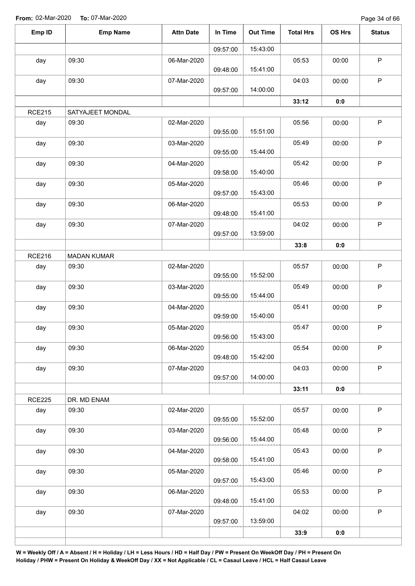| Emp ID        | <b>Emp Name</b>    | <b>Attn Date</b> | In Time  | <b>Out Time</b> | <b>Total Hrs</b> | OS Hrs | <b>Status</b> |
|---------------|--------------------|------------------|----------|-----------------|------------------|--------|---------------|
|               |                    |                  | 09:57:00 | 15:43:00        |                  |        |               |
| day           | 09:30              | 06-Mar-2020      | 09:48:00 | 15:41:00        | 05:53            | 00:00  | $\mathsf P$   |
| day           | 09:30              | 07-Mar-2020      | 09:57:00 | 14:00:00        | 04:03            | 00:00  | P             |
|               |                    |                  |          |                 | 33:12            | 0:0    |               |
| <b>RCE215</b> | SATYAJEET MONDAL   |                  |          |                 |                  |        |               |
| day           | 09:30              | 02-Mar-2020      | 09:55:00 | 15:51:00        | 05:56            | 00:00  | $\mathsf P$   |
| day           | 09:30              | 03-Mar-2020      | 09:55:00 | 15:44:00        | 05:49            | 00:00  | $\mathsf P$   |
| day           | 09:30              | 04-Mar-2020      | 09:58:00 | 15:40:00        | 05:42            | 00:00  | $\sf P$       |
| day           | 09:30              | 05-Mar-2020      | 09:57:00 | 15:43:00        | 05:46            | 00:00  | $\sf P$       |
| day           | 09:30              | 06-Mar-2020      | 09:48:00 | 15:41:00        | 05:53            | 00:00  | $\sf P$       |
| day           | 09:30              | 07-Mar-2020      | 09:57:00 | 13:59:00        | 04:02            | 00:00  | $\mathsf P$   |
|               |                    |                  |          |                 | 33:8             | 0:0    |               |
| <b>RCE216</b> | <b>MADAN KUMAR</b> |                  |          |                 |                  |        |               |
| day           | 09:30              | 02-Mar-2020      | 09:55:00 | 15:52:00        | 05:57            | 00:00  | ${\sf P}$     |
| day           | 09:30              | 03-Mar-2020      | 09:55:00 | 15:44:00        | 05:49            | 00:00  | $\mathsf P$   |
| day           | 09:30              | 04-Mar-2020      | 09:59:00 | 15:40:00        | 05:41            | 00:00  | $\mathsf P$   |
| day           | 09:30              | 05-Mar-2020      | 09:56:00 | 15:43:00        | 05:47            | 00:00  | $\mathsf P$   |
| day           | 09:30              | 06-Mar-2020      | 09:48:00 | 15:42:00        | 05:54            | 00:00  | $\mathsf P$   |
| day           | 09:30              | 07-Mar-2020      | 09:57:00 | 14:00:00        | 04:03            | 00:00  | P             |
|               |                    |                  |          |                 | 33:11            | 0:0    |               |
| <b>RCE225</b> | DR. MD ENAM        |                  |          |                 |                  |        |               |
| day           | 09:30              | 02-Mar-2020      | 09:55:00 | 15:52:00        | 05:57            | 00:00  | P             |
| day           | 09:30              | 03-Mar-2020      | 09:56:00 | 15:44:00        | 05:48            | 00:00  | $\mathsf P$   |
| day           | 09:30              | 04-Mar-2020      | 09:58:00 | 15:41:00        | 05:43            | 00:00  | P             |
| day           | 09:30              | 05-Mar-2020      | 09:57:00 | 15:43:00        | 05:46            | 00:00  | $\mathsf{P}$  |
| day           | 09:30              | 06-Mar-2020      | 09:48:00 | 15:41:00        | 05:53            | 00:00  | $\mathsf P$   |
| day           | 09:30              | 07-Mar-2020      | 09:57:00 | 13:59:00        | 04:02            | 00:00  | $\mathsf{P}$  |
|               |                    |                  |          |                 | 33:9             | 0:0    |               |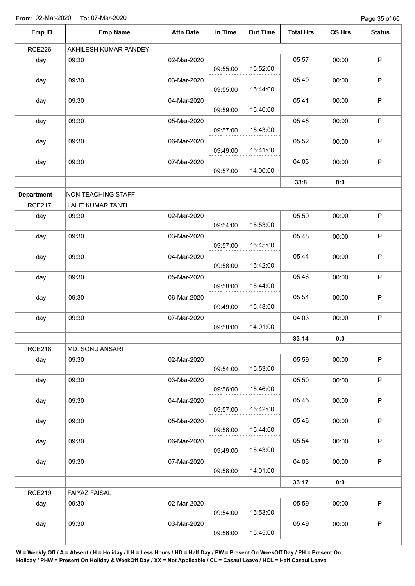Page 35 of 66

| Emp ID            | <b>Emp Name</b>          | <b>Attn Date</b> | In Time  | <b>Out Time</b> | <b>Total Hrs</b> | OS Hrs | <b>Status</b> |
|-------------------|--------------------------|------------------|----------|-----------------|------------------|--------|---------------|
| <b>RCE226</b>     | AKHILESH KUMAR PANDEY    |                  |          |                 |                  |        |               |
| day               | 09:30                    | 02-Mar-2020      | 09:55:00 | 15:52:00        | 05:57            | 00:00  | $\mathsf P$   |
| day               | 09:30                    | 03-Mar-2020      | 09:55:00 | 15:44:00        | 05:49            | 00:00  | $\mathsf P$   |
| day               | 09:30                    | 04-Mar-2020      | 09:59:00 | 15:40:00        | 05:41            | 00:00  | $\mathsf P$   |
| day               | 09:30                    | 05-Mar-2020      | 09:57:00 | 15:43:00        | 05:46            | 00:00  | $\sf P$       |
| day               | 09:30                    | 06-Mar-2020      | 09:49:00 | 15:41:00        | 05:52            | 00:00  | $\mathsf P$   |
| day               | 09:30                    | 07-Mar-2020      | 09:57:00 | 14:00:00        | 04:03            | 00:00  | $\sf P$       |
|                   |                          |                  |          |                 | 33:8             | 0:0    |               |
| <b>Department</b> | NON TEACHING STAFF       |                  |          |                 |                  |        |               |
| <b>RCE217</b>     | <b>LALIT KUMAR TANTI</b> |                  |          |                 |                  |        |               |
| day               | 09:30                    | 02-Mar-2020      | 09:54:00 | 15:53:00        | 05:59            | 00:00  | $\mathsf P$   |
| day               | 09:30                    | 03-Mar-2020      | 09:57:00 | 15:45:00        | 05:48            | 00:00  | $\mathsf P$   |
| day               | 09:30                    | 04-Mar-2020      | 09:58:00 | 15:42:00        | 05:44            | 00:00  | $\mathsf P$   |
| day               | 09:30                    | 05-Mar-2020      | 09:58:00 | 15:44:00        | 05:46            | 00:00  | $\mathsf P$   |
| day               | 09:30                    | 06-Mar-2020      | 09:49:00 | 15:43:00        | 05:54            | 00:00  | $\mathsf P$   |
| day               | 09:30                    | 07-Mar-2020      | 09:58:00 | 14:01:00        | 04:03            | 00:00  | $\mathsf P$   |
|                   |                          |                  |          |                 | 33:14            | 0:0    |               |
| <b>RCE218</b>     | MD. SONU ANSARI          |                  |          |                 |                  |        |               |
| day               | 09:30                    | 02-Mar-2020      | 09:54:00 | 15:53:00        | 05:59            | 00:00  | $\sf P$       |
| day               | 09:30                    | 03-Mar-2020      | 09:56:00 | 15:46:00        | 05:50            | 00:00  | $\sf P$       |
| day               | 09:30                    | 04-Mar-2020      | 09:57:00 | 15:42:00        | 05:45            | 00:00  | $\sf P$       |
| day               | 09:30                    | 05-Mar-2020      | 09:58:00 | 15:44:00        | 05:46            | 00:00  | $\mathsf P$   |
| day               | 09:30                    | 06-Mar-2020      | 09:49:00 | 15:43:00        | 05:54            | 00:00  | $\mathsf P$   |
| day               | 09:30                    | 07-Mar-2020      | 09:58:00 | 14:01:00        | 04:03            | 00:00  | $\mathsf P$   |
|                   |                          |                  |          |                 | 33:17            | 0:0    |               |
| <b>RCE219</b>     | <b>FAIYAZ FAISAL</b>     |                  |          |                 |                  |        |               |
| day               | 09:30                    | 02-Mar-2020      | 09:54:00 | 15:53:00        | 05:59            | 00:00  | $\sf P$       |
| day               | 09:30                    | 03-Mar-2020      | 09:56:00 | 15:45:00        | 05:49            | 00:00  | P             |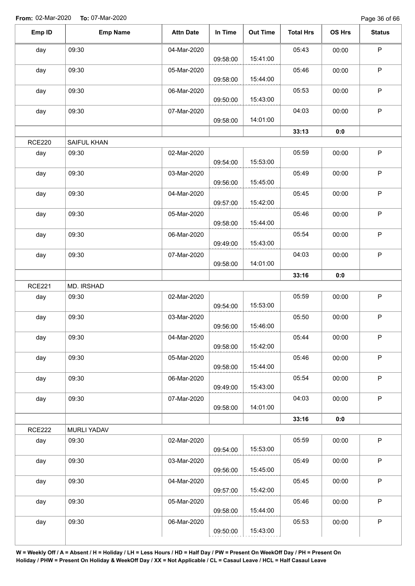Page 36 of 66

| Emp ID        | <b>Emp Name</b>    | <b>Attn Date</b> | In Time  | <b>Out Time</b> | <b>Total Hrs</b> | OS Hrs | <b>Status</b> |
|---------------|--------------------|------------------|----------|-----------------|------------------|--------|---------------|
| day           | 09:30              | 04-Mar-2020      |          |                 | 05:43            | 00:00  | $\sf P$       |
|               |                    |                  | 09:58:00 | 15:41:00        |                  |        |               |
| day           | 09:30              | 05-Mar-2020      | 09:58:00 | 15:44:00        | 05:46            | 00:00  | P             |
| day           | 09:30              | 06-Mar-2020      |          |                 | 05:53            | 00:00  | P             |
|               |                    |                  | 09:50:00 | 15:43:00        |                  |        |               |
| day           | 09:30              | 07-Mar-2020      | 09:58:00 | 14:01:00        | 04:03            | 00:00  | $\mathsf P$   |
|               |                    |                  |          |                 | 33:13            | 0:0    |               |
| <b>RCE220</b> | SAIFUL KHAN        |                  |          |                 |                  |        |               |
| day           | 09:30              | 02-Mar-2020      | 09:54:00 | 15:53:00        | 05:59            | 00:00  | $\mathsf P$   |
| day           | 09:30              | 03-Mar-2020      | 09:56:00 | 15:45:00        | 05:49            | 00:00  | $\mathsf P$   |
|               |                    |                  |          |                 |                  |        |               |
| day           | 09:30              | 04-Mar-2020      | 09:57:00 | 15:42:00        | 05:45            | 00:00  | $\sf P$       |
| day           | 09:30              | 05-Mar-2020      | 09:58:00 | 15:44:00        | 05:46            | 00:00  | $\mathsf P$   |
| day           | 09:30              | 06-Mar-2020      | 09:49:00 | 15:43:00        | 05:54            | 00:00  | $\sf P$       |
| day           | 09:30              | 07-Mar-2020      |          |                 | 04:03            | 00:00  | $\sf P$       |
|               |                    |                  | 09:58:00 | 14:01:00        |                  |        |               |
|               |                    |                  |          |                 | 33:16            | 0:0    |               |
| <b>RCE221</b> | MD. IRSHAD         |                  |          |                 |                  |        |               |
| day           | 09:30              | 02-Mar-2020      | 09:54:00 | 15:53:00        | 05:59            | 00:00  | $\mathsf{P}$  |
| day           | 09:30              | 03-Mar-2020      |          |                 | 05:50            | 00:00  | $\mathsf P$   |
|               |                    |                  | 09:56:00 | 15:46:00        |                  |        |               |
| day           | 09:30              | 04-Mar-2020      | 09:58:00 | 15:42:00        | 05:44            | 00:00  | $\mathsf P$   |
| day           | 09:30              | 05-Mar-2020      | 09:58:00 | 15:44:00        | 05:46            | 00:00  | $\mathsf P$   |
| day           | 09:30              | 06-Mar-2020      |          |                 | 05:54            | 00:00  | $\mathsf P$   |
| day           | 09:30              | 07-Mar-2020      | 09:49:00 | 15:43:00        | 04:03            | 00:00  | $\sf P$       |
|               |                    |                  | 09:58:00 | 14:01:00        |                  |        |               |
|               |                    |                  |          |                 | 33:16            | 0:0    |               |
| <b>RCE222</b> | <b>MURLI YADAV</b> |                  |          |                 |                  |        |               |
| day           | 09:30              | 02-Mar-2020      | 09:54:00 | 15:53:00        | 05:59            | 00:00  | $\sf P$       |
| day           | 09:30              | 03-Mar-2020      |          |                 | 05:49            | 00:00  | $\mathsf P$   |
|               |                    |                  | 09:56:00 | 15:45:00        |                  |        |               |
| day           | 09:30              | 04-Mar-2020      | 09:57:00 | 15:42:00        | 05:45            | 00:00  | $\sf P$       |
| day           | 09:30              | 05-Mar-2020      |          |                 | 05:46            | 00:00  | $\mathsf P$   |
|               |                    |                  | 09:58:00 | 15:44:00        |                  |        |               |
| day           | 09:30              | 06-Mar-2020      | 09:50:00 | 15:43:00        | 05:53            | 00:00  | $\mathsf P$   |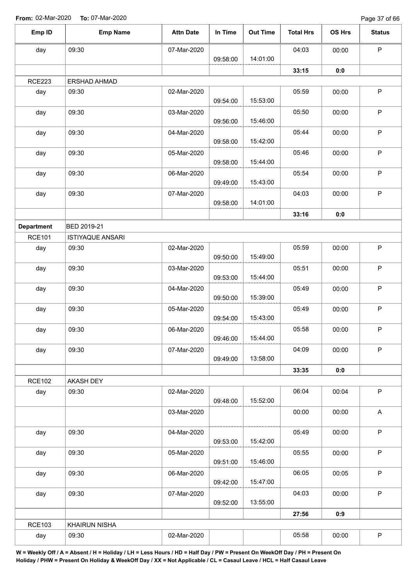Page 37 of 66

| Emp ID            | <b>Emp Name</b>         | <b>Attn Date</b> | In Time  | <b>Out Time</b> | <b>Total Hrs</b> | OS Hrs | <b>Status</b> |
|-------------------|-------------------------|------------------|----------|-----------------|------------------|--------|---------------|
| day               | 09:30                   | 07-Mar-2020      |          |                 | 04:03            | 00:00  | $\mathsf P$   |
|                   |                         |                  | 09:58:00 | 14:01:00        |                  |        |               |
|                   |                         |                  |          |                 | 33:15            | 0:0    |               |
| <b>RCE223</b>     | ERSHAD AHMAD            |                  |          |                 |                  |        |               |
| day               | 09:30                   | 02-Mar-2020      |          |                 | 05:59            | 00:00  | $\mathsf P$   |
|                   |                         |                  | 09:54:00 | 15:53:00        |                  |        |               |
| day               | 09:30                   | 03-Mar-2020      | 09:56:00 | 15:46:00        | 05:50            | 00:00  | $\sf P$       |
| day               | 09:30                   | 04-Mar-2020      |          | 15:42:00        | 05:44            | 00:00  | $\mathsf P$   |
|                   |                         |                  | 09:58:00 |                 |                  |        |               |
| day               | 09:30                   | 05-Mar-2020      | 09:58:00 | 15:44:00        | 05:46            | 00:00  | $\sf P$       |
| day               | 09:30                   | 06-Mar-2020      |          |                 | 05:54            | 00:00  | $\mathsf P$   |
|                   |                         |                  | 09:49:00 | 15:43:00        |                  |        |               |
| day               | 09:30                   | 07-Mar-2020      |          |                 | 04:03            | 00:00  | $\sf P$       |
|                   |                         |                  | 09:58:00 | 14:01:00        |                  |        |               |
|                   |                         |                  |          |                 | 33:16            | 0:0    |               |
| <b>Department</b> | <b>BED 2019-21</b>      |                  |          |                 |                  |        |               |
| <b>RCE101</b>     | <b>ISTIYAQUE ANSARI</b> |                  |          |                 |                  |        |               |
| day               | 09:30                   | 02-Mar-2020      |          |                 | 05:59            | 00:00  | $\sf P$       |
|                   |                         |                  | 09:50:00 | 15:49:00        |                  |        |               |
| day               | 09:30                   | 03-Mar-2020      |          |                 | 05:51            | 00:00  | $\mathsf P$   |
|                   |                         |                  | 09:53:00 | 15:44:00        |                  |        |               |
| day               | 09:30                   | 04-Mar-2020      |          |                 | 05:49            | 00:00  | $\sf P$       |
|                   |                         |                  | 09:50:00 | 15:39:00        |                  |        |               |
| day               | 09:30                   | 05-Mar-2020      |          |                 | 05:49            | 00:00  | $\mathsf P$   |
|                   |                         |                  | 09:54:00 | 15:43:00        |                  |        |               |
| day               | 09:30                   | 06-Mar-2020      |          |                 | 05:58            | 00:00  | P             |
|                   |                         |                  | 09:46:00 | 15:44:00        |                  |        |               |
| day               | 09:30                   | 07-Mar-2020      |          |                 | 04:09            | 00:00  | $\mathsf P$   |
|                   |                         |                  | 09:49:00 | 13:58:00        |                  |        |               |
|                   |                         |                  |          |                 | 33:35            | 0:0    |               |
| <b>RCE102</b>     | AKASH DEY               |                  |          |                 |                  |        |               |
| day               | 09:30                   | 02-Mar-2020      |          |                 | 06:04            | 00:04  | $\mathsf P$   |
|                   |                         |                  | 09:48:00 | 15:52:00        |                  |        |               |
|                   |                         | 03-Mar-2020      |          |                 | 00:00            | 00:00  | $\mathsf A$   |
| day               | 09:30                   | 04-Mar-2020      |          |                 | 05:49            | 00:00  | $\mathsf P$   |
|                   |                         |                  | 09:53:00 | 15:42:00        |                  |        |               |
| day               | 09:30                   | 05-Mar-2020      |          |                 | 05:55            | 00:00  | $\mathsf P$   |
|                   |                         |                  | 09:51:00 | 15:46:00        |                  |        |               |
| day               | 09:30                   | 06-Mar-2020      |          |                 | 06:05            | 00:05  | $\mathsf P$   |
|                   |                         |                  | 09:42:00 | 15:47:00        |                  |        |               |
| day               | 09:30                   | 07-Mar-2020      |          |                 | 04:03            | 00:00  | $\mathsf P$   |
|                   |                         |                  | 09:52:00 | 13:55:00        |                  |        |               |
|                   |                         |                  |          |                 | 27:56            | 0:9    |               |
| <b>RCE103</b>     | KHAIRUN NISHA           |                  |          |                 |                  |        |               |
| day               | 09:30                   | 02-Mar-2020      |          |                 | 05:58            | 00:00  | $\sf P$       |
|                   |                         |                  |          |                 |                  |        |               |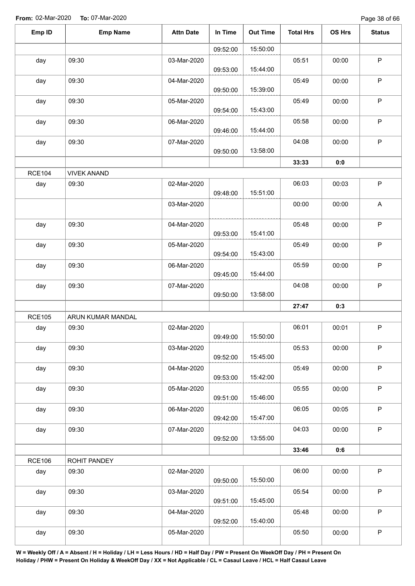Page 38 of 66

| Emp ID        | <b>Emp Name</b>    | <b>Attn Date</b> | In Time  | <b>Out Time</b> | <b>Total Hrs</b> | OS Hrs | <b>Status</b> |
|---------------|--------------------|------------------|----------|-----------------|------------------|--------|---------------|
|               |                    |                  | 09:52:00 | 15:50:00        |                  |        |               |
| day           | 09:30              | 03-Mar-2020      | 09:53:00 | 15:44:00        | 05:51            | 00:00  | $\sf P$       |
| day           | 09:30              | 04-Mar-2020      | 09:50:00 | 15:39:00        | 05:49            | 00:00  | P             |
| day           | 09:30              | 05-Mar-2020      | 09:54:00 | 15:43:00        | 05:49            | 00:00  | $\sf P$       |
| day           | 09:30              | 06-Mar-2020      | 09:46:00 | 15:44:00        | 05:58            | 00:00  | $\mathsf P$   |
| day           | 09:30              | 07-Mar-2020      | 09:50:00 | 13:58:00        | 04:08            | 00:00  | $\sf P$       |
|               |                    |                  |          |                 | 33:33            | 0:0    |               |
| <b>RCE104</b> | <b>VIVEK ANAND</b> |                  |          |                 |                  |        |               |
| day           | 09:30              | 02-Mar-2020      | 09:48:00 | 15:51:00        | 06:03            | 00:03  | $\sf P$       |
|               |                    | 03-Mar-2020      |          |                 | 00:00            | 00:00  | A             |
| day           | 09:30              | 04-Mar-2020      | 09:53:00 | 15:41:00        | 05:48            | 00:00  | $\sf P$       |
| day           | 09:30              | 05-Mar-2020      | 09:54:00 | 15:43:00        | 05:49            | 00:00  | $\mathsf P$   |
| day           | 09:30              | 06-Mar-2020      | 09:45:00 | 15:44:00        | 05:59            | 00:00  | P             |
| day           | 09:30              | 07-Mar-2020      | 09:50:00 | 13:58:00        | 04:08            | 00:00  | P             |
|               |                    |                  |          |                 | 27:47            | 0:3    |               |
| <b>RCE105</b> | ARUN KUMAR MANDAL  |                  |          |                 |                  |        |               |
| day           | 09:30              | 02-Mar-2020      | 09:49:00 | 15:50:00        | 06:01            | 00:01  | P             |
| day           | 09:30              | 03-Mar-2020      | 09:52:00 | 15:45:00        | 05:53            | 00:00  | $\mathsf P$   |
| day           | 09:30              | 04-Mar-2020      | 09:53:00 | 15:42:00        | 05:49            | 00:00  | $\mathsf{P}$  |
| day           | 09:30              | 05-Mar-2020      | 09:51:00 | 15:46:00        | 05:55            | 00:00  | $\sf P$       |
| day           | 09:30              | 06-Mar-2020      | 09:42:00 | 15:47:00        | 06:05            | 00:05  | P             |
| day           | 09:30              | 07-Mar-2020      | 09:52:00 | 13:55:00        | 04:03            | 00:00  | $\sf P$       |
|               |                    |                  |          |                 | 33:46            | 0:6    |               |
| <b>RCE106</b> | ROHIT PANDEY       |                  |          |                 |                  |        |               |
| day           | 09:30              | 02-Mar-2020      | 09:50:00 | 15:50:00        | 06:00            | 00:00  | $\mathsf P$   |
| day           | 09:30              | 03-Mar-2020      | 09:51:00 | 15:45:00        | 05:54            | 00:00  | P             |
| day           | 09:30              | 04-Mar-2020      | 09:52:00 | 15:40:00        | 05:48            | 00:00  | $\mathsf P$   |
| day           | 09:30              | 05-Mar-2020      |          |                 | 05:50            | 00:00  | $\sf P$       |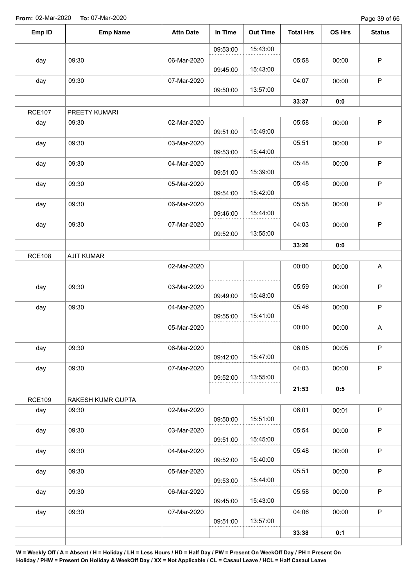Page 39 of 66

| Emp ID        | <b>Emp Name</b>   | <b>Attn Date</b> | In Time  | <b>Out Time</b> | <b>Total Hrs</b> | OS Hrs | <b>Status</b>             |
|---------------|-------------------|------------------|----------|-----------------|------------------|--------|---------------------------|
|               |                   |                  | 09:53:00 | 15:43:00        |                  |        |                           |
| day           | 09:30             | 06-Mar-2020      | 09:45:00 | 15:43:00        | 05:58            | 00:00  | $\mathsf P$               |
| day           | 09:30             | 07-Mar-2020      | 09:50:00 | 13:57:00        | 04:07            | 00:00  | $\sf P$                   |
|               |                   |                  |          |                 | 33:37            | 0:0    |                           |
| <b>RCE107</b> | PREETY KUMARI     |                  |          |                 |                  |        |                           |
| day           | 09:30             | 02-Mar-2020      | 09:51:00 | 15:49:00        | 05:58            | 00:00  | $\sf P$                   |
| day           | 09:30             | 03-Mar-2020      | 09:53:00 | 15:44:00        | 05:51            | 00:00  | $\mathsf P$               |
| day           | 09:30             | 04-Mar-2020      | 09:51:00 | 15:39:00        | 05:48            | 00:00  | $\mathsf P$               |
| day           | 09:30             | 05-Mar-2020      | 09:54:00 | 15:42:00        | 05:48            | 00:00  | $\sf P$                   |
| day           | 09:30             | 06-Mar-2020      | 09:46:00 | 15:44:00        | 05:58            | 00:00  | $\mathsf P$               |
| day           | 09:30             | 07-Mar-2020      | 09:52:00 | 13:55:00        | 04:03            | 00:00  | $\sf P$                   |
|               |                   |                  |          |                 | 33:26            | 0:0    |                           |
| <b>RCE108</b> | <b>AJIT KUMAR</b> |                  |          |                 |                  |        |                           |
|               |                   | 02-Mar-2020      |          |                 | 00:00            | 00:00  | $\mathsf{A}$              |
| day           | 09:30             | 03-Mar-2020      | 09:49:00 | 15:48:00        | 05:59            | 00:00  | $\sf P$                   |
| day           | 09:30             | 04-Mar-2020      | 09:55:00 | 15:41:00        | 05:46            | 00:00  | $\mathsf P$               |
|               |                   | 05-Mar-2020      |          |                 | 00:00            | 00:00  | $\boldsymbol{\mathsf{A}}$ |
| day           | 09:30             | 06-Mar-2020      | 09:42:00 | 15:47:00        | 06:05            | 00:05  | $\mathsf P$               |
| day           | 09:30             | 07-Mar-2020      | 09:52:00 | 13:55:00        | 04:03            | 00:00  | $\mathsf P$               |
|               |                   |                  |          |                 | 21:53            | 0:5    |                           |
| <b>RCE109</b> | RAKESH KUMR GUPTA |                  |          |                 |                  |        |                           |
| day           | 09:30             | 02-Mar-2020      | 09:50:00 | 15:51:00        | 06:01            | 00:01  | $\sf P$                   |
| day           | 09:30             | 03-Mar-2020      | 09:51:00 | 15:45:00        | 05:54            | 00:00  | $\sf P$                   |
| day           | 09:30             | 04-Mar-2020      | 09:52:00 | 15:40:00        | 05:48            | 00:00  | $\sf P$                   |
| day           | 09:30             | 05-Mar-2020      | 09:53:00 | 15:44:00        | 05:51            | 00:00  | $\sf P$                   |
| day           | 09:30             | 06-Mar-2020      | 09:45:00 | 15:43:00        | 05:58            | 00:00  | $\sf P$                   |
| day           | 09:30             | 07-Mar-2020      | 09:51:00 | 13:57:00        | 04:06            | 00:00  | $\mathsf P$               |
|               |                   |                  |          |                 | 33:38            | 0:1    |                           |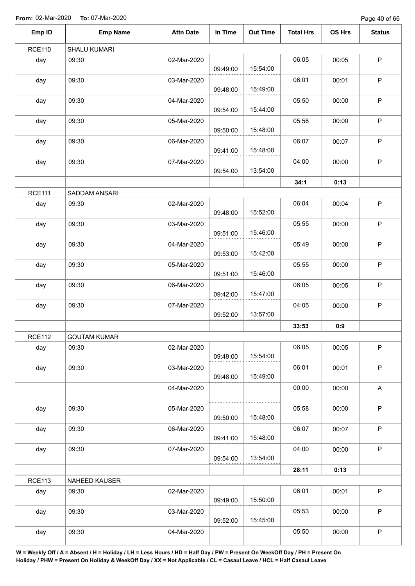Page 40 of 66

| Emp ID        | <b>Emp Name</b>     | <b>Attn Date</b> | In Time  | <b>Out Time</b> | <b>Total Hrs</b> | OS Hrs | <b>Status</b> |
|---------------|---------------------|------------------|----------|-----------------|------------------|--------|---------------|
| <b>RCE110</b> | SHALU KUMARI        |                  |          |                 |                  |        |               |
| day           | 09:30               | 02-Mar-2020      | 09:49:00 | 15:54:00        | 06:05            | 00:05  | $\mathsf P$   |
| day           | 09:30               | 03-Mar-2020      | 09:48:00 | 15:49:00        | 06:01            | 00:01  | $\mathsf P$   |
| day           | 09:30               | 04-Mar-2020      | 09:54:00 | 15:44:00        | 05:50            | 00:00  | $\mathsf P$   |
| day           | 09:30               | 05-Mar-2020      | 09:50:00 | 15:48:00        | 05:58            | 00:00  | $\mathsf P$   |
| day           | 09:30               | 06-Mar-2020      | 09:41:00 | 15:48:00        | 06:07            | 00:07  | $\sf P$       |
| day           | 09:30               | 07-Mar-2020      | 09:54:00 | 13:54:00        | 04:00            | 00:00  | $\mathsf P$   |
|               |                     |                  |          |                 | 34:1             | 0:13   |               |
| <b>RCE111</b> | SADDAM ANSARI       |                  |          |                 |                  |        |               |
| day           | 09:30               | 02-Mar-2020      | 09:48:00 | 15:52:00        | 06:04            | 00:04  | $\mathsf P$   |
| day           | 09:30               | 03-Mar-2020      | 09:51:00 | 15:46:00        | 05:55            | 00:00  | $\mathsf P$   |
| day           | 09:30               | 04-Mar-2020      | 09:53:00 | 15:42:00        | 05:49            | 00:00  | $\sf P$       |
| day           | 09:30               | 05-Mar-2020      | 09:51:00 | 15:46:00        | 05:55            | 00:00  | $\mathsf P$   |
| day           | 09:30               | 06-Mar-2020      | 09:42:00 | 15:47:00        | 06:05            | 00:05  | $\mathsf P$   |
| day           | 09:30               | 07-Mar-2020      | 09:52:00 | 13:57:00        | 04:05            | 00:00  | $\mathsf P$   |
|               |                     |                  |          |                 | 33:53            | 0:9    |               |
| <b>RCE112</b> | <b>GOUTAM KUMAR</b> |                  |          |                 |                  |        |               |
| day           | 09:30               | 02-Mar-2020      | 09:49:00 | 15:54:00        | 06:05            | 00:05  | $\mathsf P$   |
| day           | 09:30               | 03-Mar-2020      | 09:48:00 | 15:49:00        | 06:01            | 00:01  | $\mathsf P$   |
|               |                     | 04-Mar-2020      |          |                 | 00:00            | 00:00  | $\mathsf A$   |
| day           | 09:30               | 05-Mar-2020      | 09:50:00 | 15:48:00        | 05:58            | 00:00  | $\mathsf P$   |
| day           | 09:30               | 06-Mar-2020      | 09:41:00 | 15:48:00        | 06:07            | 00:07  | $\mathsf P$   |
| day           | 09:30               | 07-Mar-2020      | 09:54:00 | 13:54:00        | 04:00            | 00:00  | $\sf P$       |
|               |                     |                  |          |                 | 28:11            | 0:13   |               |
| <b>RCE113</b> | NAHEED KAUSER       |                  |          |                 |                  |        |               |
| day           | 09:30               | 02-Mar-2020      | 09:49:00 | 15:50:00        | 06:01            | 00:01  | $\mathsf P$   |
| day           | 09:30               | 03-Mar-2020      | 09:52:00 | 15:45:00        | 05:53            | 00:00  | $\mathsf P$   |
| day           | 09:30               | 04-Mar-2020      |          |                 | 05:50            | 00:00  | $\sf P$       |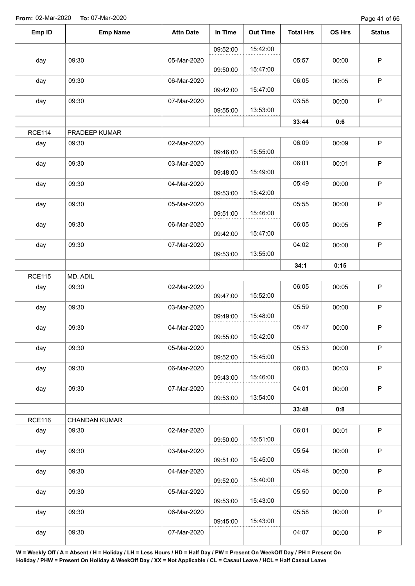Page 41 of 66

| Emp ID        | <b>Emp Name</b> | <b>Attn Date</b> | In Time  | <b>Out Time</b> | <b>Total Hrs</b> | <b>OS Hrs</b> | <b>Status</b> |
|---------------|-----------------|------------------|----------|-----------------|------------------|---------------|---------------|
|               |                 |                  | 09:52:00 | 15:42:00        |                  |               |               |
| day           | 09:30           | 05-Mar-2020      |          |                 | 05:57            | 00:00         | $\mathsf P$   |
|               |                 |                  | 09:50:00 | 15:47:00        |                  |               |               |
| day           | 09:30           | 06-Mar-2020      | 09:42:00 | 15:47:00        | 06:05            | 00:05         | $\mathsf P$   |
| day           | 09:30           | 07-Mar-2020      | 09:55:00 | 13:53:00        | 03:58            | 00:00         | $\mathsf P$   |
|               |                 |                  |          |                 | 33:44            | 0:6           |               |
| <b>RCE114</b> | PRADEEP KUMAR   |                  |          |                 |                  |               |               |
| day           | 09:30           | 02-Mar-2020      | 09:46:00 | 15:55:00        | 06:09            | 00:09         | $\mathsf P$   |
| day           | 09:30           | 03-Mar-2020      | 09:48:00 | 15:49:00        | 06:01            | 00:01         | $\mathsf P$   |
| day           | 09:30           | 04-Mar-2020      | 09:53:00 | 15:42:00        | 05:49            | 00:00         | P             |
| day           | 09:30           | 05-Mar-2020      |          |                 | 05:55            | 00:00         | $\sf P$       |
|               |                 |                  | 09:51:00 | 15:46:00        |                  |               |               |
| day           | 09:30           | 06-Mar-2020      |          |                 | 06:05            | 00:05         | $\mathsf P$   |
|               |                 |                  | 09:42:00 | 15:47:00        |                  |               |               |
| day           | 09:30           | 07-Mar-2020      | 09:53:00 | 13:55:00        | 04:02            | 00:00         | $\sf P$       |
|               |                 |                  |          |                 | 34:1             | 0:15          |               |
| <b>RCE115</b> | MD. ADIL        |                  |          |                 |                  |               |               |
| day           | 09:30           | 02-Mar-2020      | 09:47:00 | 15:52:00        | 06:05            | 00:05         | $\sf P$       |
| day           | 09:30           | 03-Mar-2020      | 09:49:00 | 15:48:00        | 05:59            | 00:00         | $\mathsf P$   |
| day           | 09:30           | 04-Mar-2020      | 09:55:00 | 15:42:00        | 05:47            | 00:00         | P             |
| day           | 09:30           | 05-Mar-2020      |          |                 | 05:53            | 00:00         | $\mathsf P$   |
|               | 09:30           | 06-Mar-2020      | 09:52:00 | 15:45:00        | 06:03            | 00:03         | $\mathsf P$   |
| day           |                 |                  | 09:43:00 | 15:46:00        |                  |               |               |
| day           | 09:30           | 07-Mar-2020      | 09:53:00 | 13:54:00        | 04:01            | 00:00         | $\mathsf P$   |
|               |                 |                  |          |                 | 33:48            | 0:8           |               |
| <b>RCE116</b> | CHANDAN KUMAR   |                  |          |                 |                  |               |               |
| day           | 09:30           | 02-Mar-2020      | 09:50:00 | 15:51:00        | 06:01            | 00:01         | $\mathsf P$   |
| day           | 09:30           | 03-Mar-2020      | 09:51:00 | 15:45:00        | 05:54            | 00:00         | P             |
| day           | 09:30           | 04-Mar-2020      | 09:52:00 | 15:40:00        | 05:48            | 00:00         | $\mathsf P$   |
| day           | 09:30           | 05-Mar-2020      | 09:53:00 | 15:43:00        | 05:50            | 00:00         | $\mathsf P$   |
| day           | 09:30           | 06-Mar-2020      | 09:45:00 | 15:43:00        | 05:58            | 00:00         | $\mathsf P$   |
|               |                 |                  |          |                 |                  |               |               |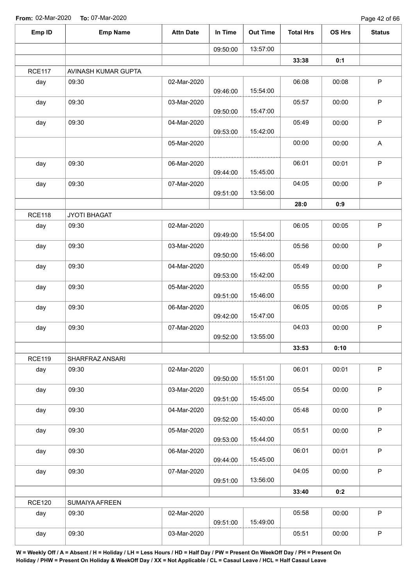| Emp ID        | <b>Emp Name</b>     | <b>Attn Date</b> | In Time  | <b>Out Time</b> | <b>Total Hrs</b> | OS Hrs | <b>Status</b> |
|---------------|---------------------|------------------|----------|-----------------|------------------|--------|---------------|
|               |                     |                  | 09:50:00 | 13:57:00        |                  |        |               |
|               |                     |                  |          |                 | 33:38            | 0:1    |               |
| <b>RCE117</b> | AVINASH KUMAR GUPTA |                  |          |                 |                  |        |               |
| day           | 09:30               | 02-Mar-2020      | 09:46:00 | 15:54:00        | 06:08            | 00:08  | $\sf P$       |
| day           | 09:30               | 03-Mar-2020      | 09:50:00 | 15:47:00        | 05:57            | 00:00  | $\sf P$       |
| day           | 09:30               | 04-Mar-2020      | 09:53:00 | 15:42:00        | 05:49            | 00:00  | $\sf P$       |
|               |                     | 05-Mar-2020      |          |                 | 00:00            | 00:00  | A             |
| day           | 09:30               | 06-Mar-2020      | 09:44:00 | 15:45:00        | 06:01            | 00:01  | $\sf P$       |
| day           | 09:30               | 07-Mar-2020      | 09:51:00 | 13:56:00        | 04:05            | 00:00  | $\mathsf P$   |
|               |                     |                  |          |                 | 28:0             | 0:9    |               |
| <b>RCE118</b> | JYOTI BHAGAT        |                  |          |                 |                  |        |               |
| day           | 09:30               | 02-Mar-2020      | 09:49:00 | 15:54:00        | 06:05            | 00:05  | $\sf P$       |
| day           | 09:30               | 03-Mar-2020      | 09:50:00 | 15:46:00        | 05:56            | 00:00  | $\sf P$       |
| day           | 09:30               | 04-Mar-2020      | 09:53:00 | 15:42:00        | 05:49            | 00:00  | $\mathsf P$   |
| day           | 09:30               | 05-Mar-2020      | 09:51:00 | 15:46:00        | 05:55            | 00:00  | $\sf P$       |
| day           | 09:30               | 06-Mar-2020      | 09:42:00 | 15:47:00        | 06:05            | 00:05  | $\mathsf P$   |
| day           | 09:30               | 07-Mar-2020      | 09:52:00 | 13:55:00        | 04:03            | 00:00  | $\sf P$       |
|               |                     |                  |          |                 | 33:53            | 0:10   |               |
| <b>RCE119</b> | SHARFRAZ ANSARI     |                  |          |                 |                  |        |               |
| day           | 09:30               | 02-Mar-2020      | 09:50:00 | 15:51:00        | 06:01            | 00:01  | $\mathsf P$   |
| day           | 09:30               | 03-Mar-2020      | 09:51:00 | 15:45:00        | 05:54            | 00:00  | $\mathsf P$   |
| day           | 09:30               | 04-Mar-2020      | 09:52:00 | 15:40:00        | 05:48            | 00:00  | P             |
| day           | 09:30               | 05-Mar-2020      | 09:53:00 | 15:44:00        | 05:51            | 00:00  | $\mathsf P$   |
| day           | 09:30               | 06-Mar-2020      | 09:44:00 | 15:45:00        | 06:01            | 00:01  | $\mathsf P$   |
| day           | 09:30               | 07-Mar-2020      | 09:51:00 | 13:56:00        | 04:05            | 00:00  | $\mathsf{P}$  |
|               |                     |                  |          |                 | 33:40            | 0:2    |               |
| <b>RCE120</b> | SUMAIYA AFREEN      |                  |          |                 |                  |        |               |
| day           | 09:30               | 02-Mar-2020      | 09:51:00 | 15:49:00        | 05:58            | 00:00  | $\mathsf P$   |
| day           | 09:30               | 03-Mar-2020      |          |                 | 05:51            | 00:00  | $\sf P$       |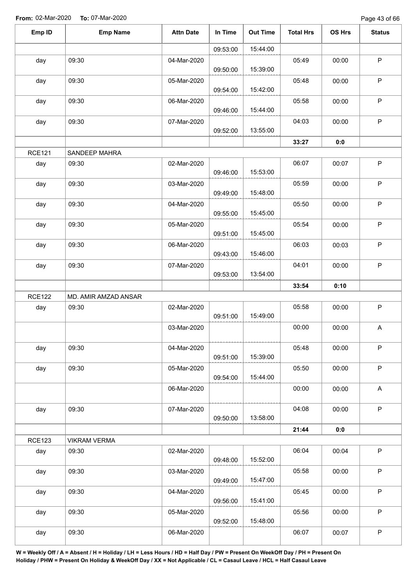Page 43 of 66

| Emp ID        | <b>Emp Name</b>      | <b>Attn Date</b> | In Time  | <b>Out Time</b> | <b>Total Hrs</b> | <b>OS Hrs</b> | <b>Status</b> |
|---------------|----------------------|------------------|----------|-----------------|------------------|---------------|---------------|
|               |                      |                  | 09:53:00 | 15:44:00        |                  |               |               |
| day           | 09:30                | 04-Mar-2020      | 09:50:00 | 15:39:00        | 05:49            | 00:00         | $\mathsf P$   |
| day           | 09:30                | 05-Mar-2020      | 09:54:00 | 15:42:00        | 05:48            | 00:00         | $\sf P$       |
| day           | 09:30                | 06-Mar-2020      | 09:46:00 | 15:44:00        | 05:58            | 00:00         | $\mathsf P$   |
| day           | 09:30                | 07-Mar-2020      | 09:52:00 | 13:55:00        | 04:03            | 00:00         | $\sf P$       |
|               |                      |                  |          |                 | 33:27            | 0:0           |               |
| <b>RCE121</b> | SANDEEP MAHRA        |                  |          |                 |                  |               |               |
| day           | 09:30                | 02-Mar-2020      | 09:46:00 | 15:53:00        | 06:07            | 00:07         | $\mathsf P$   |
| day           | 09:30                | 03-Mar-2020      | 09:49:00 | 15:48:00        | 05:59            | 00:00         | $\mathsf P$   |
| day           | 09:30                | 04-Mar-2020      | 09:55:00 | 15:45:00        | 05:50            | 00:00         | P             |
| day           | 09:30                | 05-Mar-2020      | 09:51:00 | 15:45:00        | 05:54            | 00:00         | $\sf P$       |
| day           | 09:30                | 06-Mar-2020      | 09:43:00 | 15:46:00        | 06:03            | 00:03         | P             |
| day           | 09:30                | 07-Mar-2020      | 09:53:00 | 13:54:00        | 04:01            | 00:00         | $\mathsf P$   |
|               |                      |                  |          |                 | 33:54            | 0:10          |               |
| <b>RCE122</b> | MD. AMIR AMZAD ANSAR |                  |          |                 |                  |               |               |
| day           | 09:30                | 02-Mar-2020      | 09:51:00 | 15:49:00        | 05:58            | 00:00         | $\mathsf P$   |
|               |                      | 03-Mar-2020      |          |                 | 00:00            | 00:00         | A             |
| day           | 09:30                | 04-Mar-2020      | 09:51:00 | 15:39:00        | 05:48            | 00:00         | $\mathsf P$   |
| day           | 09:30                | 05-Mar-2020      | 09:54:00 | 15:44:00        | 05:50            | 00:00         | $\mathsf P$   |
|               |                      | 06-Mar-2020      |          |                 | 00:00            | 00:00         | A             |
| day           | 09:30                | 07-Mar-2020      |          |                 | 04:08            | 00:00         | P             |
|               |                      |                  | 09:50:00 | 13:58:00        | 21:44            | 0:0           |               |
| <b>RCE123</b> | <b>VIKRAM VERMA</b>  |                  |          |                 |                  |               |               |
| day           | 09:30                | 02-Mar-2020      |          | 15:52:00        | 06:04            | 00:04         | $\mathsf P$   |
| day           | 09:30                | 03-Mar-2020      | 09:48:00 |                 | 05:58            | 00:00         | $\sf P$       |
| day           | 09:30                | 04-Mar-2020      | 09:49:00 | 15:47:00        | 05:45            | 00:00         | P             |
| day           | 09:30                | 05-Mar-2020      | 09:56:00 | 15:41:00        | 05:56            | 00:00         | P             |
|               |                      |                  | 09:52:00 | 15:48:00        |                  |               |               |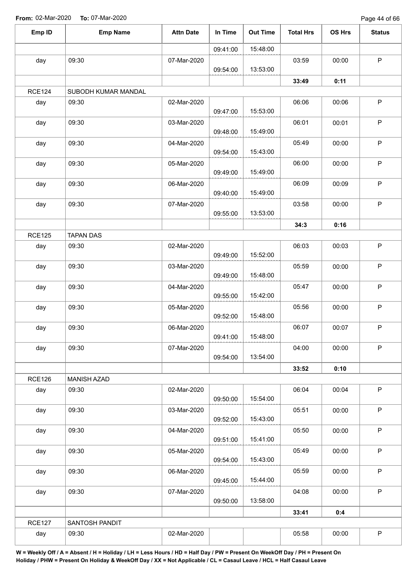Page 44 of 66

| Emp ID        | <b>Emp Name</b>     | <b>Attn Date</b> | In Time  | <b>Out Time</b> | <b>Total Hrs</b> | OS Hrs | <b>Status</b> |
|---------------|---------------------|------------------|----------|-----------------|------------------|--------|---------------|
|               |                     |                  | 09:41:00 | 15:48:00        |                  |        |               |
| day           | 09:30               | 07-Mar-2020      |          |                 | 03:59            | 00:00  | $\mathsf P$   |
|               |                     |                  | 09:54:00 | 13:53:00        |                  |        |               |
|               |                     |                  |          |                 | 33:49            | 0:11   |               |
| <b>RCE124</b> | SUBODH KUMAR MANDAL |                  |          |                 |                  |        |               |
| day           | 09:30               | 02-Mar-2020      | 09:47:00 | 15:53:00        | 06:06            | 00:06  | $\mathsf P$   |
| day           | 09:30               | 03-Mar-2020      | 09:48:00 | 15:49:00        | 06:01            | 00:01  | $\sf P$       |
| day           | 09:30               | 04-Mar-2020      | 09:54:00 | 15:43:00        | 05:49            | 00:00  | $\mathsf P$   |
| day           | 09:30               | 05-Mar-2020      | 09:49:00 | 15:49:00        | 06:00            | 00:00  | $\mathsf P$   |
| day           | 09:30               | 06-Mar-2020      |          |                 | 06:09            | 00:09  | $\sf P$       |
|               |                     |                  | 09:40:00 | 15:49:00        |                  |        |               |
| day           | 09:30               | 07-Mar-2020      |          |                 | 03:58            | 00:00  | $\mathsf P$   |
|               |                     |                  | 09:55:00 | 13:53:00        |                  |        |               |
|               |                     |                  |          |                 | 34:3             | 0:16   |               |
| <b>RCE125</b> | <b>TAPAN DAS</b>    |                  |          |                 |                  |        |               |
| day           | 09:30               | 02-Mar-2020      | 09:49:00 | 15:52:00        | 06:03            | 00:03  | $\mathsf P$   |
| day           | 09:30               | 03-Mar-2020      | 09:49:00 | 15:48:00        | 05:59            | 00:00  | P             |
| day           | 09:30               | 04-Mar-2020      | 09:55:00 | 15:42:00        | 05:47            | 00:00  | $\sf P$       |
| day           | 09:30               | 05-Mar-2020      | 09:52:00 | 15:48:00        | 05:56            | 00:00  | $\mathsf P$   |
| day           | 09:30               | 06-Mar-2020      | 09:41:00 | 15:48:00        | 06:07            | 00:07  | $\mathsf P$   |
| day           | 09:30               | 07-Mar-2020      | 09:54:00 | 13:54:00        | 04:00            | 00:00  | $\mathsf P$   |
|               |                     |                  |          |                 | 33:52            | 0:10   |               |
| <b>RCE126</b> | <b>MANISH AZAD</b>  |                  |          |                 |                  |        |               |
| day           | 09:30               | 02-Mar-2020      | 09:50:00 | 15:54:00        | 06:04            | 00:04  | $\mathsf P$   |
| day           | 09:30               | 03-Mar-2020      | 09:52:00 | 15:43:00        | 05:51            | 00:00  | $\mathsf P$   |
| day           | 09:30               | 04-Mar-2020      | 09:51:00 | 15:41:00        | 05:50            | 00:00  | $\sf P$       |
| day           | 09:30               | 05-Mar-2020      |          |                 | 05:49            | 00:00  | $\sf P$       |
| day           | 09:30               | 06-Mar-2020      | 09:54:00 | 15:43:00        | 05:59            | 00:00  | P             |
| day           | 09:30               | 07-Mar-2020      | 09:45:00 | 15:44:00        | 04:08            | 00:00  | $\mathsf P$   |
|               |                     |                  | 09:50:00 | 13:58:00        |                  |        |               |
|               |                     |                  |          |                 | 33:41            | 0:4    |               |
| <b>RCE127</b> | SANTOSH PANDIT      |                  |          |                 |                  |        |               |
| day           | 09:30               | 02-Mar-2020      |          |                 | 05:58            | 00:00  | $\sf P$       |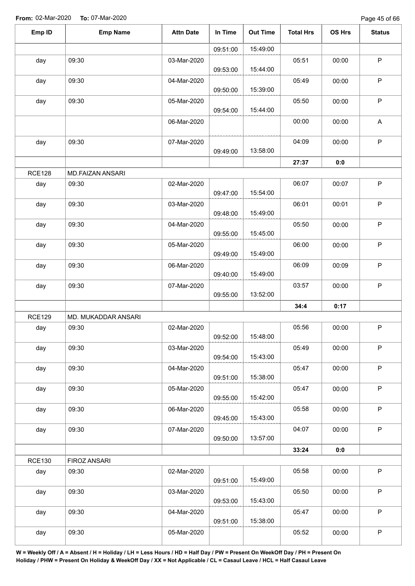| Emp ID        | <b>Emp Name</b>     | <b>Attn Date</b> | In Time  | <b>Out Time</b> | <b>Total Hrs</b> | OS Hrs | <b>Status</b>             |
|---------------|---------------------|------------------|----------|-----------------|------------------|--------|---------------------------|
|               |                     |                  | 09:51:00 | 15:49:00        |                  |        |                           |
| day           | 09:30               | 03-Mar-2020      | 09:53:00 | 15:44:00        | 05:51            | 00:00  | $\sf P$                   |
| day           | 09:30               | 04-Mar-2020      | 09:50:00 | 15:39:00        | 05:49            | 00:00  | $\sf P$                   |
| day           | 09:30               | 05-Mar-2020      | 09:54:00 | 15:44:00        | 05:50            | 00:00  | $\mathsf P$               |
|               |                     | 06-Mar-2020      |          |                 | 00:00            | 00:00  | $\boldsymbol{\mathsf{A}}$ |
| day           | 09:30               | 07-Mar-2020      | 09:49:00 | 13:58:00        | 04:09            | 00:00  | $\mathsf P$               |
|               |                     |                  |          |                 | 27:37            | 0:0    |                           |
| <b>RCE128</b> | MD.FAIZAN ANSARI    |                  |          |                 |                  |        |                           |
| day           | 09:30               | 02-Mar-2020      | 09:47:00 | 15:54:00        | 06:07            | 00:07  | $\sf P$                   |
| day           | 09:30               | 03-Mar-2020      | 09:48:00 | 15:49:00        | 06:01            | 00:01  | $\sf P$                   |
| day           | 09:30               | 04-Mar-2020      | 09:55:00 | 15:45:00        | 05:50            | 00:00  | $\sf P$                   |
| day           | 09:30               | 05-Mar-2020      | 09:49:00 | 15:49:00        | 06:00            | 00:00  | $\sf P$                   |
| day           | 09:30               | 06-Mar-2020      | 09:40:00 | 15:49:00        | 06:09            | 00:09  | $\sf P$                   |
| day           | 09:30               | 07-Mar-2020      | 09:55:00 | 13:52:00        | 03:57            | 00:00  | $\mathsf P$               |
|               |                     |                  |          |                 | 34:4             | 0:17   |                           |
| <b>RCE129</b> | MD. MUKADDAR ANSARI |                  |          |                 |                  |        |                           |
| day           | 09:30               | 02-Mar-2020      | 09:52:00 | 15:48:00        | 05:56            | 00:00  | $\sf P$                   |
| day           | 09:30               | 03-Mar-2020      | 09:54:00 | 15:43:00        | 05:49            | 00:00  | $\mathsf P$               |
| day           | 09:30               | 04-Mar-2020      | 09:51:00 | 15:38:00        | 05:47            | 00:00  | $\sf P$                   |
| day           | 09:30               | 05-Mar-2020      | 09:55:00 | 15:42:00        | 05:47            | 00:00  | $\sf P$                   |
| day           | 09:30               | 06-Mar-2020      | 09:45:00 | 15:43:00        | 05:58            | 00:00  | $\mathsf P$               |
| day           | 09:30               | 07-Mar-2020      | 09:50:00 | 13:57:00        | 04:07            | 00:00  | $\mathsf P$               |
|               |                     |                  |          |                 | 33:24            | 0:0    |                           |
| <b>RCE130</b> | FIROZ ANSARI        |                  |          |                 |                  |        |                           |
| day           | 09:30               | 02-Mar-2020      | 09:51:00 | 15:49:00        | 05:58            | 00:00  | $\mathsf P$               |
| day           | 09:30               | 03-Mar-2020      | 09:53:00 | 15:43:00        | 05:50            | 00:00  | $\sf P$                   |
| day           | 09:30               | 04-Mar-2020      | 09:51:00 | 15:38:00        | 05:47            | 00:00  | $\mathsf P$               |
| day           | 09:30               | 05-Mar-2020      |          |                 | 05:52            | 00:00  | $\sf P$                   |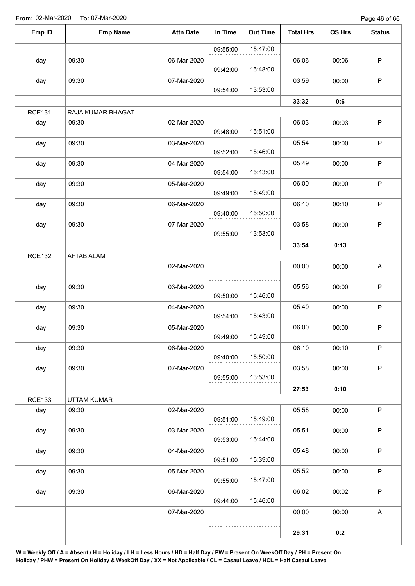Page 46 of 66

| Emp ID        | <b>Emp Name</b>   | <b>Attn Date</b> | In Time  | <b>Out Time</b> | <b>Total Hrs</b> | OS Hrs | <b>Status</b>             |
|---------------|-------------------|------------------|----------|-----------------|------------------|--------|---------------------------|
|               |                   |                  | 09:55:00 | 15:47:00        |                  |        |                           |
| day           | 09:30             | 06-Mar-2020      | 09:42:00 | 15:48:00        | 06:06            | 00:06  | $\mathsf P$               |
| day           | 09:30             | 07-Mar-2020      | 09:54:00 | 13:53:00        | 03:59            | 00:00  | $\mathsf P$               |
|               |                   |                  |          |                 | 33:32            | 0:6    |                           |
| <b>RCE131</b> | RAJA KUMAR BHAGAT |                  |          |                 |                  |        |                           |
| day           | 09:30             | 02-Mar-2020      | 09:48:00 | 15:51:00        | 06:03            | 00:03  | $\mathsf P$               |
| day           | 09:30             | 03-Mar-2020      | 09:52:00 | 15:46:00        | 05:54            | 00:00  | $\mathsf P$               |
| day           | 09:30             | 04-Mar-2020      | 09:54:00 | 15:43:00        | 05:49            | 00:00  | $\mathsf P$               |
| day           | 09:30             | 05-Mar-2020      | 09:49:00 | 15:49:00        | 06:00            | 00:00  | $\mathsf P$               |
| day           | 09:30             | 06-Mar-2020      | 09:40:00 | 15:50:00        | 06:10            | 00:10  | $\mathsf P$               |
| day           | 09:30             | 07-Mar-2020      | 09:55:00 | 13:53:00        | 03:58            | 00:00  | $\sf P$                   |
|               |                   |                  |          |                 | 33:54            | 0:13   |                           |
| <b>RCE132</b> | <b>AFTAB ALAM</b> |                  |          |                 |                  |        |                           |
|               |                   | 02-Mar-2020      |          |                 | 00:00            | 00:00  | A                         |
| day           | 09:30             | 03-Mar-2020      | 09:50:00 | 15:46:00        | 05:56            | 00:00  | $\mathsf P$               |
| day           | 09:30             | 04-Mar-2020      | 09:54:00 | 15:43:00        | 05:49            | 00:00  | $\mathsf P$               |
| day           | 09:30             | 05-Mar-2020      | 09:49:00 | 15:49:00        | 06:00            | 00:00  | $\mathsf P$               |
| day           | 09:30             | 06-Mar-2020      | 09:40:00 | 15:50:00        | 06:10            | 00:10  | $\mathsf P$               |
| day           | 09:30             | 07-Mar-2020      | 09:55:00 | 13:53:00        | 03:58            | 00:00  | $\mathsf P$               |
|               |                   |                  |          |                 | 27:53            | 0:10   |                           |
| <b>RCE133</b> | UTTAM KUMAR       |                  |          |                 |                  |        |                           |
| day           | 09:30             | 02-Mar-2020      | 09:51:00 | 15:49:00        | 05:58            | 00:00  | $\sf P$                   |
| day           | 09:30             | 03-Mar-2020      | 09:53:00 | 15:44:00        | 05:51            | 00:00  | $\sf P$                   |
| day           | 09:30             | 04-Mar-2020      | 09:51:00 | 15:39:00        | 05:48            | 00:00  | $\mathsf P$               |
| day           | 09:30             | 05-Mar-2020      | 09:55:00 | 15:47:00        | 05:52            | 00:00  | $\sf P$                   |
| day           | 09:30             | 06-Mar-2020      | 09:44:00 | 15:46:00        | 06:02            | 00:02  | $\sf P$                   |
|               |                   | 07-Mar-2020      |          |                 | 00:00            | 00:00  | $\boldsymbol{\mathsf{A}}$ |
|               |                   |                  |          |                 | 29:31            | 0:2    |                           |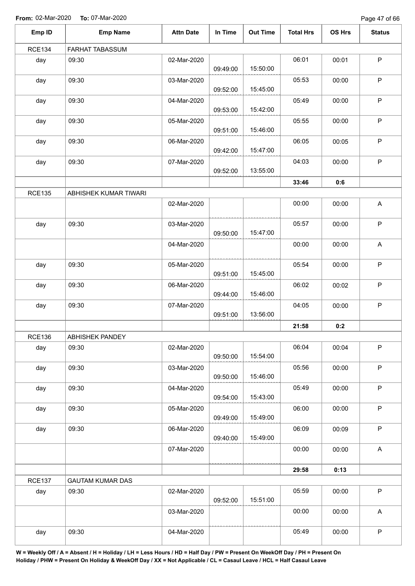Page 47 of 66

| Emp ID        | <b>Emp Name</b>         | <b>Attn Date</b> | In Time  | <b>Out Time</b> | <b>Total Hrs</b> | OS Hrs | <b>Status</b> |
|---------------|-------------------------|------------------|----------|-----------------|------------------|--------|---------------|
| <b>RCE134</b> | FARHAT TABASSUM         |                  |          |                 |                  |        |               |
| day           | 09:30                   | 02-Mar-2020      | 09:49:00 | 15:50:00        | 06:01            | 00:01  | $\mathsf P$   |
| day           | 09:30                   | 03-Mar-2020      | 09:52:00 | 15:45:00        | 05:53            | 00:00  | $\mathsf P$   |
| day           | 09:30                   | 04-Mar-2020      | 09:53:00 | 15:42:00        | 05:49            | 00:00  | $\sf P$       |
| day           | 09:30                   | 05-Mar-2020      | 09:51:00 | 15:46:00        | 05:55            | 00:00  | $\mathsf P$   |
| day           | 09:30                   | 06-Mar-2020      | 09:42:00 | 15:47:00        | 06:05            | 00:05  | $\mathsf P$   |
| day           | 09:30                   | 07-Mar-2020      | 09:52:00 | 13:55:00        | 04:03            | 00:00  | $\mathsf P$   |
|               |                         |                  |          |                 | 33:46            | 0:6    |               |
| <b>RCE135</b> | ABHISHEK KUMAR TIWARI   |                  |          |                 |                  |        |               |
|               |                         | 02-Mar-2020      |          |                 | 00:00            | 00:00  | A             |
| day           | 09:30                   | 03-Mar-2020      | 09:50:00 | 15:47:00        | 05:57            | 00:00  | $\mathsf P$   |
|               |                         | 04-Mar-2020      |          |                 | 00:00            | 00:00  | $\mathsf A$   |
| day           | 09:30                   | 05-Mar-2020      | 09:51:00 | 15:45:00        | 05:54            | 00:00  | $\mathsf P$   |
| day           | 09:30                   | 06-Mar-2020      | 09:44:00 | 15:46:00        | 06:02            | 00:02  | $\mathsf P$   |
| day           | 09:30                   | 07-Mar-2020      | 09:51:00 | 13:56:00        | 04:05            | 00:00  | $\mathsf P$   |
|               |                         |                  |          |                 | 21:58            | 0:2    |               |
| <b>RCE136</b> | ABHISHEK PANDEY         |                  |          |                 |                  |        |               |
| day           | 09:30                   | 02-Mar-2020      | 09:50:00 | 15:54:00        | 06:04            | 00:04  | $\mathsf P$   |
| day           | 09:30                   | 03-Mar-2020      | 09:50:00 | 15:46:00        | 05:56            | 00:00  | $\mathsf P$   |
| day           | 09:30                   | 04-Mar-2020      | 09:54:00 | 15:43:00        | 05:49            | 00:00  | $\mathsf P$   |
| day           | 09:30                   | 05-Mar-2020      | 09:49:00 | 15:49:00        | 06:00            | 00:00  | $\mathsf P$   |
| day           | 09:30                   | 06-Mar-2020      | 09:40:00 | 15:49:00        | 06:09            | 00:09  | $\mathsf P$   |
|               |                         | 07-Mar-2020      |          |                 | 00:00            | 00:00  | $\mathsf A$   |
|               |                         |                  |          |                 | 29:58            | 0:13   |               |
| <b>RCE137</b> | <b>GAUTAM KUMAR DAS</b> |                  |          |                 |                  |        |               |
| day           | 09:30                   | 02-Mar-2020      | 09:52:00 | 15:51:00        | 05:59            | 00:00  | $\mathsf P$   |
|               |                         | 03-Mar-2020      |          |                 | 00:00            | 00:00  | A             |
| day           | 09:30                   | 04-Mar-2020      |          |                 | 05:49            | 00:00  | $\sf P$       |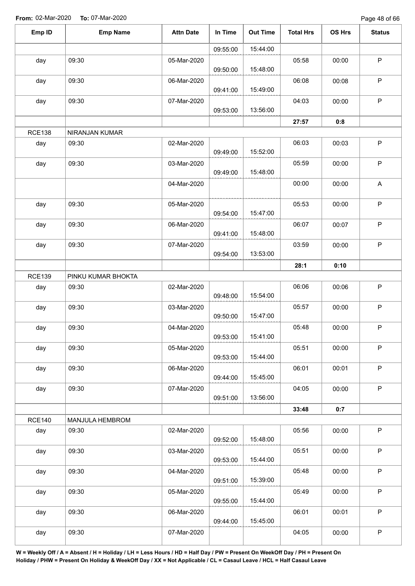Page 48 of 66

| Emp ID        | <b>Emp Name</b>    | <b>Attn Date</b> | In Time  | <b>Out Time</b> | <b>Total Hrs</b> | <b>OS Hrs</b> | <b>Status</b> |
|---------------|--------------------|------------------|----------|-----------------|------------------|---------------|---------------|
|               |                    |                  | 09:55:00 | 15:44:00        |                  |               |               |
| day           | 09:30              | 05-Mar-2020      | 09:50:00 | 15:48:00        | 05:58            | 00:00         | $\mathsf P$   |
| day           | 09:30              | 06-Mar-2020      | 09:41:00 | 15:49:00        | 06:08            | 00:08         | $\mathsf P$   |
| day           | 09:30              | 07-Mar-2020      | 09:53:00 | 13:56:00        | 04:03            | 00:00         | $\sf P$       |
|               |                    |                  |          |                 | 27:57            | 0:8           |               |
| <b>RCE138</b> | NIRANJAN KUMAR     |                  |          |                 |                  |               |               |
| day           | 09:30              | 02-Mar-2020      | 09:49:00 | 15:52:00        | 06:03            | 00:03         | $\mathsf P$   |
| day           | 09:30              | 03-Mar-2020      | 09:49:00 | 15:48:00        | 05:59            | 00:00         | $\sf P$       |
|               |                    | 04-Mar-2020      |          |                 | 00:00            | 00:00         | A             |
| day           | 09:30              | 05-Mar-2020      | 09:54:00 | 15:47:00        | 05:53            | 00:00         | $\sf P$       |
| day           | 09:30              | 06-Mar-2020      | 09:41:00 | 15:48:00        | 06:07            | 00:07         | $\mathsf P$   |
| day           | 09:30              | 07-Mar-2020      | 09:54:00 | 13:53:00        | 03:59            | 00:00         | $\sf P$       |
|               |                    |                  |          |                 | 28:1             | 0:10          |               |
| <b>RCE139</b> | PINKU KUMAR BHOKTA |                  |          |                 |                  |               |               |
| day           | 09:30              | 02-Mar-2020      | 09:48:00 | 15:54:00        | 06:06            | 00:06         | $\sf P$       |
| day           | 09:30              | 03-Mar-2020      | 09:50:00 | 15:47:00        | 05:57            | 00:00         | $\mathsf P$   |
| day           | 09:30              | 04-Mar-2020      | 09:53:00 | 15:41:00        | 05:48            | 00:00         | $\mathsf P$   |
| day           | 09:30              | 05-Mar-2020      | 09:53:00 | 15:44:00        | 05:51            | 00:00         | $\mathsf P$   |
| day           | 09:30              | 06-Mar-2020      | 09:44:00 | 15:45:00        | 06:01            | 00:01         | $\mathsf P$   |
| day           | 09:30              | 07-Mar-2020      | 09:51:00 | 13:56:00        | 04:05            | 00:00         | $\mathsf P$   |
|               |                    |                  |          |                 | 33:48            | 0:7           |               |
| <b>RCE140</b> | MANJULA HEMBROM    |                  |          |                 |                  |               |               |
| day           | 09:30              | 02-Mar-2020      | 09:52:00 | 15:48:00        | 05:56            | 00:00         | P             |
| day           | 09:30              | 03-Mar-2020      | 09:53:00 | 15:44:00        | 05:51            | 00:00         | $\mathsf P$   |
| day           | 09:30              | 04-Mar-2020      | 09:51:00 | 15:39:00        | 05:48            | 00:00         | $\mathsf P$   |
| day           | 09:30              | 05-Mar-2020      | 09:55:00 | 15:44:00        | 05:49            | 00:00         | $\mathsf P$   |
| day           | 09:30              | 06-Mar-2020      | 09:44:00 | 15:45:00        | 06:01            | 00:01         | $\mathsf P$   |
| day           | 09:30              | 07-Mar-2020      |          |                 | 04:05            | 00:00         | $\sf P$       |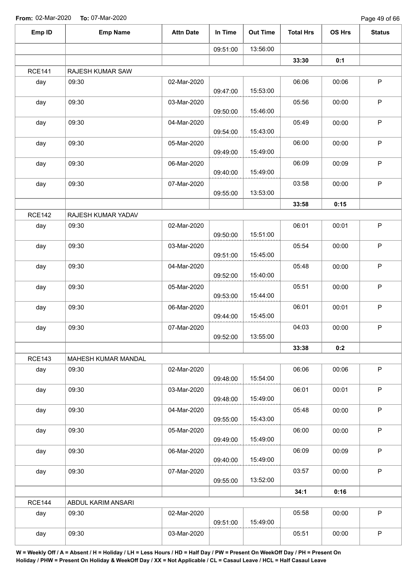Page 49 of 66

| Emp ID        | <b>Emp Name</b>     | <b>Attn Date</b> | In Time  | <b>Out Time</b> | <b>Total Hrs</b> | OS Hrs | <b>Status</b> |
|---------------|---------------------|------------------|----------|-----------------|------------------|--------|---------------|
|               |                     |                  | 09:51:00 | 13:56:00        |                  |        |               |
|               |                     |                  |          |                 | 33:30            | 0:1    |               |
| <b>RCE141</b> | RAJESH KUMAR SAW    |                  |          |                 |                  |        |               |
| day           | 09:30               | 02-Mar-2020      | 09:47:00 | 15:53:00        | 06:06            | 00:06  | $\mathsf P$   |
| day           | 09:30               | 03-Mar-2020      | 09:50:00 | 15:46:00        | 05:56            | 00:00  | $\mathsf P$   |
| day           | 09:30               | 04-Mar-2020      | 09:54:00 | 15:43:00        | 05:49            | 00:00  | $\mathsf P$   |
| day           | 09:30               | 05-Mar-2020      | 09:49:00 | 15:49:00        | 06:00            | 00:00  | $\sf P$       |
| day           | 09:30               | 06-Mar-2020      | 09:40:00 | 15:49:00        | 06:09            | 00:09  | $\mathsf P$   |
| day           | 09:30               | 07-Mar-2020      | 09:55:00 | 13:53:00        | 03:58            | 00:00  | $\sf P$       |
|               |                     |                  |          |                 | 33:58            | 0:15   |               |
| <b>RCE142</b> | RAJESH KUMAR YADAV  |                  |          |                 |                  |        |               |
| day           | 09:30               | 02-Mar-2020      | 09:50:00 | 15:51:00        | 06:01            | 00:01  | $\sf P$       |
| day           | 09:30               | 03-Mar-2020      | 09:51:00 | 15:45:00        | 05:54            | 00:00  | $\mathsf P$   |
| day           | 09:30               | 04-Mar-2020      | 09:52:00 | 15:40:00        | 05:48            | 00:00  | $\sf P$       |
| day           | 09:30               | 05-Mar-2020      | 09:53:00 | 15:44:00        | 05:51            | 00:00  | $\mathsf P$   |
| day           | 09:30               | 06-Mar-2020      | 09:44:00 | 15:45:00        | 06:01            | 00:01  | P             |
| day           | 09:30               | 07-Mar-2020      | 09:52:00 | 13:55:00        | 04:03            | 00:00  | P             |
|               |                     |                  |          |                 | 33:38            | 0:2    |               |
| <b>RCE143</b> | MAHESH KUMAR MANDAL |                  |          |                 |                  |        |               |
| day           | 09:30               | 02-Mar-2020      | 09:48:00 | 15:54:00        | 06:06            | 00:06  | $\sf P$       |
| day           | 09:30               | 03-Mar-2020      | 09:48:00 | 15:49:00        | 06:01            | 00:01  | $\mathsf P$   |
| day           | 09:30               | 04-Mar-2020      | 09:55:00 | 15:43:00        | 05:48            | 00:00  | $\mathsf P$   |
| day           | 09:30               | 05-Mar-2020      | 09:49:00 | 15:49:00        | 06:00            | 00:00  | $\sf P$       |
| day           | 09:30               | 06-Mar-2020      | 09:40:00 | 15:49:00        | 06:09            | 00:09  | $\mathsf P$   |
| day           | 09:30               | 07-Mar-2020      |          | 13:52:00        | 03:57            | 00:00  | $\sf P$       |
|               |                     |                  | 09:55:00 |                 | 34:1             | 0:16   |               |
| <b>RCE144</b> | ABDUL KARIM ANSARI  |                  |          |                 |                  |        |               |
| day           | 09:30               | 02-Mar-2020      | 09:51:00 | 15:49:00        | 05:58            | 00:00  | $\sf P$       |
| day           | 09:30               | 03-Mar-2020      |          |                 | 05:51            | 00:00  | $\mathsf P$   |
|               |                     |                  |          |                 |                  |        |               |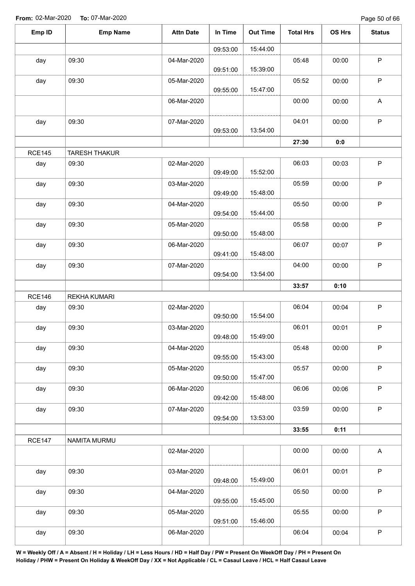| Emp ID        | <b>Emp Name</b>      | <b>Attn Date</b> | In Time  | <b>Out Time</b> | <b>Total Hrs</b> | OS Hrs | <b>Status</b> |
|---------------|----------------------|------------------|----------|-----------------|------------------|--------|---------------|
|               |                      |                  | 09:53:00 | 15:44:00        |                  |        |               |
| day           | 09:30                | 04-Mar-2020      | 09:51:00 | 15:39:00        | 05:48            | 00:00  | $\mathsf P$   |
| day           | 09:30                | 05-Mar-2020      | 09:55:00 | 15:47:00        | 05:52            | 00:00  | $\mathsf P$   |
|               |                      | 06-Mar-2020      |          |                 | 00:00            | 00:00  | $\mathsf A$   |
| day           | 09:30                | 07-Mar-2020      | 09:53:00 | 13:54:00        | 04:01            | 00:00  | $\sf P$       |
|               |                      |                  |          |                 | 27:30            | 0:0    |               |
| <b>RCE145</b> | <b>TARESH THAKUR</b> |                  |          |                 |                  |        |               |
| day           | 09:30                | 02-Mar-2020      | 09:49:00 | 15:52:00        | 06:03            | 00:03  | $\mathsf P$   |
| day           | 09:30                | 03-Mar-2020      | 09:49:00 | 15:48:00        | 05:59            | 00:00  | $\sf P$       |
| day           | 09:30                | 04-Mar-2020      | 09:54:00 | 15:44:00        | 05:50            | 00:00  | $\sf P$       |
| day           | 09:30                | 05-Mar-2020      | 09:50:00 | 15:48:00        | 05:58            | 00:00  | P             |
| day           | 09:30                | 06-Mar-2020      | 09:41:00 | 15:48:00        | 06:07            | 00:07  | $\mathsf P$   |
| day           | 09:30                | 07-Mar-2020      |          | 13:54:00        | 04:00            | 00:00  | $\mathsf P$   |
|               |                      |                  | 09:54:00 |                 | 33:57            | 0:10   |               |
| <b>RCE146</b> | <b>REKHA KUMARI</b>  |                  |          |                 |                  |        |               |
| day           | 09:30                | 02-Mar-2020      | 09:50:00 | 15:54:00        | 06:04            | 00:04  | $\mathsf P$   |
| day           | 09:30                | 03-Mar-2020      | 09:48:00 | 15:49:00        | 06:01            | 00:01  | $\mathsf P$   |
| day           | 09:30                | 04-Mar-2020      | 09:55:00 | 15:43:00        | 05:48            | 00:00  | $\sf P$       |
| day           | 09:30                | 05-Mar-2020      | 09:50:00 | 15:47:00        | 05:57            | 00:00  | $\mathsf P$   |
| day           | 09:30                | 06-Mar-2020      | 09:42:00 | 15:48:00        | 06:06            | 00:06  | $\mathsf P$   |
| day           | 09:30                | 07-Mar-2020      | 09:54:00 | 13:53:00        | 03:59            | 00:00  | $\sf P$       |
|               |                      |                  |          |                 | 33:55            | 0:11   |               |
| <b>RCE147</b> | NAMITA MURMU         |                  |          |                 |                  |        |               |
|               |                      | 02-Mar-2020      |          |                 | 00:00            | 00:00  | $\mathsf A$   |
| day           | 09:30                | 03-Mar-2020      | 09:48:00 | 15:49:00        | 06:01            | 00:01  | $\mathsf{P}$  |
| day           | 09:30                | 04-Mar-2020      | 09:55:00 | 15:45:00        | 05:50            | 00:00  | $\mathsf P$   |
| day           | 09:30                | 05-Mar-2020      | 09:51:00 | 15:46:00        | 05:55            | 00:00  | P             |
| day           | 09:30                | 06-Mar-2020      |          |                 | 06:04            | 00:04  | P             |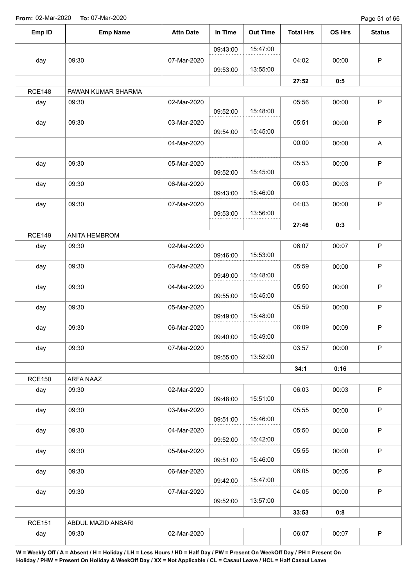Page 51 of 66

| Emp ID        | <b>Emp Name</b>             | <b>Attn Date</b> | In Time  | <b>Out Time</b> | <b>Total Hrs</b> | OS Hrs | <b>Status</b> |
|---------------|-----------------------------|------------------|----------|-----------------|------------------|--------|---------------|
|               |                             |                  | 09:43:00 | 15:47:00        |                  |        |               |
| day           | 09:30                       | 07-Mar-2020      |          |                 | 04:02            | 00:00  | $\sf P$       |
|               |                             |                  | 09:53:00 | 13:55:00        |                  |        |               |
| <b>RCE148</b> |                             |                  |          |                 | 27:52            | 0:5    |               |
| day           | PAWAN KUMAR SHARMA<br>09:30 | 02-Mar-2020      |          |                 | 05:56            | 00:00  | $\sf P$       |
|               |                             |                  | 09:52:00 | 15:48:00        |                  |        |               |
| day           | 09:30                       | 03-Mar-2020      | 09:54:00 | 15:45:00        | 05:51            | 00:00  | $\sf P$       |
|               |                             | 04-Mar-2020      |          |                 | 00:00            | 00:00  | A             |
| day           | 09:30                       | 05-Mar-2020      | 09:52:00 | 15:45:00        | 05:53            | 00:00  | $\sf P$       |
| day           | 09:30                       | 06-Mar-2020      | 09:43:00 | 15:46:00        | 06:03            | 00:03  | $\mathsf P$   |
| day           | 09:30                       | 07-Mar-2020      | 09:53:00 | 13:56:00        | 04:03            | 00:00  | $\mathsf P$   |
|               |                             |                  |          |                 | 27:46            | 0:3    |               |
| <b>RCE149</b> | ANITA HEMBROM               |                  |          |                 |                  |        |               |
| day           | 09:30                       | 02-Mar-2020      | 09:46:00 | 15:53:00        | 06:07            | 00:07  | $\sf P$       |
| day           | 09:30                       | 03-Mar-2020      | 09:49:00 | 15:48:00        | 05:59            | 00:00  | $\mathsf P$   |
| day           | 09:30                       | 04-Mar-2020      | 09:55:00 | 15:45:00        | 05:50            | 00:00  | $\mathsf P$   |
| day           | 09:30                       | 05-Mar-2020      | 09:49:00 | 15:48:00        | 05:59            | 00:00  | $\mathsf P$   |
| day           | 09:30                       | 06-Mar-2020      | 09:40:00 | 15:49:00        | 06:09            | 00:09  | P             |
| day           | 09:30                       | 07-Mar-2020      | 09:55:00 | 13:52:00        | 03:57            | 00:00  | $\mathsf P$   |
|               |                             |                  |          |                 | 34:1             | 0:16   |               |
| <b>RCE150</b> | ARFA NAAZ                   |                  |          |                 |                  |        |               |
| day           | 09:30                       | 02-Mar-2020      | 09:48:00 | 15:51:00        | 06:03            | 00:03  | $\mathsf P$   |
| day           | 09:30                       | 03-Mar-2020      | 09:51:00 | 15:46:00        | 05:55            | 00:00  | $\mathsf P$   |
| day           | 09:30                       | 04-Mar-2020      | 09:52:00 | 15:42:00        | 05:50            | 00:00  | $\mathsf P$   |
| day           | 09:30                       | 05-Mar-2020      | 09:51:00 | 15:46:00        | 05:55            | 00:00  | $\sf P$       |
| day           | 09:30                       | 06-Mar-2020      | 09:42:00 | 15:47:00        | 06:05            | 00:05  | $\mathsf P$   |
| day           | 09:30                       | 07-Mar-2020      | 09:52:00 | 13:57:00        | 04:05            | 00:00  | $\mathsf P$   |
|               |                             |                  |          |                 | 33:53            | 0:8    |               |
| <b>RCE151</b> | ABDUL MAZID ANSARI          |                  |          |                 |                  |        |               |
| day           | 09:30                       | 02-Mar-2020      |          |                 | 06:07            | 00:07  | $\mathsf P$   |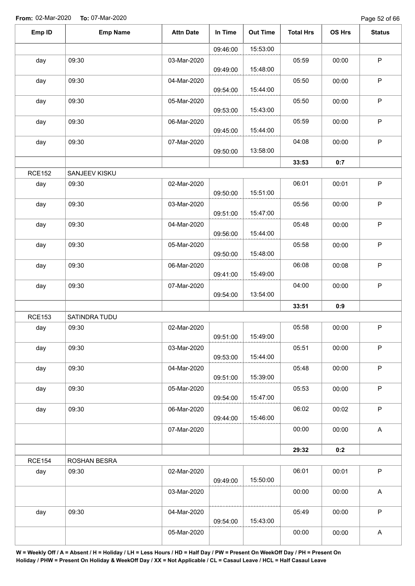Page 52 of 66

| Emp ID        | <b>Emp Name</b> | <b>Attn Date</b> | In Time  | <b>Out Time</b> | <b>Total Hrs</b> | OS Hrs | <b>Status</b>             |
|---------------|-----------------|------------------|----------|-----------------|------------------|--------|---------------------------|
|               |                 |                  | 09:46:00 | 15:53:00        |                  |        |                           |
| day           | 09:30           | 03-Mar-2020      | 09:49:00 | 15:48:00        | 05:59            | 00:00  | $\sf P$                   |
| day           | 09:30           | 04-Mar-2020      | 09:54:00 | 15:44:00        | 05:50            | 00:00  | $\sf P$                   |
| day           | 09:30           | 05-Mar-2020      | 09:53:00 | 15:43:00        | 05:50            | 00:00  | $\mathsf P$               |
| day           | 09:30           | 06-Mar-2020      | 09:45:00 | 15:44:00        | 05:59            | 00:00  | $\mathsf P$               |
| day           | 09:30           | 07-Mar-2020      | 09:50:00 | 13:58:00        | 04:08            | 00:00  | $\mathsf P$               |
|               |                 |                  |          |                 | 33:53            | 0:7    |                           |
| <b>RCE152</b> | SANJEEV KISKU   |                  |          |                 |                  |        |                           |
| day           | 09:30           | 02-Mar-2020      | 09:50:00 | 15:51:00        | 06:01            | 00:01  | $\mathsf P$               |
| day           | 09:30           | 03-Mar-2020      | 09:51:00 | 15:47:00        | 05:56            | 00:00  | $\mathsf P$               |
| day           | 09:30           | 04-Mar-2020      | 09:56:00 | 15:44:00        | 05:48            | 00:00  | $\mathsf P$               |
| day           | 09:30           | 05-Mar-2020      | 09:50:00 | 15:48:00        | 05:58            | 00:00  | $\mathsf P$               |
| day           | 09:30           | 06-Mar-2020      | 09:41:00 | 15:49:00        | 06:08            | 00:08  | $\mathsf P$               |
| day           | 09:30           | 07-Mar-2020      | 09:54:00 | 13:54:00        | 04:00            | 00:00  | $\sf P$                   |
|               |                 |                  |          |                 | 33:51            | 0:9    |                           |
| <b>RCE153</b> | SATINDRA TUDU   |                  |          |                 |                  |        |                           |
| day           | 09:30           | 02-Mar-2020      | 09:51:00 | 15:49:00        | 05:58            | 00:00  | $\mathsf P$               |
| day           | 09:30           | 03-Mar-2020      | 09:53:00 | 15:44:00        | 05:51            | 00:00  | $\mathsf P$               |
| day           | 09:30           | 04-Mar-2020      | 09:51:00 | 15:39:00        | 05:48            | 00:00  | $\mathsf P$               |
| day           | 09:30           | 05-Mar-2020      | 09:54:00 | 15:47:00        | 05:53            | 00:00  | $\mathsf P$               |
| day           | 09:30           | 06-Mar-2020      | 09:44:00 | 15:46:00        | 06:02            | 00:02  | $\sf P$                   |
|               |                 | 07-Mar-2020      |          |                 | 00:00            | 00:00  | $\boldsymbol{\mathsf{A}}$ |
|               |                 |                  |          |                 | 29:32            | 0:2    |                           |
| <b>RCE154</b> | ROSHAN BESRA    |                  |          |                 |                  |        |                           |
| day           | 09:30           | 02-Mar-2020      | 09:49:00 | 15:50:00        | 06:01            | 00:01  | $\mathsf P$               |
|               |                 | 03-Mar-2020      |          |                 | 00:00            | 00:00  | A                         |
| day           | 09:30           | 04-Mar-2020      | 09:54:00 | 15:43:00        | 05:49            | 00:00  | $\mathsf P$               |
|               |                 | 05-Mar-2020      |          |                 | 00:00            | 00:00  | $\boldsymbol{\mathsf{A}}$ |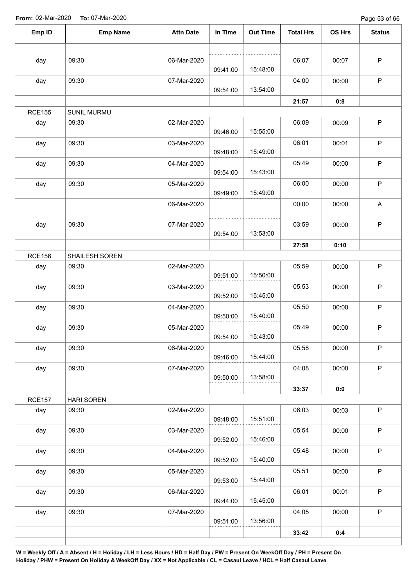Page 53 of 66

| Emp ID        | <b>Emp Name</b>    | <b>Attn Date</b> | In Time  | <b>Out Time</b> | <b>Total Hrs</b> | OS Hrs | <b>Status</b>             |
|---------------|--------------------|------------------|----------|-----------------|------------------|--------|---------------------------|
|               |                    |                  |          |                 |                  |        |                           |
| day           | 09:30              | 06-Mar-2020      | 09:41:00 | 15:48:00        | 06:07            | 00:07  | $\mathsf P$               |
| day           | 09:30              | 07-Mar-2020      | 09:54:00 | 13:54:00        | 04:00            | 00:00  | $\mathsf P$               |
|               |                    |                  |          |                 | 21:57            | 0:8    |                           |
| <b>RCE155</b> | <b>SUNIL MURMU</b> |                  |          |                 |                  |        |                           |
| day           | 09:30              | 02-Mar-2020      | 09:46:00 | 15:55:00        | 06:09            | 00:09  | $\sf P$                   |
| day           | 09:30              | 03-Mar-2020      | 09:48:00 | 15:49:00        | 06:01            | 00:01  | $\sf P$                   |
| day           | 09:30              | 04-Mar-2020      | 09:54:00 | 15:43:00        | 05:49            | 00:00  | $\sf P$                   |
| day           | 09:30              | 05-Mar-2020      | 09:49:00 | 15:49:00        | 06:00            | 00:00  | $\sf P$                   |
|               |                    | 06-Mar-2020      |          |                 | 00:00            | 00:00  | $\boldsymbol{\mathsf{A}}$ |
| day           | 09:30              | 07-Mar-2020      | 09:54:00 | 13:53:00        | 03:59            | 00:00  | $\mathsf P$               |
|               |                    |                  |          |                 | 27:58            | 0:10   |                           |
| <b>RCE156</b> | SHAILESH SOREN     |                  |          |                 |                  |        |                           |
| day           | 09:30              | 02-Mar-2020      | 09:51:00 | 15:50:00        | 05:59            | 00:00  | $\mathsf P$               |
| day           | 09:30              | 03-Mar-2020      | 09:52:00 | 15:45:00        | 05:53            | 00:00  | ${\sf P}$                 |
| day           | 09:30              | 04-Mar-2020      | 09:50:00 | 15:40:00        | 05:50            | 00:00  | $\mathsf P$               |
| day           | 09:30              | 05-Mar-2020      | 09:54:00 | 15:43:00        | 05:49            | 00:00  | ${\sf P}$                 |
| day           | 09:30              | 06-Mar-2020      | 09:46:00 | 15:44:00        | 05:58            | 00:00  | $\mathsf P$               |
| day           | 09:30              | 07-Mar-2020      | 09:50:00 | 13:58:00        | 04:08            | 00:00  | $\mathsf P$               |
|               |                    |                  |          |                 | 33:37            | 0:0    |                           |
| <b>RCE157</b> | <b>HARI SOREN</b>  |                  |          |                 |                  |        |                           |
| day           | 09:30              | 02-Mar-2020      | 09:48:00 | 15:51:00        | 06:03            | 00:03  | $\mathsf P$               |
| day           | 09:30              | 03-Mar-2020      | 09:52:00 | 15:46:00        | 05:54            | 00:00  | $\sf P$                   |
| day           | 09:30              | 04-Mar-2020      | 09:52:00 | 15:40:00        | 05:48            | 00:00  | $\mathsf P$               |
| day           | 09:30              | 05-Mar-2020      | 09:53:00 | 15:44:00        | 05:51            | 00:00  | $\sf P$                   |
| day           | 09:30              | 06-Mar-2020      | 09:44:00 | 15:45:00        | 06:01            | 00:01  | $\sf P$                   |
| day           | 09:30              | 07-Mar-2020      | 09:51:00 | 13:56:00        | 04:05            | 00:00  | $\mathsf P$               |
|               |                    |                  |          |                 | 33:42            | 0:4    |                           |
|               |                    |                  |          |                 |                  |        |                           |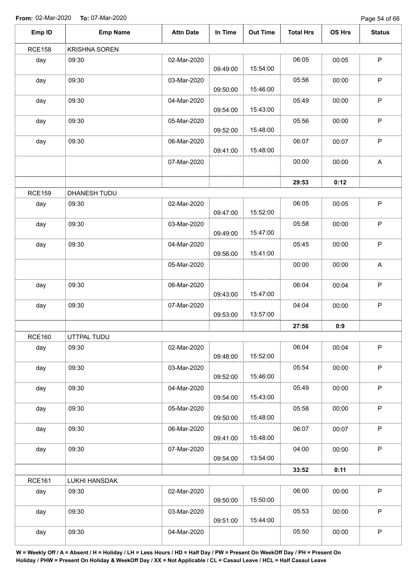Page 54 of 66

| Emp ID        | <b>Emp Name</b>      | <b>Attn Date</b> | In Time  | <b>Out Time</b> | <b>Total Hrs</b> | OS Hrs | <b>Status</b>             |
|---------------|----------------------|------------------|----------|-----------------|------------------|--------|---------------------------|
| <b>RCE158</b> | <b>KRISHNA SOREN</b> |                  |          |                 |                  |        |                           |
| day           | 09:30                | 02-Mar-2020      | 09:49:00 | 15:54:00        | 06:05            | 00:05  | $\sf P$                   |
| day           | 09:30                | 03-Mar-2020      | 09:50:00 | 15:46:00        | 05:56            | 00:00  | $\mathsf P$               |
| day           | 09:30                | 04-Mar-2020      | 09:54:00 | 15:43:00        | 05:49            | 00:00  | $\mathsf P$               |
| day           | 09:30                | 05-Mar-2020      | 09:52:00 | 15:48:00        | 05:56            | 00:00  | $\sf P$                   |
| day           | 09:30                | 06-Mar-2020      | 09:41:00 | 15:48:00        | 06:07            | 00:07  | $\mathsf P$               |
|               |                      | 07-Mar-2020      |          |                 | 00:00            | 00:00  | $\boldsymbol{\mathsf{A}}$ |
|               |                      |                  |          |                 | 29:53            | 0:12   |                           |
| <b>RCE159</b> | DHANESH TUDU         |                  |          |                 |                  |        |                           |
| day           | 09:30                | 02-Mar-2020      | 09:47:00 | 15:52:00        | 06:05            | 00:05  | $\sf P$                   |
| day           | 09:30                | 03-Mar-2020      | 09:49:00 | 15:47:00        | 05:58            | 00:00  | $\mathsf P$               |
| day           | 09:30                | 04-Mar-2020      | 09:56:00 | 15:41:00        | 05:45            | 00:00  | $\sf P$                   |
|               |                      | 05-Mar-2020      |          |                 | 00:00            | 00:00  | A                         |
| day           | 09:30                | 06-Mar-2020      | 09:43:00 | 15:47:00        | 06:04            | 00:04  | $\sf P$                   |
| day           | 09:30                | 07-Mar-2020      | 09:53:00 | 13:57:00        | 04:04            | 00:00  | $\mathsf P$               |
|               |                      |                  |          |                 | 27:56            | 0:9    |                           |
| <b>RCE160</b> | UTTPAL TUDU          |                  |          |                 |                  |        |                           |
| day           | 09:30                | 02-Mar-2020      | 09:48:00 | 15:52:00        | 06:04            | 00:04  | $\mathsf P$               |
| day           | 09:30                | 03-Mar-2020      | 09:52:00 | 15:46:00        | 05:54            | 00:00  | $\mathsf P$               |
| day           | 09:30                | 04-Mar-2020      | 09:54:00 | 15:43:00        | 05:49            | 00:00  | $\sf P$                   |
| day           | 09:30                | 05-Mar-2020      | 09:50:00 | 15:48:00        | 05:58            | 00:00  | $\sf P$                   |
| day           | 09:30                | 06-Mar-2020      | 09:41:00 | 15:48:00        | 06:07            | 00:07  | $\mathsf P$               |
| day           | 09:30                | 07-Mar-2020      | 09:54:00 | 13:54:00        | 04:00            | 00:00  | $\mathsf P$               |
|               |                      |                  |          |                 | 33:52            | 0:11   |                           |
| <b>RCE161</b> | LUKHI HANSDAK        |                  |          |                 |                  |        |                           |
| day           | 09:30                | 02-Mar-2020      | 09:50:00 | 15:50:00        | 06:00            | 00:00  | $\sf P$                   |
| day           | 09:30                | 03-Mar-2020      | 09:51:00 | 15:44:00        | 05:53            | 00:00  | $\mathsf P$               |
| day           | 09:30                | 04-Mar-2020      |          |                 | 05:50            | 00:00  | $\sf P$                   |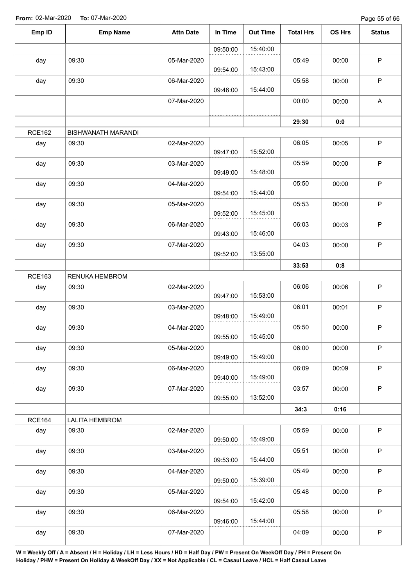Page 55 of 66

| Emp ID        | <b>Emp Name</b>           | <b>Attn Date</b> | In Time  | <b>Out Time</b> | <b>Total Hrs</b> | <b>OS Hrs</b> | <b>Status</b> |
|---------------|---------------------------|------------------|----------|-----------------|------------------|---------------|---------------|
|               |                           |                  | 09:50:00 | 15:40:00        |                  |               |               |
| day           | 09:30                     | 05-Mar-2020      | 09:54:00 | 15:43:00        | 05:49            | 00:00         | $\mathsf P$   |
| day           | 09:30                     | 06-Mar-2020      | 09:46:00 | 15:44:00        | 05:58            | 00:00         | $\mathsf P$   |
|               |                           | 07-Mar-2020      |          |                 | 00:00            | 00:00         | $\mathsf{A}$  |
|               |                           |                  |          |                 | 29:30            | 0:0           |               |
| <b>RCE162</b> | <b>BISHWANATH MARANDI</b> |                  |          |                 |                  |               |               |
| day           | 09:30                     | 02-Mar-2020      | 09:47:00 | 15:52:00        | 06:05            | 00:05         | $\mathsf P$   |
| day           | 09:30                     | 03-Mar-2020      | 09:49:00 | 15:48:00        | 05:59            | 00:00         | $\mathsf P$   |
| day           | 09:30                     | 04-Mar-2020      | 09:54:00 | 15:44:00        | 05:50            | 00:00         | $\sf P$       |
| day           | 09:30                     | 05-Mar-2020      | 09:52:00 | 15:45:00        | 05:53            | 00:00         | $\sf P$       |
| day           | 09:30                     | 06-Mar-2020      | 09:43:00 | 15:46:00        | 06:03            | 00:03         | $\mathsf P$   |
| day           | 09:30                     | 07-Mar-2020      | 09:52:00 | 13:55:00        | 04:03            | 00:00         | $\sf P$       |
|               |                           |                  |          |                 | 33:53            | 0:8           |               |
| <b>RCE163</b> | RENUKA HEMBROM            |                  |          |                 |                  |               |               |
| day           | 09:30                     | 02-Mar-2020      | 09:47:00 | 15:53:00        | 06:06            | 00:06         | $\sf P$       |
| day           | 09:30                     | 03-Mar-2020      | 09:48:00 | 15:49:00        | 06:01            | 00:01         | $\mathsf P$   |
| day           | 09:30                     | 04-Mar-2020      | 09:55:00 | 15:45:00        | 05:50            | 00:00         | P             |
| day           | 09:30                     | 05-Mar-2020      | 09:49:00 | 15:49:00        | 06:00            | 00:00         | $\mathsf P$   |
| day           | 09:30                     | 06-Mar-2020      | 09:40:00 | 15:49:00        | 06:09            | 00:09         | $\mathsf P$   |
| day           | 09:30                     | 07-Mar-2020      | 09:55:00 | 13:52:00        | 03:57            | 00:00         | $\mathsf P$   |
|               |                           |                  |          |                 | 34:3             | 0:16          |               |
| <b>RCE164</b> | <b>LALITA HEMBROM</b>     |                  |          |                 |                  |               |               |
| day           | 09:30                     | 02-Mar-2020      | 09:50:00 | 15:49:00        | 05:59            | 00:00         | $\mathsf P$   |
| day           | 09:30                     | 03-Mar-2020      | 09:53:00 | 15:44:00        | 05:51            | 00:00         | P             |
| day           | 09:30                     | 04-Mar-2020      | 09:50:00 | 15:39:00        | 05:49            | 00:00         | $\mathsf P$   |
| day           | 09:30                     | 05-Mar-2020      | 09:54:00 | 15:42:00        | 05:48            | 00:00         | $\mathsf P$   |
| day           | 09:30                     | 06-Mar-2020      | 09:46:00 | 15:44:00        | 05:58            | 00:00         | $\mathsf P$   |
| day           | 09:30                     | 07-Mar-2020      |          |                 | 04:09            | 00:00         | $\sf P$       |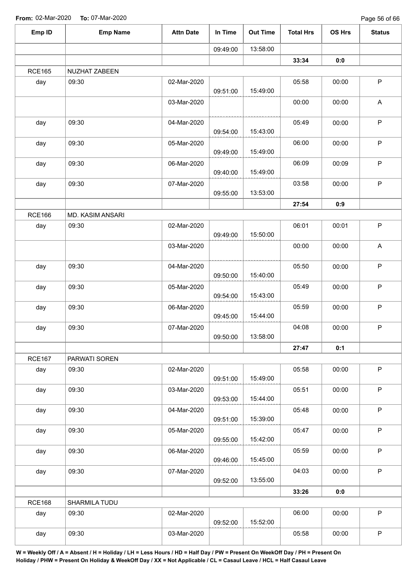| Emp ID        | <b>Emp Name</b>  | <b>Attn Date</b> | In Time  | <b>Out Time</b> | <b>Total Hrs</b> | OS Hrs | <b>Status</b>             |
|---------------|------------------|------------------|----------|-----------------|------------------|--------|---------------------------|
|               |                  |                  | 09:49:00 | 13:58:00        |                  |        |                           |
|               |                  |                  |          |                 | 33:34            | 0:0    |                           |
| <b>RCE165</b> | NUZHAT ZABEEN    |                  |          |                 |                  |        |                           |
| day           | 09:30            | 02-Mar-2020      | 09:51:00 | 15:49:00        | 05:58            | 00:00  | $\sf P$                   |
|               |                  | 03-Mar-2020      |          |                 | 00:00            | 00:00  | $\boldsymbol{\mathsf{A}}$ |
| day           | 09:30            | 04-Mar-2020      | 09:54:00 | 15:43:00        | 05:49            | 00:00  | $\sf P$                   |
| day           | 09:30            | 05-Mar-2020      | 09:49:00 | 15:49:00        | 06:00            | 00:00  | $\sf P$                   |
| day           | 09:30            | 06-Mar-2020      | 09:40:00 | 15:49:00        | 06:09            | 00:09  | $\sf P$                   |
| day           | 09:30            | 07-Mar-2020      | 09:55:00 | 13:53:00        | 03:58            | 00:00  | $\sf P$                   |
|               |                  |                  |          |                 | 27:54            | 0:9    |                           |
| <b>RCE166</b> | MD. KASIM ANSARI |                  |          |                 |                  |        |                           |
| day           | 09:30            | 02-Mar-2020      | 09:49:00 | 15:50:00        | 06:01            | 00:01  | $\sf P$                   |
|               |                  | 03-Mar-2020      |          |                 | 00:00            | 00:00  | $\mathsf A$               |
| day           | 09:30            | 04-Mar-2020      | 09:50:00 | 15:40:00        | 05:50            | 00:00  | $\mathsf P$               |
| day           | 09:30            | 05-Mar-2020      | 09:54:00 | 15:43:00        | 05:49            | 00:00  | ${\sf P}$                 |
| day           | 09:30            | 06-Mar-2020      | 09:45:00 | 15:44:00        | 05:59            | 00:00  | $\mathsf P$               |
| day           | 09:30            | 07-Mar-2020      | 09:50:00 | 13:58:00        | 04:08            | 00:00  | ${\sf P}$                 |
|               |                  |                  |          |                 | 27:47            | 0:1    |                           |
| <b>RCE167</b> | PARWATI SOREN    |                  |          |                 |                  |        |                           |
| day           | 09:30            | 02-Mar-2020      | 09:51:00 | 15:49:00        | 05:58            | 00:00  | $\mathsf P$               |
| day           | 09:30            | 03-Mar-2020      | 09:53:00 | 15:44:00        | 05:51            | 00:00  | $\mathsf P$               |
| day           | 09:30            | 04-Mar-2020      | 09:51:00 | 15:39:00        | 05:48            | 00:00  | P                         |
| day           | 09:30            | 05-Mar-2020      | 09:55:00 | 15:42:00        | 05:47            | 00:00  | $\mathsf P$               |
| day           | 09:30            | 06-Mar-2020      | 09:46:00 | 15:45:00        | 05:59            | 00:00  | $\mathsf P$               |
| day           | 09:30            | 07-Mar-2020      | 09:52:00 | 13:55:00        | 04:03            | 00:00  | $\mathsf P$               |
|               |                  |                  |          |                 | 33:26            | 0:0    |                           |
| <b>RCE168</b> | SHARMILA TUDU    |                  |          |                 |                  |        |                           |
| day           | 09:30            | 02-Mar-2020      | 09:52:00 | 15:52:00        | 06:00            | 00:00  | $\mathsf P$               |
| day           | 09:30            | 03-Mar-2020      |          |                 | 05:58            | 00:00  | $\sf P$                   |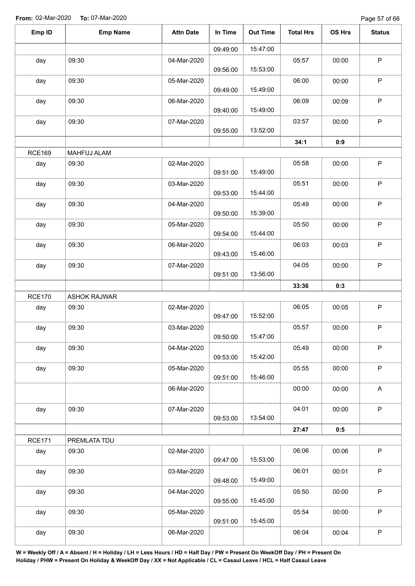Page 57 of 66

| Emp ID        | <b>Emp Name</b>     | <b>Attn Date</b> | In Time  | <b>Out Time</b> | <b>Total Hrs</b> | <b>OS Hrs</b> | <b>Status</b>             |
|---------------|---------------------|------------------|----------|-----------------|------------------|---------------|---------------------------|
|               |                     |                  | 09:49:00 | 15:47:00        |                  |               |                           |
| day           | 09:30               | 04-Mar-2020      | 09:56:00 | 15:53:00        | 05:57            | 00:00         | $\mathsf P$               |
| day           | 09:30               | 05-Mar-2020      | 09:49:00 | 15:49:00        | 06:00            | 00:00         | $\mathsf P$               |
| day           | 09:30               | 06-Mar-2020      | 09:40:00 | 15:49:00        | 06:09            | 00:09         | $\sf P$                   |
| day           | 09:30               | 07-Mar-2020      | 09:55:00 | 13:52:00        | 03:57            | 00:00         | $\mathsf P$               |
|               |                     |                  |          |                 | 34:1             | 0:9           |                           |
| <b>RCE169</b> | MAHFUJ ALAM         |                  |          |                 |                  |               |                           |
| day           | 09:30               | 02-Mar-2020      | 09:51:00 | 15:49:00        | 05:58            | 00:00         | $\sf P$                   |
| day           | 09:30               | 03-Mar-2020      | 09:53:00 | 15:44:00        | 05:51            | 00:00         | P                         |
| day           | 09:30               | 04-Mar-2020      | 09:50:00 | 15:39:00        | 05:49            | 00:00         | $\sf P$                   |
| day           | 09:30               | 05-Mar-2020      | 09:54:00 | 15:44:00        | 05:50            | 00:00         | $\mathsf P$               |
| day           | 09:30               | 06-Mar-2020      | 09:43:00 | 15:46:00        | 06:03            | 00:03         | $\sf P$                   |
| day           | 09:30               | 07-Mar-2020      | 09:51:00 | 13:56:00        | 04:05            | 00:00         | $\mathsf P$               |
|               |                     |                  |          |                 | 33:36            | 0:3           |                           |
| <b>RCE170</b> | <b>ASHOK RAJWAR</b> |                  |          |                 |                  |               |                           |
| day           | 09:30               | 02-Mar-2020      | 09:47:00 | 15:52:00        | 06:05            | 00:05         | $\mathsf P$               |
| day           | 09:30               | 03-Mar-2020      | 09:50:00 | 15:47:00        | 05:57            | 00:00         | $\mathsf P$               |
| day           | 09:30               | 04-Mar-2020      | 09:53:00 | 15:42:00        | 05:49            | 00:00         | $\mathsf P$               |
| day           | 09:30               | 05-Mar-2020      | 09:51:00 | 15:46:00        | 05:55            | 00:00         | $\mathsf P$               |
|               |                     | 06-Mar-2020      |          |                 | 00:00            | 00:00         | $\boldsymbol{\mathsf{A}}$ |
| day           | 09:30               | 07-Mar-2020      | 09:53:00 | 13:54:00        | 04:01            | 00:00         | P                         |
|               |                     |                  |          |                 | 27:47            | 0:5           |                           |
| <b>RCE171</b> | PREMLATA TDU        |                  |          |                 |                  |               |                           |
| day           | 09:30               | 02-Mar-2020      | 09:47:00 | 15:53:00        | 06:06            | 00:06         | $\mathsf P$               |
| day           | 09:30               | 03-Mar-2020      | 09:48:00 | 15:49:00        | 06:01            | 00:01         | $\mathsf P$               |
| day           | 09:30               | 04-Mar-2020      | 09:55:00 | 15:45:00        | 05:50            | 00:00         | $\mathsf P$               |
| day           | 09:30               | 05-Mar-2020      | 09:51:00 | 15:45:00        | 05:54            | 00:00         | $\mathsf P$               |
| day           | 09:30               | 06-Mar-2020      |          |                 | 06:04            | 00:04         | $\sf P$                   |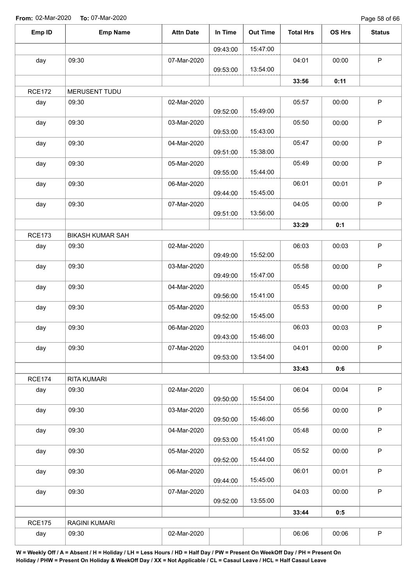Page 58 of 66

| Emp ID        | <b>Emp Name</b>         | <b>Attn Date</b> | In Time  | <b>Out Time</b> | <b>Total Hrs</b> | <b>OS Hrs</b> | <b>Status</b> |
|---------------|-------------------------|------------------|----------|-----------------|------------------|---------------|---------------|
|               |                         |                  | 09:43:00 | 15:47:00        |                  |               |               |
| day           | 09:30                   | 07-Mar-2020      | 09:53:00 | 13:54:00        | 04:01            | 00:00         | $\sf P$       |
|               |                         |                  |          |                 | 33:56            | 0:11          |               |
| <b>RCE172</b> | MERUSENT TUDU           |                  |          |                 |                  |               |               |
| day           | 09:30                   | 02-Mar-2020      | 09:52:00 | 15:49:00        | 05:57            | 00:00         | $\sf P$       |
| day           | 09:30                   | 03-Mar-2020      | 09:53:00 | 15:43:00        | 05:50            | 00:00         | $\mathsf P$   |
| day           | 09:30                   | 04-Mar-2020      | 09:51:00 | 15:38:00        | 05:47            | 00:00         | $\mathsf P$   |
| day           | 09:30                   | 05-Mar-2020      | 09:55:00 | 15:44:00        | 05:49            | 00:00         | $\sf P$       |
| day           | 09:30                   | 06-Mar-2020      | 09:44:00 | 15:45:00        | 06:01            | 00:01         | $\sf P$       |
| day           | 09:30                   | 07-Mar-2020      | 09:51:00 | 13:56:00        | 04:05            | 00:00         | $\mathsf P$   |
|               |                         |                  |          |                 | 33:29            | 0:1           |               |
| <b>RCE173</b> | <b>BIKASH KUMAR SAH</b> |                  |          |                 |                  |               |               |
| day           | 09:30                   | 02-Mar-2020      | 09:49:00 | 15:52:00        | 06:03            | 00:03         | $\mathsf P$   |
| day           | 09:30                   | 03-Mar-2020      | 09:49:00 | 15:47:00        | 05:58            | 00:00         | $\mathsf P$   |
| day           | 09:30                   | 04-Mar-2020      | 09:56:00 | 15:41:00        | 05:45            | 00:00         | $\mathsf P$   |
| day           | 09:30                   | 05-Mar-2020      | 09:52:00 | 15:45:00        | 05:53            | 00:00         | $\mathsf P$   |
| day           | 09:30                   | 06-Mar-2020      | 09:43:00 | 15:46:00        | 06:03            | 00:03         | P             |
| day           | 09:30                   | 07-Mar-2020      | 09:53:00 | 13:54:00        | 04:01            | 00:00         | $\mathsf P$   |
|               |                         |                  |          |                 | 33:43            | 0:6           |               |
| <b>RCE174</b> | RITA KUMARI             |                  |          |                 |                  |               |               |
| day           | 09:30                   | 02-Mar-2020      | 09:50:00 | 15:54:00        | 06:04            | 00:04         | $\mathsf P$   |
| day           | 09:30                   | 03-Mar-2020      | 09:50:00 | 15:46:00        | 05:56            | 00:00         | $\mathsf P$   |
| day           | 09:30                   | 04-Mar-2020      | 09:53:00 | 15:41:00        | 05:48            | 00:00         | $\mathsf P$   |
| day           | 09:30                   | 05-Mar-2020      | 09:52:00 | 15:44:00        | 05:52            | 00:00         | $\sf P$       |
| day           | 09:30                   | 06-Mar-2020      | 09:44:00 | 15:45:00        | 06:01            | 00:01         | $\mathsf P$   |
| day           | 09:30                   | 07-Mar-2020      | 09:52:00 | 13:55:00        | 04:03            | 00:00         | $\mathsf P$   |
|               |                         |                  |          |                 | 33:44            | 0:5           |               |
| <b>RCE175</b> | RAGINI KUMARI           |                  |          |                 |                  |               |               |
| day           | 09:30                   | 02-Mar-2020      |          |                 | 06:06            | 00:06         | $\mathsf P$   |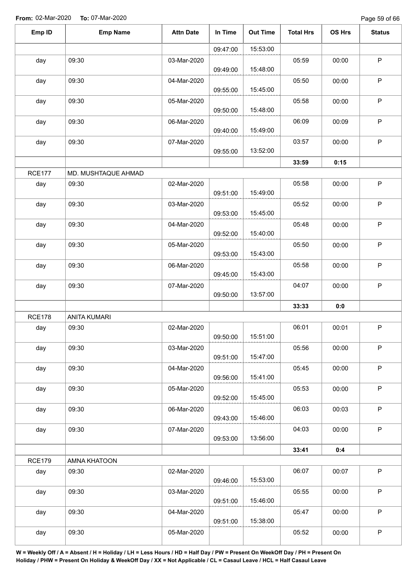Page 59 of 66

| Emp ID        | <b>Emp Name</b>     | <b>Attn Date</b> | In Time  | <b>Out Time</b> | <b>Total Hrs</b> | OS Hrs | <b>Status</b> |
|---------------|---------------------|------------------|----------|-----------------|------------------|--------|---------------|
|               |                     |                  | 09:47:00 | 15:53:00        |                  |        |               |
| day           | 09:30               | 03-Mar-2020      |          |                 | 05:59            | 00:00  | $\mathsf P$   |
|               |                     |                  | 09:49:00 | 15:48:00        |                  |        |               |
| day           | 09:30               | 04-Mar-2020      | 09:55:00 | 15:45:00        | 05:50            | 00:00  | $\sf P$       |
| day           | 09:30               | 05-Mar-2020      | 09:50:00 | 15:48:00        | 05:58            | 00:00  | $\mathsf P$   |
| day           | 09:30               | 06-Mar-2020      | 09:40:00 | 15:49:00        | 06:09            | 00:09  | $\mathsf P$   |
| day           | 09:30               | 07-Mar-2020      | 09:55:00 | 13:52:00        | 03:57            | 00:00  | $\mathsf P$   |
|               |                     |                  |          |                 | 33:59            | 0:15   |               |
| <b>RCE177</b> | MD. MUSHTAQUE AHMAD |                  |          |                 |                  |        |               |
| day           | 09:30               | 02-Mar-2020      | 09:51:00 | 15:49:00        | 05:58            | 00:00  | $\mathsf P$   |
| day           | 09:30               | 03-Mar-2020      | 09:53:00 | 15:45:00        | 05:52            | 00:00  | $\mathsf P$   |
| day           | 09:30               | 04-Mar-2020      | 09:52:00 | 15:40:00        | 05:48            | 00:00  | $\mathsf P$   |
| day           | 09:30               | 05-Mar-2020      | 09:53:00 | 15:43:00        | 05:50            | 00:00  | $\sf P$       |
| day           | 09:30               | 06-Mar-2020      | 09:45:00 | 15:43:00        | 05:58            | 00:00  | $\mathsf P$   |
| day           | 09:30               | 07-Mar-2020      | 09:50:00 | 13:57:00        | 04:07            | 00:00  | $\mathsf P$   |
|               |                     |                  |          |                 | 33:33            | 0:0    |               |
| <b>RCE178</b> | <b>ANITA KUMARI</b> |                  |          |                 |                  |        |               |
| day           | 09:30               | 02-Mar-2020      | 09:50:00 | 15:51:00        | 06:01            | 00:01  | $\mathsf P$   |
| day           | 09:30               | 03-Mar-2020      | 09:51:00 | 15:47:00        | 05:56            | 00:00  | $\mathsf P$   |
| day           | 09:30               | 04-Mar-2020      | 09:56:00 | 15:41:00        | 05:45            | 00:00  | $\sf P$       |
| day           | 09:30               | 05-Mar-2020      | 09:52:00 | 15:45:00        | 05:53            | 00:00  | $\mathsf P$   |
| day           | 09:30               | 06-Mar-2020      | 09:43:00 | 15:46:00        | 06:03            | 00:03  | $\mathsf P$   |
| day           | 09:30               | 07-Mar-2020      | 09:53:00 | 13:56:00        | 04:03            | 00:00  | $\mathsf P$   |
|               |                     |                  |          |                 | 33:41            | 0:4    |               |
| <b>RCE179</b> | AMNA KHATOON        |                  |          |                 |                  |        |               |
| day           | 09:30               | 02-Mar-2020      | 09:46:00 | 15:53:00        | 06:07            | 00:07  | $\mathsf P$   |
| day           | 09:30               | 03-Mar-2020      | 09:51:00 | 15:46:00        | 05:55            | 00:00  | $\sf P$       |
| day           | 09:30               | 04-Mar-2020      | 09:51:00 | 15:38:00        | 05:47            | 00:00  | $\mathsf P$   |
| day           | 09:30               | 05-Mar-2020      |          |                 | 05:52            | 00:00  | $\mathsf P$   |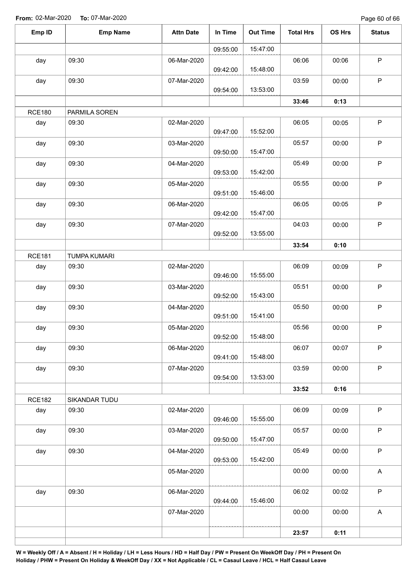Page 60 of 66

| Emp ID        | <b>Emp Name</b>     | <b>Attn Date</b> | In Time  | <b>Out Time</b> | <b>Total Hrs</b> | OS Hrs | <b>Status</b>             |
|---------------|---------------------|------------------|----------|-----------------|------------------|--------|---------------------------|
|               |                     |                  | 09:55:00 | 15:47:00        |                  |        |                           |
| day           | 09:30               | 06-Mar-2020      | 09:42:00 | 15:48:00        | 06:06            | 00:06  | $\mathsf P$               |
| day           | 09:30               | 07-Mar-2020      | 09:54:00 | 13:53:00        | 03:59            | 00:00  | $\mathsf P$               |
|               |                     |                  |          |                 | 33:46            | 0:13   |                           |
| <b>RCE180</b> | PARMILA SOREN       |                  |          |                 |                  |        |                           |
| day           | 09:30               | 02-Mar-2020      | 09:47:00 | 15:52:00        | 06:05            | 00:05  | $\sf P$                   |
| day           | 09:30               | 03-Mar-2020      | 09:50:00 | 15:47:00        | 05:57            | 00:00  | $\sf P$                   |
| day           | 09:30               | 04-Mar-2020      | 09:53:00 | 15:42:00        | 05:49            | 00:00  | $\sf P$                   |
| day           | 09:30               | 05-Mar-2020      | 09:51:00 | 15:46:00        | 05:55            | 00:00  | $\sf P$                   |
| day           | 09:30               | 06-Mar-2020      | 09:42:00 | 15:47:00        | 06:05            | 00:05  | $\sf P$                   |
| day           | 09:30               | 07-Mar-2020      | 09:52:00 | 13:55:00        | 04:03            | 00:00  | $\mathsf P$               |
|               |                     |                  |          |                 | 33:54            | 0:10   |                           |
| <b>RCE181</b> | <b>TUMPA KUMARI</b> |                  |          |                 |                  |        |                           |
| day           | 09:30               | 02-Mar-2020      | 09:46:00 | 15:55:00        | 06:09            | 00:09  | $\mathsf P$               |
| day           | 09:30               | 03-Mar-2020      | 09:52:00 | 15:43:00        | 05:51            | 00:00  | $\sf P$                   |
| day           | 09:30               | 04-Mar-2020      | 09:51:00 | 15:41:00        | 05:50            | 00:00  | $\mathsf P$               |
| day           | 09:30               | 05-Mar-2020      | 09:52:00 | 15:48:00        | 05:56            | 00:00  | ${\sf P}$                 |
| day           | 09:30               | 06-Mar-2020      | 09:41:00 | 15:48:00        | 06:07            | 00:07  | $\mathsf P$               |
| day           | 09:30               | 07-Mar-2020      | 09:54:00 | 13:53:00        | 03:59            | 00:00  | $\mathsf P$               |
|               |                     |                  |          |                 | 33:52            | 0:16   |                           |
| <b>RCE182</b> | SIKANDAR TUDU       |                  |          |                 |                  |        |                           |
| day           | 09:30               | 02-Mar-2020      | 09:46:00 | 15:55:00        | 06:09            | 00:09  | $\mathsf P$               |
| day           | 09:30               | 03-Mar-2020      | 09:50:00 | 15:47:00        | 05:57            | 00:00  | $\sf P$                   |
| day           | 09:30               | 04-Mar-2020      | 09:53:00 | 15:42:00        | 05:49            | 00:00  | $\sf P$                   |
|               |                     | 05-Mar-2020      |          |                 | 00:00            | 00:00  | $\boldsymbol{\mathsf{A}}$ |
| day           | 09:30               | 06-Mar-2020      | 09:44:00 | 15:46:00        | 06:02            | 00:02  | $\sf P$                   |
|               |                     | 07-Mar-2020      |          |                 | 00:00            | 00:00  | $\boldsymbol{\mathsf{A}}$ |
|               |                     |                  |          |                 | 23:57            | 0:11   |                           |
|               |                     |                  |          |                 |                  |        |                           |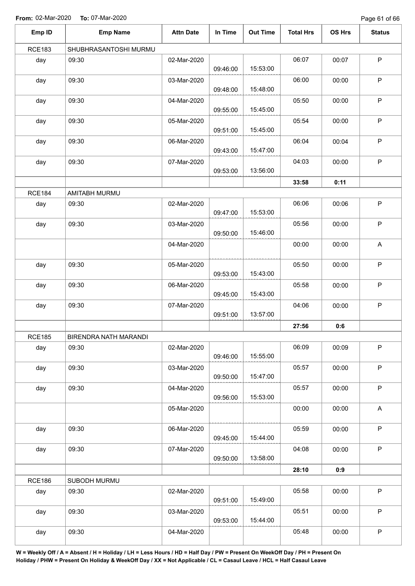Page 61 of 66

| Emp ID        | <b>Emp Name</b>       | <b>Attn Date</b> | In Time  | <b>Out Time</b> | <b>Total Hrs</b> | OS Hrs | <b>Status</b> |
|---------------|-----------------------|------------------|----------|-----------------|------------------|--------|---------------|
| <b>RCE183</b> | SHUBHRASANTOSHI MURMU |                  |          |                 |                  |        |               |
| day           | 09:30                 | 02-Mar-2020      | 09:46:00 | 15:53:00        | 06:07            | 00:07  | $\sf P$       |
| day           | 09:30                 | 03-Mar-2020      | 09:48:00 | 15:48:00        | 06:00            | 00:00  | $\mathsf P$   |
| day           | 09:30                 | 04-Mar-2020      | 09:55:00 | 15:45:00        | 05:50            | 00:00  | $\sf P$       |
| day           | 09:30                 | 05-Mar-2020      | 09:51:00 | 15:45:00        | 05:54            | 00:00  | $\mathsf P$   |
| day           | 09:30                 | 06-Mar-2020      | 09:43:00 | 15:47:00        | 06:04            | 00:04  | $\sf P$       |
| day           | 09:30                 | 07-Mar-2020      | 09:53:00 | 13:56:00        | 04:03            | 00:00  | $\sf P$       |
|               |                       |                  |          |                 | 33:58            | 0:11   |               |
| <b>RCE184</b> | AMITABH MURMU         |                  |          |                 |                  |        |               |
| day           | 09:30                 | 02-Mar-2020      | 09:47:00 | 15:53:00        | 06:06            | 00:06  | $\sf P$       |
| day           | 09:30                 | 03-Mar-2020      | 09:50:00 | 15:46:00        | 05:56            | 00:00  | P             |
|               |                       | 04-Mar-2020      |          |                 | 00:00            | 00:00  | A             |
| day           | 09:30                 | 05-Mar-2020      | 09:53:00 | 15:43:00        | 05:50            | 00:00  | $\mathsf P$   |
| day           | 09:30                 | 06-Mar-2020      | 09:45:00 | 15:43:00        | 05:58            | 00:00  | $\mathsf P$   |
| day           | 09:30                 | 07-Mar-2020      | 09:51:00 | 13:57:00        | 04:06            | 00:00  | $\sf P$       |
|               |                       |                  |          |                 | 27:56            | 0:6    |               |
| <b>RCE185</b> | BIRENDRA NATH MARANDI |                  |          |                 |                  |        |               |
| day           | 09:30                 | 02-Mar-2020      | 09:46:00 | 15:55:00        | 06:09            | 00:09  | $\sf P$       |
| day           | 09:30                 | 03-Mar-2020      | 09:50:00 | 15:47:00        | 05:57            | 00:00  | $\mathsf P$   |
| day           | 09:30                 | 04-Mar-2020      | 09:56:00 | 15:53:00        | 05:57            | 00:00  | $\sf P$       |
|               |                       | 05-Mar-2020      |          |                 | 00:00            | 00:00  | A             |
| day           | 09:30                 | 06-Mar-2020      | 09:45:00 | 15:44:00        | 05:59            | 00:00  | $\sf P$       |
| day           | 09:30                 | 07-Mar-2020      | 09:50:00 | 13:58:00        | 04:08            | 00:00  | $\mathsf P$   |
|               |                       |                  |          |                 | 28:10            | 0:9    |               |
| <b>RCE186</b> | SUBODH MURMU          |                  |          |                 |                  |        |               |
| day           | 09:30                 | 02-Mar-2020      | 09:51:00 | 15:49:00        | 05:58            | 00:00  | $\sf P$       |
| day           | 09:30                 | 03-Mar-2020      | 09:53:00 | 15:44:00        | 05:51            | 00:00  | $\mathsf P$   |
| day           | 09:30                 | 04-Mar-2020      |          |                 | 05:48            | 00:00  | $\sf P$       |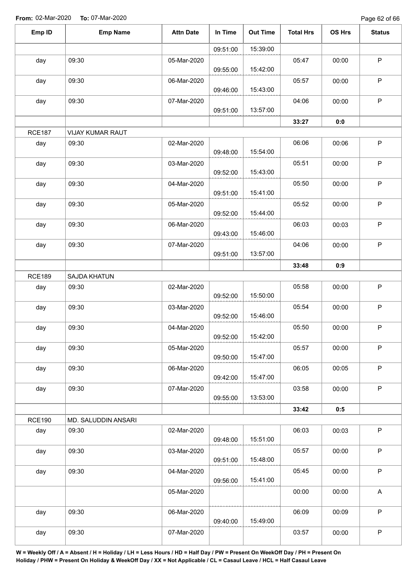Page 62 of 66

| Emp ID        | <b>Emp Name</b>     | <b>Attn Date</b> | In Time  | <b>Out Time</b> | <b>Total Hrs</b> | <b>OS Hrs</b> | <b>Status</b> |
|---------------|---------------------|------------------|----------|-----------------|------------------|---------------|---------------|
|               |                     |                  | 09:51:00 | 15:39:00        |                  |               |               |
| day           | 09:30               | 05-Mar-2020      | 09:55:00 | 15:42:00        | 05:47            | 00:00         | $\sf P$       |
| day           | 09:30               | 06-Mar-2020      | 09:46:00 | 15:43:00        | 05:57            | 00:00         | $\mathsf P$   |
| day           | 09:30               | 07-Mar-2020      | 09:51:00 | 13:57:00        | 04:06            | 00:00         | $\mathsf P$   |
|               |                     |                  |          |                 | 33:27            | 0:0           |               |
| <b>RCE187</b> | VIJAY KUMAR RAUT    |                  |          |                 |                  |               |               |
| day           | 09:30               | 02-Mar-2020      | 09:48:00 | 15:54:00        | 06:06            | 00:06         | $\mathsf P$   |
| day           | 09:30               | 03-Mar-2020      | 09:52:00 | 15:43:00        | 05:51            | 00:00         | $\mathsf P$   |
| day           | 09:30               | 04-Mar-2020      | 09:51:00 | 15:41:00        | 05:50            | 00:00         | $\mathsf P$   |
| day           | 09:30               | 05-Mar-2020      | 09:52:00 | 15:44:00        | 05:52            | 00:00         | $\mathsf P$   |
| day           | 09:30               | 06-Mar-2020      | 09:43:00 | 15:46:00        | 06:03            | 00:03         | $\sf P$       |
| day           | 09:30               | 07-Mar-2020      | 09:51:00 | 13:57:00        | 04:06            | 00:00         | $\sf P$       |
|               |                     |                  |          |                 | 33:48            | 0:9           |               |
| <b>RCE189</b> | SAJDA KHATUN        |                  |          |                 |                  |               |               |
| day           | 09:30               | 02-Mar-2020      | 09:52:00 | 15:50:00        | 05:58            | 00:00         | $\mathsf P$   |
| day           | 09:30               | 03-Mar-2020      | 09:52:00 | 15:46:00        | 05:54            | 00:00         | $\mathsf P$   |
| day           | 09:30               | 04-Mar-2020      | 09:52:00 | 15:42:00        | 05:50            | 00:00         | $\mathsf P$   |
| day           | 09:30               | 05-Mar-2020      | 09:50:00 | 15:47:00        | 05:57            | 00:00         | $\mathsf P$   |
| day           | 09:30               | 06-Mar-2020      | 09:42:00 | 15:47:00        | 06:05            | 00:05         | $\sf P$       |
| day           | 09:30               | 07-Mar-2020      | 09:55:00 | 13:53:00        | 03:58            | 00:00         | $\mathsf P$   |
|               |                     |                  |          |                 | 33:42            | 0:5           |               |
| <b>RCE190</b> | MD. SALUDDIN ANSARI |                  |          |                 |                  |               |               |
| day           | 09:30               | 02-Mar-2020      | 09:48:00 | 15:51:00        | 06:03            | 00:03         | $\mathsf P$   |
| day           | 09:30               | 03-Mar-2020      | 09:51:00 | 15:48:00        | 05:57            | 00:00         | $\mathsf P$   |
| day           | 09:30               | 04-Mar-2020      | 09:56:00 | 15:41:00        | 05:45            | 00:00         | $\mathsf P$   |
|               |                     | 05-Mar-2020      |          |                 | 00:00            | 00:00         | A             |
| day           | 09:30               | 06-Mar-2020      | 09:40:00 | 15:49:00        | 06:09            | 00:09         | $\mathsf P$   |
| day           | 09:30               | 07-Mar-2020      |          |                 | 03:57            | 00:00         | $\sf P$       |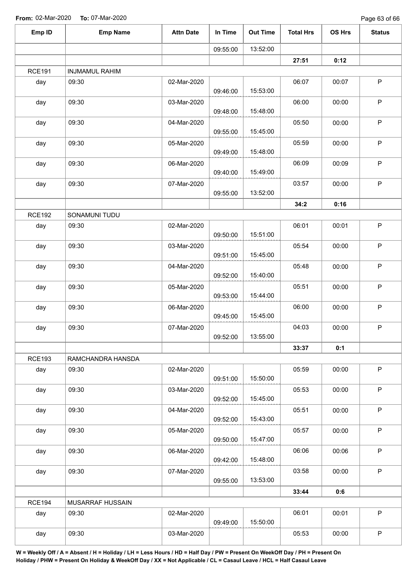Page 63 of 66

| Emp ID        | <b>Emp Name</b>       | <b>Attn Date</b> | In Time  | <b>Out Time</b> | <b>Total Hrs</b> | OS Hrs | <b>Status</b> |
|---------------|-----------------------|------------------|----------|-----------------|------------------|--------|---------------|
|               |                       |                  | 09:55:00 | 13:52:00        |                  |        |               |
|               |                       |                  |          |                 | 27:51            | 0:12   |               |
| <b>RCE191</b> | <b>INJMAMUL RAHIM</b> |                  |          |                 |                  |        |               |
| day           | 09:30                 | 02-Mar-2020      | 09:46:00 | 15:53:00        | 06:07            | 00:07  | $\sf P$       |
| day           | 09:30                 | 03-Mar-2020      | 09:48:00 | 15:48:00        | 06:00            | 00:00  | $\mathsf P$   |
| day           | 09:30                 | 04-Mar-2020      | 09:55:00 | 15:45:00        | 05:50            | 00:00  | $\mathsf P$   |
| day           | 09:30                 | 05-Mar-2020      | 09:49:00 | 15:48:00        | 05:59            | 00:00  | $\sf P$       |
| day           | 09:30                 | 06-Mar-2020      | 09:40:00 | 15:49:00        | 06:09            | 00:09  | $\mathsf P$   |
| day           | 09:30                 | 07-Mar-2020      | 09:55:00 | 13:52:00        | 03:57            | 00:00  | $\sf P$       |
|               |                       |                  |          |                 | 34:2             | 0:16   |               |
| <b>RCE192</b> | SONAMUNI TUDU         |                  |          |                 |                  |        |               |
| day           | 09:30                 | 02-Mar-2020      | 09:50:00 | 15:51:00        | 06:01            | 00:01  | $\mathsf P$   |
| day           | 09:30                 | 03-Mar-2020      | 09:51:00 | 15:45:00        | 05:54            | 00:00  | $\mathsf P$   |
| day           | 09:30                 | 04-Mar-2020      | 09:52:00 | 15:40:00        | 05:48            | 00:00  | $\mathsf P$   |
| day           | 09:30                 | 05-Mar-2020      | 09:53:00 | 15:44:00        | 05:51            | 00:00  | $\mathsf P$   |
| day           | 09:30                 | 06-Mar-2020      | 09:45:00 | 15:45:00        | 06:00            | 00:00  | $\mathsf P$   |
| day           | 09:30                 | 07-Mar-2020      | 09:52:00 | 13:55:00        | 04:03            | 00:00  | P             |
|               |                       |                  |          |                 | 33:37            | 0:1    |               |
| <b>RCE193</b> | RAMCHANDRA HANSDA     |                  |          |                 |                  |        |               |
| day           | 09:30                 | 02-Mar-2020      | 09:51:00 | 15:50:00        | 05:59            | 00:00  | $\mathsf P$   |
| day           | 09:30                 | 03-Mar-2020      | 09:52:00 | 15:45:00        | 05:53            | 00:00  | $\mathsf P$   |
| day           | 09:30                 | 04-Mar-2020      | 09:52:00 | 15:43:00        | 05:51            | 00:00  | $\mathsf P$   |
| day           | 09:30                 | 05-Mar-2020      | 09:50:00 | 15:47:00        | 05:57            | 00:00  | $\sf P$       |
| day           | 09:30                 | 06-Mar-2020      | 09:42:00 | 15:48:00        | 06:06            | 00:06  | P             |
| day           | 09:30                 | 07-Mar-2020      | 09:55:00 | 13:53:00        | 03:58            | 00:00  | $\mathsf P$   |
|               |                       |                  |          |                 | 33:44            | 0:6    |               |
| <b>RCE194</b> | MUSARRAF HUSSAIN      |                  |          |                 |                  |        |               |
| day           | 09:30                 | 02-Mar-2020      | 09:49:00 | 15:50:00        | 06:01            | 00:01  | $\mathsf P$   |
| day           | 09:30                 | 03-Mar-2020      |          |                 | 05:53            | 00:00  | $\mathsf P$   |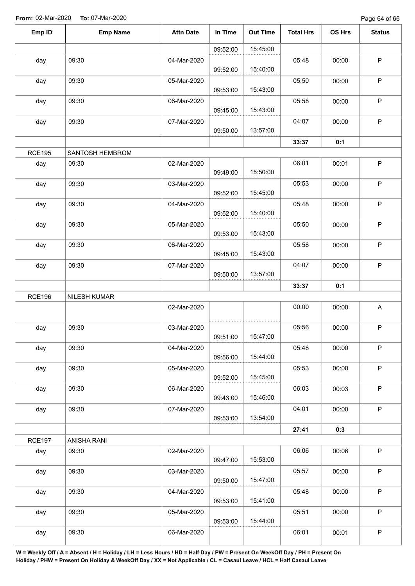Page 64 of 66

| Emp ID        | <b>Emp Name</b>     | <b>Attn Date</b> | In Time  | <b>Out Time</b> | <b>Total Hrs</b> | <b>OS Hrs</b> | <b>Status</b> |
|---------------|---------------------|------------------|----------|-----------------|------------------|---------------|---------------|
|               |                     |                  | 09:52:00 | 15:45:00        |                  |               |               |
| day           | 09:30               | 04-Mar-2020      | 09:52:00 | 15:40:00        | 05:48            | 00:00         | $\mathsf P$   |
| day           | 09:30               | 05-Mar-2020      | 09:53:00 | 15:43:00        | 05:50            | 00:00         | $\sf P$       |
| day           | 09:30               | 06-Mar-2020      | 09:45:00 | 15:43:00        | 05:58            | 00:00         | $\mathsf P$   |
| day           | 09:30               | 07-Mar-2020      | 09:50:00 | 13:57:00        | 04:07            | 00:00         | $\sf P$       |
|               |                     |                  |          |                 | 33:37            | 0:1           |               |
| <b>RCE195</b> | SANTOSH HEMBROM     |                  |          |                 |                  |               |               |
| day           | 09:30               | 02-Mar-2020      | 09:49:00 | 15:50:00        | 06:01            | 00:01         | $\sf P$       |
| day           | 09:30               | 03-Mar-2020      | 09:52:00 | 15:45:00        | 05:53            | 00:00         | $\mathsf P$   |
| day           | 09:30               | 04-Mar-2020      | 09:52:00 | 15:40:00        | 05:48            | 00:00         | $\mathsf P$   |
| day           | 09:30               | 05-Mar-2020      | 09:53:00 | 15:43:00        | 05:50            | 00:00         | $\sf P$       |
| day           | 09:30               | 06-Mar-2020      | 09:45:00 | 15:43:00        | 05:58            | 00:00         | P             |
| day           | 09:30               | 07-Mar-2020      | 09:50:00 | 13:57:00        | 04:07            | 00:00         | $\mathsf P$   |
|               |                     |                  |          |                 | 33:37            | 0:1           |               |
| <b>RCE196</b> | <b>NILESH KUMAR</b> |                  |          |                 |                  |               |               |
|               |                     | 02-Mar-2020      |          |                 | 00:00            | 00:00         | A             |
| day           | 09:30               | 03-Mar-2020      | 09:51:00 | 15:47:00        | 05:56            | 00:00         | P             |
| day           | 09:30               | 04-Mar-2020      | 09:56:00 | 15:44:00        | 05:48            | 00:00         | $\mathsf P$   |
| day           | 09:30               | 05-Mar-2020      | 09:52:00 | 15:45:00        | 05:53            | 00:00         | $\mathsf P$   |
| day           | 09:30               | 06-Mar-2020      | 09:43:00 | 15:46:00        | 06:03            | 00:03         | $\mathsf P$   |
| day           | 09:30               | 07-Mar-2020      | 09:53:00 | 13:54:00        | 04:01            | 00:00         | P             |
|               |                     |                  |          |                 | 27:41            | 0:3           |               |
| <b>RCE197</b> | ANISHA RANI         |                  |          |                 |                  |               |               |
| day           | 09:30               | 02-Mar-2020      | 09:47:00 | 15:53:00        | 06:06            | 00:06         | P             |
| day           | 09:30               | 03-Mar-2020      | 09:50:00 | 15:47:00        | 05:57            | 00:00         | $\mathsf P$   |
| day           | 09:30               | 04-Mar-2020      | 09:53:00 | 15:41:00        | 05:48            | 00:00         | P             |
| day           | 09:30               | 05-Mar-2020      | 09:53:00 | 15:44:00        | 05:51            | 00:00         | $\mathsf{P}$  |
| day           | 09:30               | 06-Mar-2020      |          |                 | 06:01            | 00:01         | P             |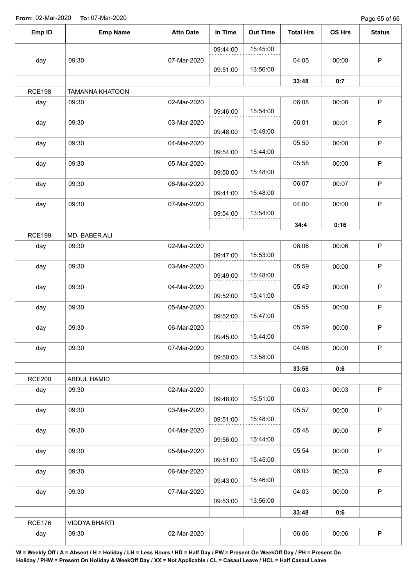Page 65 of 66

| 15:45:00<br>09:44:00<br>09:30<br>day<br>07-Mar-2020<br>04:05<br>00:00<br>13:56:00<br>09:51:00<br>33:48<br>0:7<br><b>RCE198</b><br><b>TAMANNA KHATOON</b><br>02-Mar-2020<br>09:30<br>06:08<br>00:08<br>day<br>15:54:00<br>09:46:00<br>09:30<br>06:01<br>day<br>03-Mar-2020<br>00:01<br>15:49:00<br>09:48:00<br>09:30<br>05:50<br>04-Mar-2020<br>day<br>00:00<br>15:44:00<br>09:54:00<br>09:30<br>05:58<br>05-Mar-2020<br>00:00<br>day<br>15:48:00<br>09:50:00<br>09:30<br>06:07<br>day<br>06-Mar-2020<br>00:07<br>15:48:00<br>09:41:00<br>09:30<br>04:00<br>07-Mar-2020<br>day<br>00:00<br>13:54:00<br>09:54:00<br>34:4<br>0:16<br><b>RCE199</b><br>MD. BABER ALI<br>06:06<br>day<br>09:30<br>02-Mar-2020<br>00:06<br>15:53:00<br>09:47:00<br>05:59<br>09:30<br>03-Mar-2020<br>00:00<br>day<br>15:48:00<br>09:49:00<br>09:30<br>05:49<br>00:00<br>04-Mar-2020<br>day<br>15:41:00<br>09:52:00<br>05:55<br>09:30<br>05-Mar-2020<br>00:00<br>day<br>15:47:00<br>09:52:00<br>09:30<br>05:59<br>day<br>06-Mar-2020<br>00:00<br>15:44:00<br>09:45:00<br>04:08<br>09:30<br>day<br>07-Mar-2020<br>00:00<br>13:58:00<br>09:50:00<br>33:56<br>0:6 | $\mathsf P$<br>$\mathsf P$<br>P<br>$\mathsf P$<br>$\mathsf P$<br>$\sf P$<br>P<br>$\mathsf P$<br>P<br>$\sf P$ |
|----------------------------------------------------------------------------------------------------------------------------------------------------------------------------------------------------------------------------------------------------------------------------------------------------------------------------------------------------------------------------------------------------------------------------------------------------------------------------------------------------------------------------------------------------------------------------------------------------------------------------------------------------------------------------------------------------------------------------------------------------------------------------------------------------------------------------------------------------------------------------------------------------------------------------------------------------------------------------------------------------------------------------------------------------------------------------------------------------------------------------------------|--------------------------------------------------------------------------------------------------------------|
|                                                                                                                                                                                                                                                                                                                                                                                                                                                                                                                                                                                                                                                                                                                                                                                                                                                                                                                                                                                                                                                                                                                                        |                                                                                                              |
|                                                                                                                                                                                                                                                                                                                                                                                                                                                                                                                                                                                                                                                                                                                                                                                                                                                                                                                                                                                                                                                                                                                                        |                                                                                                              |
|                                                                                                                                                                                                                                                                                                                                                                                                                                                                                                                                                                                                                                                                                                                                                                                                                                                                                                                                                                                                                                                                                                                                        |                                                                                                              |
|                                                                                                                                                                                                                                                                                                                                                                                                                                                                                                                                                                                                                                                                                                                                                                                                                                                                                                                                                                                                                                                                                                                                        |                                                                                                              |
|                                                                                                                                                                                                                                                                                                                                                                                                                                                                                                                                                                                                                                                                                                                                                                                                                                                                                                                                                                                                                                                                                                                                        |                                                                                                              |
|                                                                                                                                                                                                                                                                                                                                                                                                                                                                                                                                                                                                                                                                                                                                                                                                                                                                                                                                                                                                                                                                                                                                        |                                                                                                              |
|                                                                                                                                                                                                                                                                                                                                                                                                                                                                                                                                                                                                                                                                                                                                                                                                                                                                                                                                                                                                                                                                                                                                        |                                                                                                              |
|                                                                                                                                                                                                                                                                                                                                                                                                                                                                                                                                                                                                                                                                                                                                                                                                                                                                                                                                                                                                                                                                                                                                        |                                                                                                              |
|                                                                                                                                                                                                                                                                                                                                                                                                                                                                                                                                                                                                                                                                                                                                                                                                                                                                                                                                                                                                                                                                                                                                        |                                                                                                              |
|                                                                                                                                                                                                                                                                                                                                                                                                                                                                                                                                                                                                                                                                                                                                                                                                                                                                                                                                                                                                                                                                                                                                        |                                                                                                              |
|                                                                                                                                                                                                                                                                                                                                                                                                                                                                                                                                                                                                                                                                                                                                                                                                                                                                                                                                                                                                                                                                                                                                        |                                                                                                              |
|                                                                                                                                                                                                                                                                                                                                                                                                                                                                                                                                                                                                                                                                                                                                                                                                                                                                                                                                                                                                                                                                                                                                        |                                                                                                              |
|                                                                                                                                                                                                                                                                                                                                                                                                                                                                                                                                                                                                                                                                                                                                                                                                                                                                                                                                                                                                                                                                                                                                        |                                                                                                              |
|                                                                                                                                                                                                                                                                                                                                                                                                                                                                                                                                                                                                                                                                                                                                                                                                                                                                                                                                                                                                                                                                                                                                        |                                                                                                              |
|                                                                                                                                                                                                                                                                                                                                                                                                                                                                                                                                                                                                                                                                                                                                                                                                                                                                                                                                                                                                                                                                                                                                        |                                                                                                              |
|                                                                                                                                                                                                                                                                                                                                                                                                                                                                                                                                                                                                                                                                                                                                                                                                                                                                                                                                                                                                                                                                                                                                        |                                                                                                              |
|                                                                                                                                                                                                                                                                                                                                                                                                                                                                                                                                                                                                                                                                                                                                                                                                                                                                                                                                                                                                                                                                                                                                        |                                                                                                              |
|                                                                                                                                                                                                                                                                                                                                                                                                                                                                                                                                                                                                                                                                                                                                                                                                                                                                                                                                                                                                                                                                                                                                        | $\mathsf P$                                                                                                  |
|                                                                                                                                                                                                                                                                                                                                                                                                                                                                                                                                                                                                                                                                                                                                                                                                                                                                                                                                                                                                                                                                                                                                        | $\mathsf P$                                                                                                  |
|                                                                                                                                                                                                                                                                                                                                                                                                                                                                                                                                                                                                                                                                                                                                                                                                                                                                                                                                                                                                                                                                                                                                        | $\mathsf P$                                                                                                  |
|                                                                                                                                                                                                                                                                                                                                                                                                                                                                                                                                                                                                                                                                                                                                                                                                                                                                                                                                                                                                                                                                                                                                        |                                                                                                              |
| <b>RCE200</b><br>ABDUL HAMID                                                                                                                                                                                                                                                                                                                                                                                                                                                                                                                                                                                                                                                                                                                                                                                                                                                                                                                                                                                                                                                                                                           |                                                                                                              |
| 06:03<br>02-Mar-2020<br>09:30<br>00:03<br>day<br>15:51:00<br>09:48:00                                                                                                                                                                                                                                                                                                                                                                                                                                                                                                                                                                                                                                                                                                                                                                                                                                                                                                                                                                                                                                                                  | $\mathsf P$                                                                                                  |
| 05:57<br>09:30<br>03-Mar-2020<br>00:00<br>day<br>15:48:00<br>09:51:00                                                                                                                                                                                                                                                                                                                                                                                                                                                                                                                                                                                                                                                                                                                                                                                                                                                                                                                                                                                                                                                                  | $\mathsf P$                                                                                                  |
| 05:48<br>09:30<br>04-Mar-2020<br>00:00<br>day                                                                                                                                                                                                                                                                                                                                                                                                                                                                                                                                                                                                                                                                                                                                                                                                                                                                                                                                                                                                                                                                                          | $\sf P$                                                                                                      |
| 15:44:00<br>09:56:00<br>05:54<br>day<br>09:30<br>05-Mar-2020<br>00:00                                                                                                                                                                                                                                                                                                                                                                                                                                                                                                                                                                                                                                                                                                                                                                                                                                                                                                                                                                                                                                                                  | $\mathsf P$                                                                                                  |
| 09:51:00<br>15:45:00<br>06:03<br>09:30<br>06-Mar-2020<br>00:03<br>day                                                                                                                                                                                                                                                                                                                                                                                                                                                                                                                                                                                                                                                                                                                                                                                                                                                                                                                                                                                                                                                                  | P                                                                                                            |
| 15:46:00<br>09:43:00<br>09:30<br>04:03<br>07-Mar-2020<br>00:00<br>day                                                                                                                                                                                                                                                                                                                                                                                                                                                                                                                                                                                                                                                                                                                                                                                                                                                                                                                                                                                                                                                                  | $\mathsf P$                                                                                                  |
| 13:56:00<br>09:53:00                                                                                                                                                                                                                                                                                                                                                                                                                                                                                                                                                                                                                                                                                                                                                                                                                                                                                                                                                                                                                                                                                                                   |                                                                                                              |
| 33:48<br>0:6                                                                                                                                                                                                                                                                                                                                                                                                                                                                                                                                                                                                                                                                                                                                                                                                                                                                                                                                                                                                                                                                                                                           |                                                                                                              |
| <b>RCE176</b><br><b>VIDDYA BHARTI</b><br>06:06<br>09:30<br>02-Mar-2020<br>00:06<br>day                                                                                                                                                                                                                                                                                                                                                                                                                                                                                                                                                                                                                                                                                                                                                                                                                                                                                                                                                                                                                                                 |                                                                                                              |